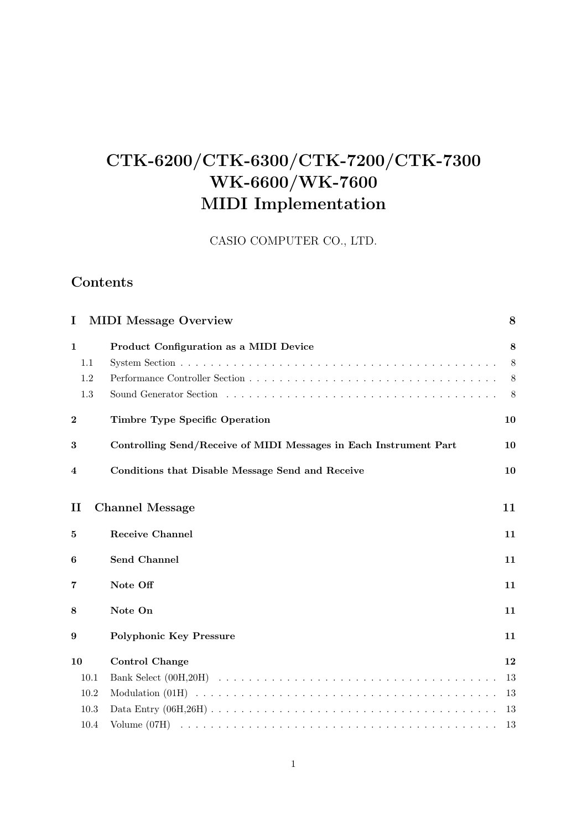# **CTK-6200/CTK-6300/CTK-7200/CTK-7300 WK-6600/WK-7600 MIDI Implementation**

CASIO COMPUTER CO., LTD.

# **Contents**

| I                                 | <b>MIDI</b> Message Overview                                      | 8                |
|-----------------------------------|-------------------------------------------------------------------|------------------|
| $\mathbf{1}$<br>1.1<br>1.2<br>1.3 | Product Configuration as a MIDI Device                            | 8<br>8<br>8<br>8 |
| $\bf{2}$                          | <b>Timbre Type Specific Operation</b>                             | 10               |
| 3                                 | Controlling Send/Receive of MIDI Messages in Each Instrument Part | 10               |
| 4                                 | Conditions that Disable Message Send and Receive                  | 10               |
| $\mathbf{I}$                      | <b>Channel Message</b>                                            | 11               |
| 5                                 | <b>Receive Channel</b>                                            | 11               |
| 6                                 | Send Channel                                                      | 11               |
| 7                                 | Note Off                                                          | 11               |
| 8                                 | Note On                                                           | 11               |
| 9                                 | <b>Polyphonic Key Pressure</b>                                    | 11               |
| 10                                | <b>Control Change</b>                                             | 12               |
| 10.1                              |                                                                   | 13               |
| 10.2                              |                                                                   | 13               |
| 10.3                              |                                                                   | 13               |
| 10.4                              |                                                                   | 13               |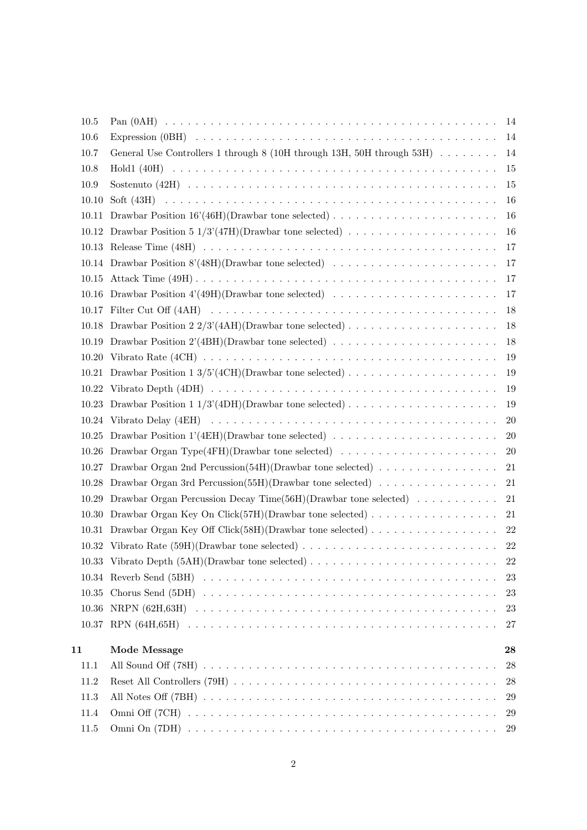|    | 10.5  |                                                                                                        | 14        |
|----|-------|--------------------------------------------------------------------------------------------------------|-----------|
|    | 10.6  |                                                                                                        | 14        |
|    | 10.7  | General Use Controllers 1 through 8 (10H through 13H, 50H through 53H) $\ldots \ldots \ldots$          | 14        |
|    | 10.8  |                                                                                                        | 15        |
|    | 10.9  |                                                                                                        | 15        |
|    | 10.10 |                                                                                                        | 16        |
|    | 10.11 |                                                                                                        | 16        |
|    |       |                                                                                                        | 16        |
|    |       |                                                                                                        | 17        |
|    |       |                                                                                                        | 17        |
|    | 10.15 |                                                                                                        | 17        |
|    |       |                                                                                                        | 17        |
|    |       |                                                                                                        | 18        |
|    |       | 10.18 Drawbar Position 2 2/3'(4AH)(Drawbar tone selected)                                              | 18        |
|    | 10.19 | Drawbar Position 2'(4BH)(Drawbar tone selected) $\dots \dots \dots \dots \dots \dots \dots \dots$      | 18        |
|    |       |                                                                                                        | 19        |
|    |       |                                                                                                        | 19        |
|    | 10.22 |                                                                                                        | 19        |
|    | 10.23 | Drawbar Position 1 1/3'(4DH)(Drawbar tone selected) $\ldots \ldots \ldots \ldots \ldots \ldots \ldots$ | 19        |
|    |       |                                                                                                        | <b>20</b> |
|    |       | 10.25 Drawbar Position 1'(4EH)(Drawbar tone selected)                                                  | 20        |
|    | 10.26 | Drawbar Organ Type(4FH)(Drawbar tone selected) $\ldots \ldots \ldots \ldots \ldots \ldots \ldots$      | 20        |
|    |       | 10.27 Drawbar Organ 2nd Percussion(54H)(Drawbar tone selected)                                         | 21        |
|    | 10.28 | Drawbar Organ 3rd Percussion(55H)(Drawbar tone selected) $\dots \dots \dots \dots \dots$               | 21        |
|    | 10.29 | Drawbar Organ Percussion Decay Time(56H)(Drawbar tone selected) $\ldots \ldots \ldots$                 | 21        |
|    | 10.30 | Drawbar Organ Key On Click $(57H)(D$ rawbar tone selected)                                             | 21        |
|    | 10.31 |                                                                                                        | 22        |
|    |       |                                                                                                        | 22        |
|    |       |                                                                                                        | 22        |
|    |       |                                                                                                        | 23        |
|    |       |                                                                                                        | 23        |
|    |       |                                                                                                        | 23        |
|    |       |                                                                                                        | 27        |
| 11 |       | Mode Message                                                                                           | 28        |
|    | 11.1  |                                                                                                        | 28        |
|    | 11.2  |                                                                                                        | 28        |
|    | 11.3  |                                                                                                        | 29        |
|    | 11.4  |                                                                                                        | 29        |
|    | 11.5  |                                                                                                        | 29        |
|    |       |                                                                                                        |           |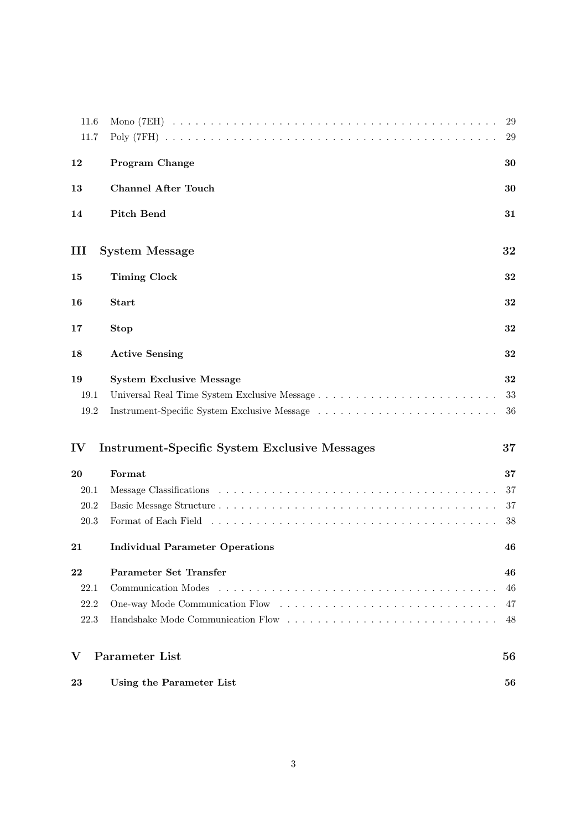| 23           | Using the Parameter List                             | 56       |
|--------------|------------------------------------------------------|----------|
| V            | <b>Parameter List</b>                                | 56       |
| 22.3         | Handshake Mode Communication Flow                    | 48       |
| 22.2         |                                                      | 47       |
| 22.1         | Communication Modes                                  | 46       |
| 22           | Parameter Set Transfer                               | 46       |
| 21           | <b>Individual Parameter Operations</b>               | 46       |
| 20.3         |                                                      | 38       |
| 20.2         |                                                      | 37       |
| 20.1         |                                                      | 37       |
| 20           | Format                                               | 37       |
| IV           | <b>Instrument-Specific System Exclusive Messages</b> | 37       |
| 19.2         |                                                      | 36       |
| 19.1         |                                                      | 33       |
| 19           | <b>System Exclusive Message</b>                      | 32       |
| 18           | <b>Active Sensing</b>                                | 32       |
| 17           | <b>Stop</b>                                          | 32       |
| 16           | <b>Start</b>                                         | 32       |
| 15           | <b>Timing Clock</b>                                  | 32       |
| Ш            | <b>System Message</b>                                | 32       |
| 14           | <b>Pitch Bend</b>                                    | 31       |
| 13           | <b>Channel After Touch</b>                           | 30       |
| 12           | <b>Program Change</b>                                | 30       |
| 11.6<br>11.7 |                                                      | 29<br>29 |
|              |                                                      |          |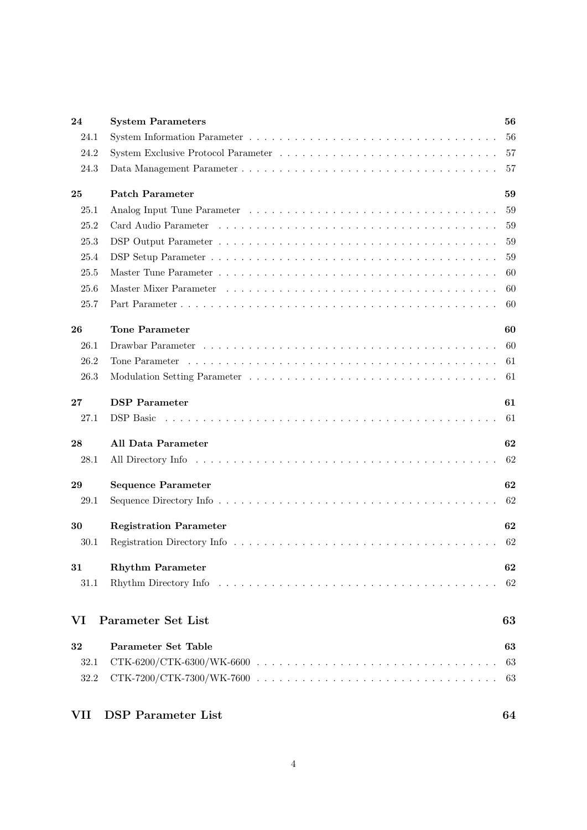| 24   | <b>System Parameters</b>      | 56 |
|------|-------------------------------|----|
| 24.1 |                               | 56 |
| 24.2 |                               | 57 |
| 24.3 |                               | 57 |
| 25   | <b>Patch Parameter</b>        | 59 |
| 25.1 |                               | 59 |
| 25.2 |                               | 59 |
| 25.3 |                               | 59 |
| 25.4 |                               | 59 |
| 25.5 |                               | 60 |
| 25.6 |                               | 60 |
| 25.7 |                               | 60 |
| 26   | <b>Tone Parameter</b>         | 60 |
| 26.1 |                               | 60 |
| 26.2 |                               | 61 |
| 26.3 |                               | 61 |
| 27   | <b>DSP</b> Parameter          | 61 |
| 27.1 |                               | 61 |
| 28   | All Data Parameter            | 62 |
| 28.1 |                               | 62 |
| 29   | <b>Sequence Parameter</b>     | 62 |
| 29.1 |                               | 62 |
| 30   | <b>Registration Parameter</b> | 62 |
| 30.1 |                               | 62 |
|      |                               |    |
| 31   | <b>Rhythm Parameter</b>       | 62 |
| 31.1 |                               | 62 |
| VI   | Parameter Set List            | 63 |
| 32   | Parameter Set Table           | 63 |
| 32.1 |                               | 63 |
| 32.2 | $CTK-7200/CTK-7300/WK-7600$   | 63 |
| VII  | <b>DSP</b> Parameter List     | 64 |

## 4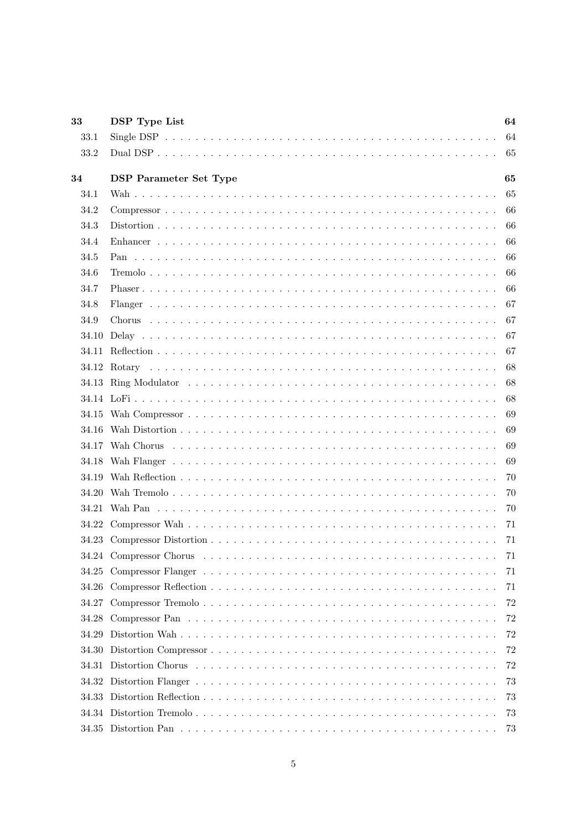| 33    | <b>DSP</b> Type List          | 64  |
|-------|-------------------------------|-----|
| 33.1  |                               | 64  |
| 33.2  |                               | 65  |
| 34    | <b>DSP</b> Parameter Set Type | 65  |
| 34.1  |                               | 65  |
| 34.2  |                               | 66  |
| 34.3  |                               | 66  |
| 34.4  |                               | 66  |
| 34.5  |                               | 66  |
| 34.6  |                               | 66  |
| 34.7  |                               | 66  |
| 34.8  |                               | 67  |
| 34.9  |                               | 67  |
| 34.10 |                               | 67  |
| 34.11 |                               | 67  |
|       |                               | 68  |
|       |                               | 68  |
|       |                               | 68  |
|       |                               | 69  |
|       |                               | 69  |
|       |                               | 69  |
|       |                               | 69  |
| 34.19 |                               | 70  |
| 34.20 |                               | 70  |
|       |                               | 70  |
|       |                               | 71  |
|       |                               | -71 |
|       |                               |     |
|       |                               | 71  |
| 34.26 |                               | 71  |
| 34.27 |                               | 72  |
| 34.28 |                               | 72  |
| 34.29 |                               | 72  |
| 34.30 |                               | 72  |
| 34.31 |                               | 72  |
| 34.32 |                               | 73  |
| 34.33 |                               | 73  |
|       |                               | 73  |
|       |                               | 73  |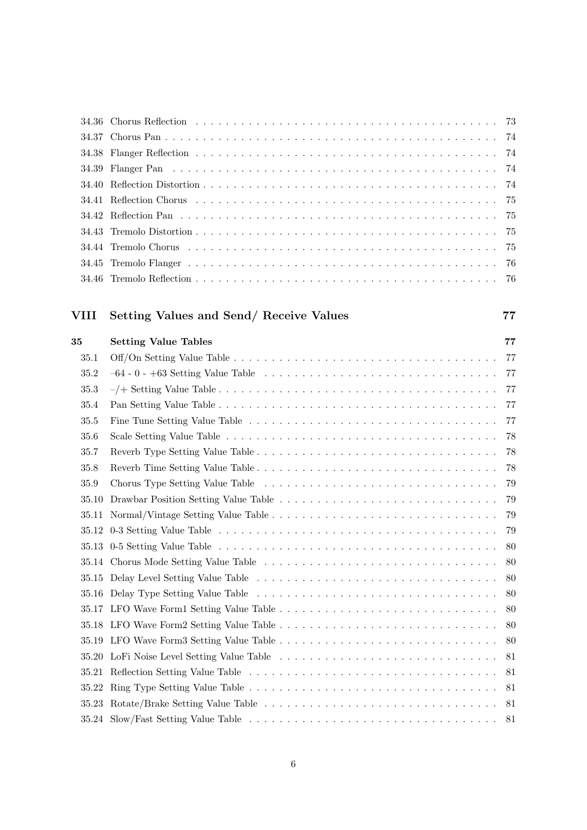# **VIII Setting Values and Send/ Receive Values 77**

| 35    | <b>Setting Value Tables</b>                                                                                          | 77  |
|-------|----------------------------------------------------------------------------------------------------------------------|-----|
| 35.1  |                                                                                                                      | 77  |
| 35.2  |                                                                                                                      | -77 |
| 35.3  |                                                                                                                      | -77 |
| 35.4  |                                                                                                                      | 77  |
| 35.5  |                                                                                                                      | 77  |
| 35.6  |                                                                                                                      | 78  |
| 35.7  |                                                                                                                      | 78  |
| 35.8  |                                                                                                                      | 78  |
| 35.9  |                                                                                                                      | -79 |
| 35.10 | Drawbar Position Setting Value Table $\dots \dots \dots \dots \dots \dots \dots \dots \dots \dots \dots \dots$       | 79  |
| 35.11 |                                                                                                                      | 79  |
|       |                                                                                                                      | 79  |
| 35.13 |                                                                                                                      | 80  |
|       |                                                                                                                      | 80  |
| 35.15 |                                                                                                                      | 80  |
| 35.16 | Delay Type Setting Value Table $\dots \dots \dots \dots \dots \dots \dots \dots \dots \dots \dots \dots \dots \dots$ | -80 |
| 35.17 |                                                                                                                      | 80  |
| 35.18 |                                                                                                                      | 80  |
| 35.19 |                                                                                                                      | 80  |
| 35.20 |                                                                                                                      | 81  |
| 35.21 |                                                                                                                      | 81  |
|       |                                                                                                                      | 81  |
| 35.23 |                                                                                                                      | -81 |
|       |                                                                                                                      | 81  |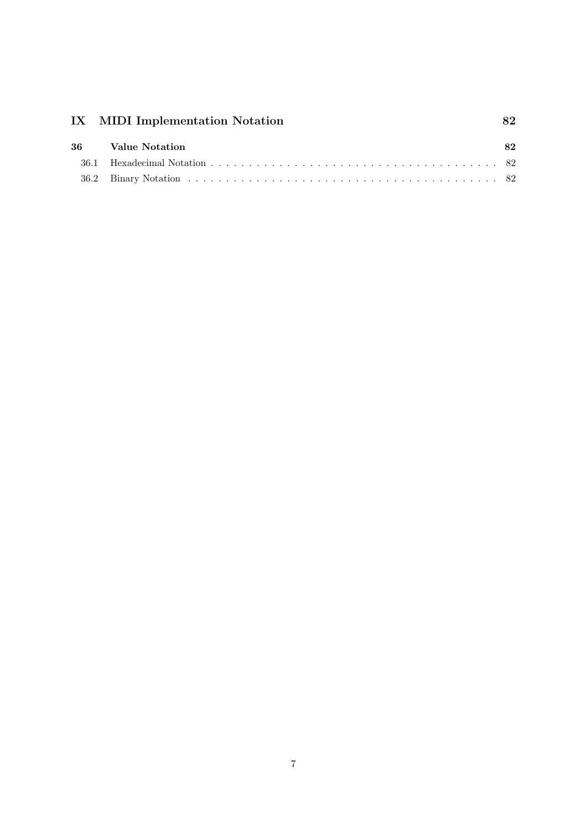| 36 | Value Notation | 82 |
|----|----------------|----|
|    |                |    |
|    |                |    |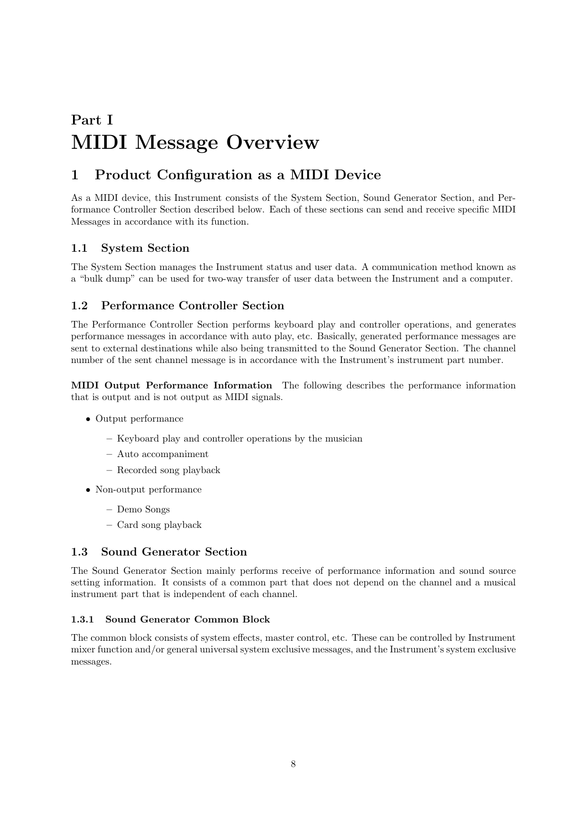# **Part I MIDI Message Overview**

# **1 Product Configuration as a MIDI Device**

As a MIDI device, this Instrument consists of the System Section, Sound Generator Section, and Performance Controller Section described below. Each of these sections can send and receive specific MIDI Messages in accordance with its function.

# **1.1 System Section**

The System Section manages the Instrument status and user data. A communication method known as a "bulk dump" can be used for two-way transfer of user data between the Instrument and a computer.

# **1.2 Performance Controller Section**

The Performance Controller Section performs keyboard play and controller operations, and generates performance messages in accordance with auto play, etc. Basically, generated performance messages are sent to external destinations while also being transmitted to the Sound Generator Section. The channel number of the sent channel message is in accordance with the Instrument's instrument part number.

**MIDI Output Performance Information** The following describes the performance information that is output and is not output as MIDI signals.

- *•* Output performance
	- **–** Keyboard play and controller operations by the musician
	- **–** Auto accompaniment
	- **–** Recorded song playback
- *•* Non-output performance
	- **–** Demo Songs
	- **–** Card song playback

## **1.3 Sound Generator Section**

The Sound Generator Section mainly performs receive of performance information and sound source setting information. It consists of a common part that does not depend on the channel and a musical instrument part that is independent of each channel.

## **1.3.1 Sound Generator Common Block**

The common block consists of system effects, master control, etc. These can be controlled by Instrument mixer function and/or general universal system exclusive messages, and the Instrument's system exclusive messages.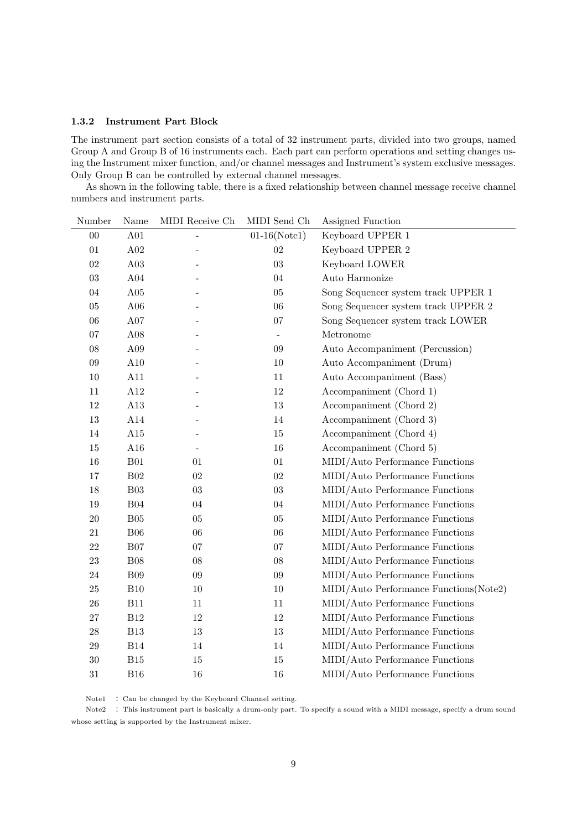#### **1.3.2 Instrument Part Block**

The instrument part section consists of a total of 32 instrument parts, divided into two groups, named Group A and Group B of 16 instruments each. Each part can perform operations and setting changes using the Instrument mixer function, and/or channel messages and Instrument's system exclusive messages. Only Group B can be controlled by external channel messages.

As shown in the following table, there is a fixed relationship between channel message receive channel numbers and instrument parts.

| Number | Name           | MIDI Receive Ch | MIDI Send Ch             | Assigned Function                      |
|--------|----------------|-----------------|--------------------------|----------------------------------------|
| $00\,$ | A01            |                 | $01-16(Note1)$           | Keyboard UPPER 1                       |
| 01     | A02            |                 | 02                       | Keyboard UPPER 2                       |
| 02     | A03            |                 | 03                       | Keyboard LOWER                         |
| $03\,$ | $\rm A04$      |                 | 04                       | Auto Harmonize                         |
| $04\,$ | A05            |                 | $05\,$                   | Song Sequencer system track UPPER $1$  |
| $05\,$ | A06            |                 | 06                       | Song Sequencer system track UPPER 2    |
| 06     | A07            |                 | 07                       | Song Sequencer system track LOWER      |
| 07     | A08            |                 | $\overline{\phantom{a}}$ | Metronome                              |
| 08     | A09            |                 | 09                       | Auto Accompaniment (Percussion)        |
| $09\,$ | A10            |                 | 10                       | Auto Accompaniment (Drum)              |
| 10     | A11            |                 | 11                       | Auto Accompaniment (Bass)              |
| 11     | A12            |                 | $12\,$                   | Accompaniment (Chord 1)                |
| 12     | A13            |                 | $13\,$                   | Accompaniment (Chord 2)                |
| $13\,$ | A14            |                 | $14\,$                   | Accompaniment (Chord 3)                |
| 14     | A15            |                 | $15\,$                   | Accompaniment (Chord 4)                |
| 15     | A16            |                 | 16                       | Accompaniment (Chord 5)                |
| 16     | ${\bf B01}$    | 01              | 01                       | MIDI/Auto Performance Functions        |
| 17     | $\rm B02$      | $02\,$          | $02\,$                   | MIDI/Auto Performance Functions        |
| $18\,$ | $\mathrm{B}03$ | $03\,$          | $03\,$                   | MIDI/Auto Performance Functions        |
| $19\,$ | $\rm B04$      | 04              | 04                       | MIDI/Auto Performance Functions        |
| $20\,$ | B05            | $05\,$          | $05\,$                   | MIDI/Auto Performance Functions        |
| 21     | B06            | 06              | 06                       | MIDI/Auto Performance Functions        |
| 22     | ${\rm B}07$    | 07              | 07                       | MIDI/Auto Performance Functions        |
| 23     | $\rm B08$      | $08\,$          | $08\,$                   | MIDI/Auto Performance Functions        |
| 24     | <b>B09</b>     | $09\,$          | 09                       | MIDI/Auto Performance Functions        |
| $25\,$ | B10            | $10\,$          | $10\,$                   | MIDI/Auto Performance Functions(Note2) |
| $26\,$ | B11            | 11              | 11                       | MIDI/Auto Performance Functions        |
| $27\,$ | $\rm B12$      | $12\,$          | $12\,$                   | MIDI/Auto Performance Functions        |
| 28     | <b>B13</b>     | 13              | 13                       | MIDI/Auto Performance Functions        |
| 29     | <b>B14</b>     | 14              | 14                       | MIDI/Auto Performance Functions        |
| 30     | B15            | 15              | $15\,$                   | MIDI/Auto Performance Functions        |
| 31     | <b>B16</b>     | 16              | $16\,$                   | MIDI/Auto Performance Functions        |
|        |                |                 |                          |                                        |

Note1 : Can be changed by the Keyboard Channel setting.

Note2 : This instrument part is basically a drum-only part. To specify a sound with a MIDI message, specify a drum sound whose setting is supported by the Instrument mixer.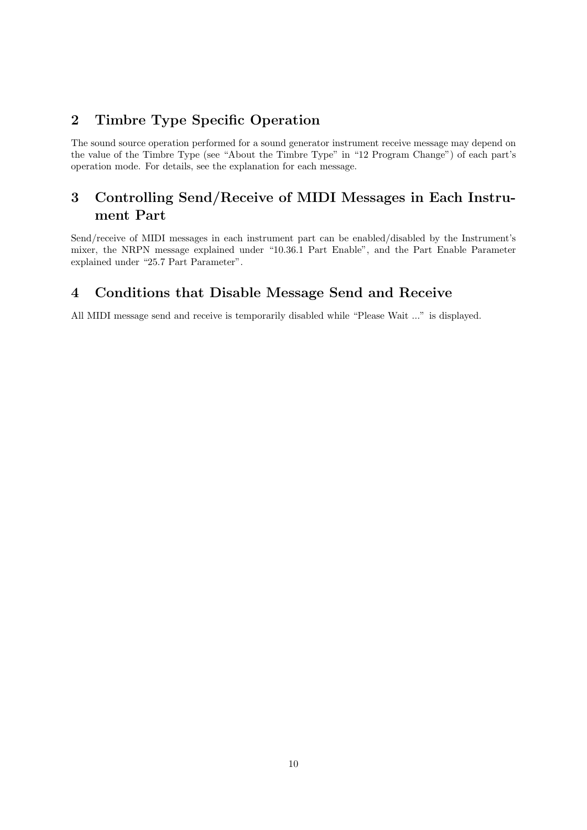# **2 Timbre Type Specific Operation**

The sound source operation performed for a sound generator instrument receive message may depend on the value of the Timbre Type (see "About the Timbre Type" in "12 Program Change") of each part's operation mode. For details, see the explanation for each message.

# **3 Controlling Send/Receive of MIDI Messages in Each Instrument Part**

Send/receive of MIDI messages in each instrument part can be enabled/disabled by the Instrument's mixer, the NRPN message explained under "10.36.1 Part Enable", and the Part Enable Parameter explained under "25.7 Part Parameter".

# **4 Conditions that Disable Message Send and Receive**

All MIDI message send and receive is temporarily disabled while "Please Wait ..." is displayed.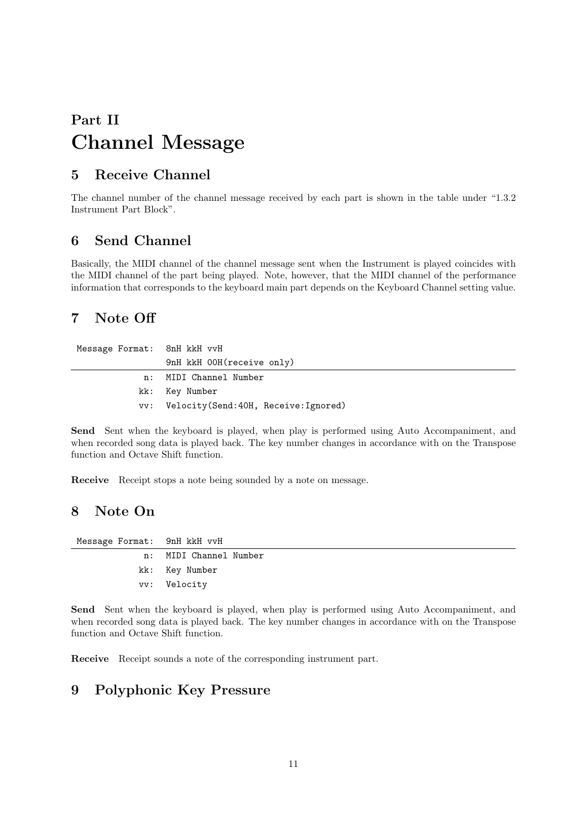# **Part II Channel Message**

# **5 Receive Channel**

The channel number of the channel message received by each part is shown in the table under "1.3.2 Instrument Part Block".

# **6 Send Channel**

Basically, the MIDI channel of the channel message sent when the Instrument is played coincides with the MIDI channel of the part being played. Note, however, that the MIDI channel of the performance information that corresponds to the keyboard main part depends on the Keyboard Channel setting value.

# **7 Note Off**

| Message Format: 8nH kkH vvH |                                         |
|-----------------------------|-----------------------------------------|
|                             | 9nH kkH 00H(receive only)               |
|                             | n: MIDI Channel Number                  |
|                             | kk: Key Number                          |
|                             | vv: Velocity(Send:40H, Receive:Ignored) |

**Send** Sent when the keyboard is played, when play is performed using Auto Accompaniment, and when recorded song data is played back. The key number changes in accordance with on the Transpose function and Octave Shift function.

**Receive** Receipt stops a note being sounded by a note on message.

# **8 Note On**

| Message Format: 9nH kkH vvH |                        |
|-----------------------------|------------------------|
|                             | n: MIDI Channel Number |
|                             | kk: Key Number         |
|                             | vv: Velocity           |

**Send** Sent when the keyboard is played, when play is performed using Auto Accompaniment, and when recorded song data is played back. The key number changes in accordance with on the Transpose function and Octave Shift function.

**Receive** Receipt sounds a note of the corresponding instrument part.

# **9 Polyphonic Key Pressure**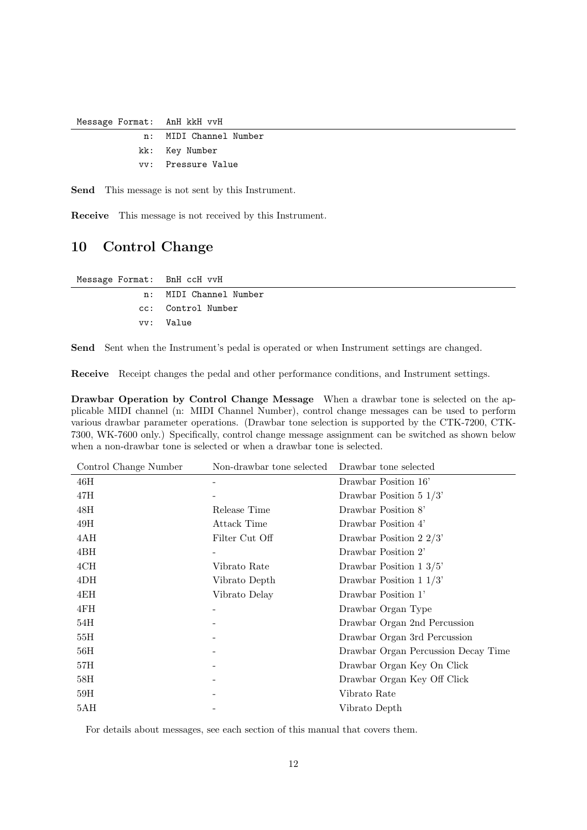Message Format: AnH kkH vvH

| n: MIDI Channel Number |
|------------------------|
| kk: Key Number         |
| vy: Pressure Value     |

**Send** This message is not sent by this Instrument.

**Receive** This message is not received by this Instrument.

# **10 Control Change**

| Message Format: BnH ccH vvH |                        |
|-----------------------------|------------------------|
|                             | n: MIDI Channel Number |
|                             | cc: Control Number     |
|                             | vv: Value              |

**Send** Sent when the Instrument's pedal is operated or when Instrument settings are changed.

**Receive** Receipt changes the pedal and other performance conditions, and Instrument settings.

**Drawbar Operation by Control Change Message** When a drawbar tone is selected on the applicable MIDI channel (n: MIDI Channel Number), control change messages can be used to perform various drawbar parameter operations. (Drawbar tone selection is supported by the CTK-7200, CTK-7300, WK-7600 only.) Specifically, control change message assignment can be switched as shown below when a non-drawbar tone is selected or when a drawbar tone is selected.

| Control Change Number | Non-drawbar tone selected | Drawbar tone selected               |
|-----------------------|---------------------------|-------------------------------------|
| 46H                   |                           | Drawbar Position 16'                |
| 47H                   |                           | Drawbar Position $5 \frac{1}{3}$    |
| 48H                   | Release Time              | Drawbar Position 8'                 |
| 49H                   | Attack Time               | Drawbar Position 4'                 |
| 4AH                   | Filter Cut Off            | Drawbar Position 2 $2/3$            |
| 4BH                   |                           | Drawbar Position 2'                 |
| 4CH                   | Vibrato Rate              | Drawbar Position $1 \frac{3}{5}$    |
| 4DH                   | Vibrato Depth             | Drawbar Position $1\frac{1}{3}$     |
| 4EH                   | Vibrato Delay             | Drawbar Position 1'                 |
| 4FH                   |                           | Drawbar Organ Type                  |
| 54H                   |                           | Drawbar Organ 2nd Percussion        |
| 55H                   |                           | Drawbar Organ 3rd Percussion        |
| 56H                   |                           | Drawbar Organ Percussion Decay Time |
| 57H                   |                           | Drawbar Organ Key On Click          |
| 58H                   |                           | Drawbar Organ Key Off Click         |
| 59H                   |                           | Vibrato Rate                        |
| 5AH                   |                           | Vibrato Depth                       |

For details about messages, see each section of this manual that covers them.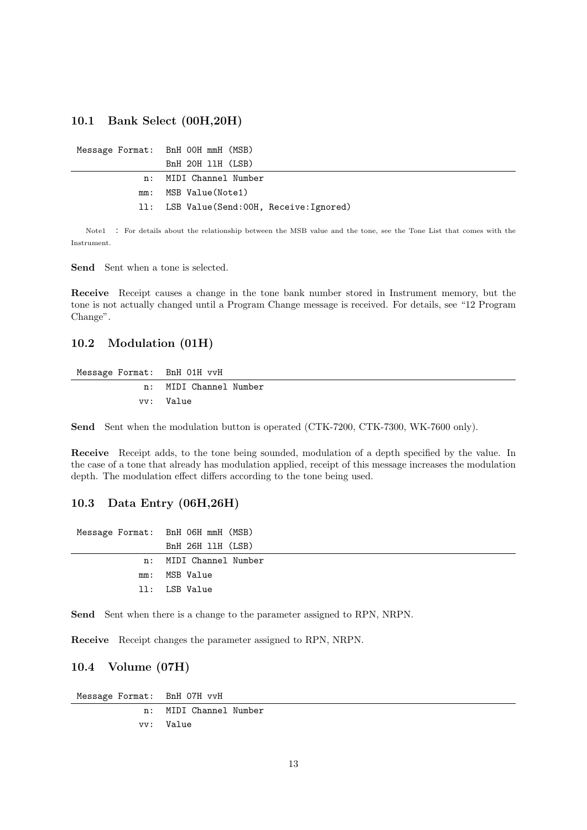#### **10.1 Bank Select (00H,20H)**

| Message Format: BnH OOH mmH (MSB)        |
|------------------------------------------|
| BnH 20H 11H (LSB)                        |
| n: MIDI Channel Number                   |
| mm: MSB Value(Note1)                     |
| 11: LSB Value(Send:00H, Receive:Ignored) |

Note1 : For details about the relationship between the MSB value and the tone, see the Tone List that comes with the Instrument.

**Send** Sent when a tone is selected.

**Receive** Receipt causes a change in the tone bank number stored in Instrument memory, but the tone is not actually changed until a Program Change message is received. For details, see "12 Program Change".

### **10.2 Modulation (01H)**

Message Format: BnH 01H vvH n: MIDI Channel Number vv: Value

**Send** Sent when the modulation button is operated (CTK-7200, CTK-7300, WK-7600 only).

**Receive** Receipt adds, to the tone being sounded, modulation of a depth specified by the value. In the case of a tone that already has modulation applied, receipt of this message increases the modulation depth. The modulation effect differs according to the tone being used.

### **10.3 Data Entry (06H,26H)**

| Message Format: BnH 06H mmH (MSB) |
|-----------------------------------|
| BnH 26H 11H (LSB)                 |
| n: MIDI Channel Number            |
| mm: MSB Value                     |
| 11: LSB Value                     |
|                                   |

**Send** Sent when there is a change to the parameter assigned to RPN, NRPN.

**Receive** Receipt changes the parameter assigned to RPN, NRPN.

### **10.4 Volume (07H)**

| Message Format: BnH 07H vvH |                        |
|-----------------------------|------------------------|
|                             | n: MIDI Channel Number |
|                             | vy: Value              |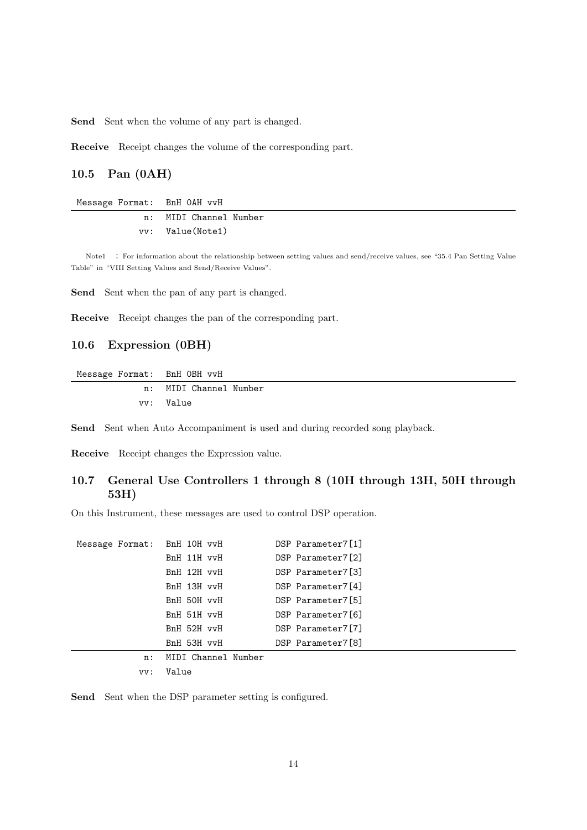Send Sent when the volume of any part is changed.

**Receive** Receipt changes the volume of the corresponding part.

#### **10.5 Pan (0AH)**

Message Format: BnH 0AH vvH

| n: | MIDI Channel Number |
|----|---------------------|
|    | vv: Value(Note1)    |

Note1 : For information about the relationship between setting values and send/receive values, see "35.4 Pan Setting Value Table" in "VIII Setting Values and Send/Receive Values".

**Send** Sent when the pan of any part is changed.

**Receive** Receipt changes the pan of the corresponding part.

## **10.6 Expression (0BH)**

Message Format: BnH 0BH vvH

n: MIDI Channel Number vv: Value

**Send** Sent when Auto Accompaniment is used and during recorded song playback.

**Receive** Receipt changes the Expression value.

## **10.7 General Use Controllers 1 through 8 (10H through 13H, 50H through 53H)**

On this Instrument, these messages are used to control DSP operation.

| Message Format: BnH 10H vvH |                     | DSP Parameter7[1] |
|-----------------------------|---------------------|-------------------|
|                             | BnH 11H vvH         | DSP Parameter7[2] |
|                             | BnH 12H vvH         | DSP Parameter7[3] |
|                             | BnH 13H vvH         | DSP Parameter7[4] |
|                             | BnH 50H vvH         | DSP Parameter7[5] |
|                             | BnH 51H vvH         | DSP Parameter7[6] |
|                             | BnH 52H vvH         | DSP Parameter7[7] |
|                             | BnH 53H vvH         | DSP Parameter7[8] |
| n:                          | MIDI Channel Number |                   |

vv: Value

Send Sent when the DSP parameter setting is configured.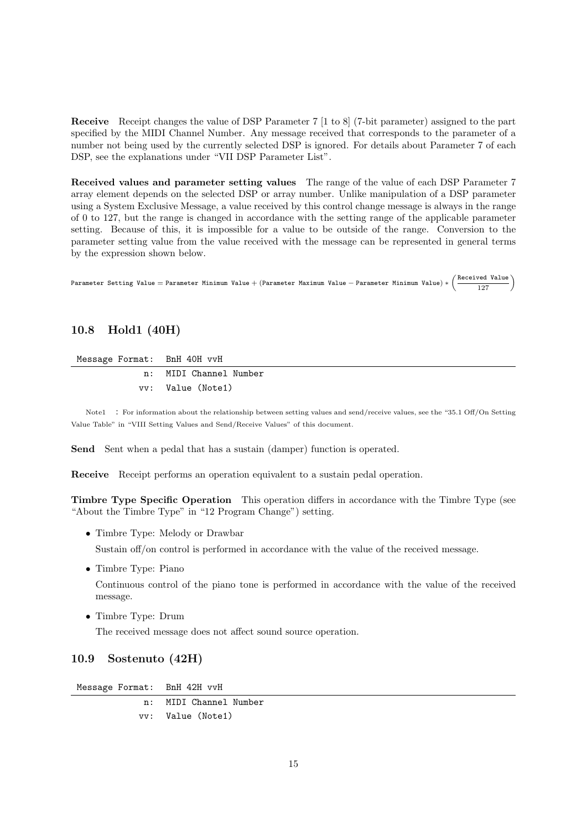**Receive** Receipt changes the value of DSP Parameter 7 [1 to 8] (7-bit parameter) assigned to the part specified by the MIDI Channel Number. Any message received that corresponds to the parameter of a number not being used by the currently selected DSP is ignored. For details about Parameter 7 of each DSP, see the explanations under "VII DSP Parameter List".

**Received values and parameter setting values** The range of the value of each DSP Parameter 7 array element depends on the selected DSP or array number. Unlike manipulation of a DSP parameter using a System Exclusive Message, a value received by this control change message is always in the range of 0 to 127, but the range is changed in accordance with the setting range of the applicable parameter setting. Because of this, it is impossible for a value to be outside of the range. Conversion to the parameter setting value from the value received with the message can be represented in general terms by the expression shown below.

Parameter Setting Value = Parameter Minimum Value + (Parameter Maximum Value - Parameter Minimum Value) \*  $\left(\frac{\text{Received Value}}{127}\right)$ 

## **10.8 Hold1 (40H)**

Message Format: BnH 40H vvH

n: MIDI Channel Number vv: Value (Note1)

Note1 : For information about the relationship between setting values and send/receive values, see the "35.1 Off/On Setting Value Table" in "VIII Setting Values and Send/Receive Values" of this document.

**Send** Sent when a pedal that has a sustain (damper) function is operated.

**Receive** Receipt performs an operation equivalent to a sustain pedal operation.

**Timbre Type Specific Operation** This operation differs in accordance with the Timbre Type (see "About the Timbre Type" in "12 Program Change") setting.

*•* Timbre Type: Melody or Drawbar

Sustain off/on control is performed in accordance with the value of the received message.

*•* Timbre Type: Piano

Continuous control of the piano tone is performed in accordance with the value of the received message.

*•* Timbre Type: Drum

The received message does not affect sound source operation.

## **10.9 Sostenuto (42H)**

Message Format: BnH 42H vvH

n: MIDI Channel Number vv: Value (Note1)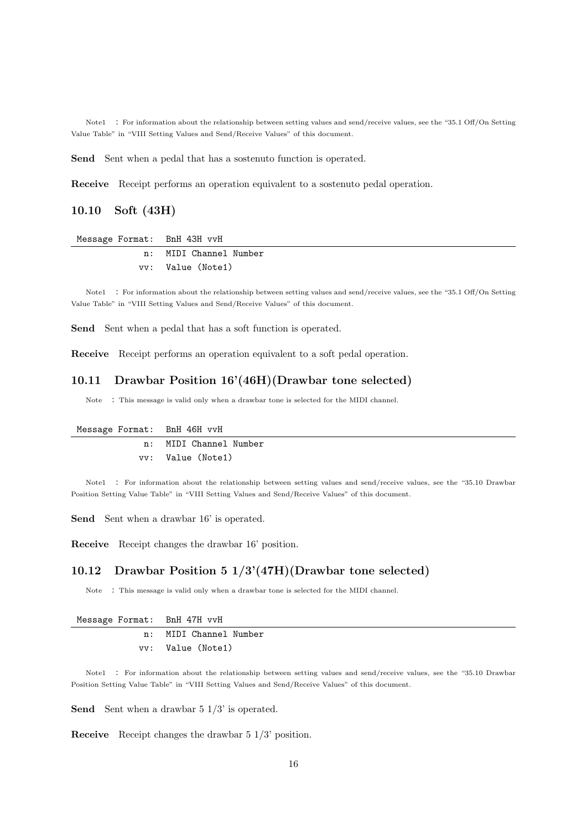Note1 : For information about the relationship between setting values and send/receive values, see the "35.1 Off/On Setting Value Table" in "VIII Setting Values and Send/Receive Values" of this document.

**Send** Sent when a pedal that has a sostenuto function is operated.

**Receive** Receipt performs an operation equivalent to a sostenuto pedal operation.

## **10.10 Soft (43H)**

#### Message Format: BnH 43H vvH

| n: MIDI Channel Number |
|------------------------|
| vy: Value (Note1)      |

Note1 : For information about the relationship between setting values and send/receive values, see the "35.1 Off/On Setting Value Table" in "VIII Setting Values and Send/Receive Values" of this document.

**Send** Sent when a pedal that has a soft function is operated.

**Receive** Receipt performs an operation equivalent to a soft pedal operation.

#### **10.11 Drawbar Position 16'(46H)(Drawbar tone selected)**

Note : This message is valid only when a drawbar tone is selected for the MIDI channel.

| Message Format: BnH 46H vvH |                        |
|-----------------------------|------------------------|
|                             | n: MIDI Channel Number |
|                             | vy: Value (Note1)      |

Note1 : For information about the relationship between setting values and send/receive values, see the "35.10 Drawbar Position Setting Value Table" in "VIII Setting Values and Send/Receive Values" of this document.

Send Sent when a drawbar 16' is operated.

**Receive** Receipt changes the drawbar 16' position.

#### **10.12 Drawbar Position 5 1/3'(47H)(Drawbar tone selected)**

Note : This message is valid only when a drawbar tone is selected for the MIDI channel.

|  | Message Format: | BnH 47H vvH |  |  |
|--|-----------------|-------------|--|--|
|--|-----------------|-------------|--|--|

| n: MIDI Channel Number |
|------------------------|
| vy: Value (Note1)      |

Note1 : For information about the relationship between setting values and send/receive values, see the "35.10 Drawbar Position Setting Value Table" in "VIII Setting Values and Send/Receive Values" of this document.

**Send** Sent when a drawbar 5 1/3' is operated.

**Receive** Receipt changes the drawbar 5 1/3' position.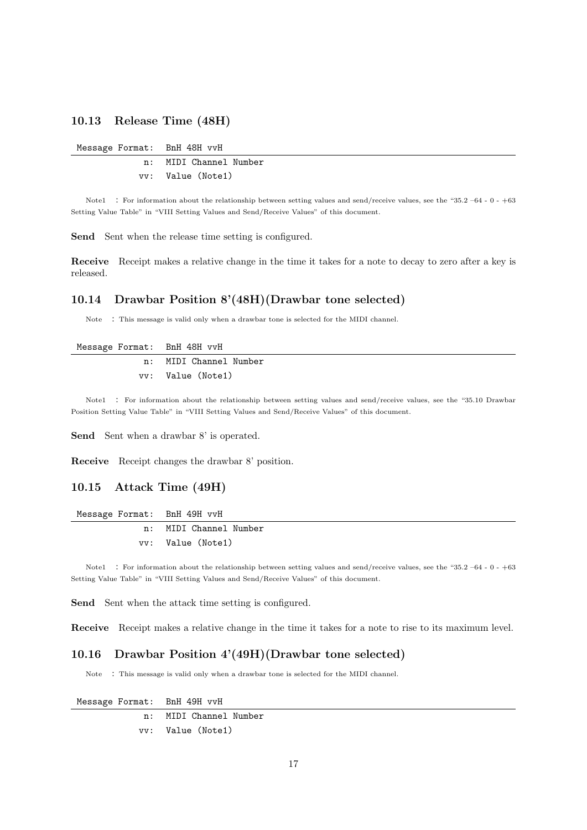#### **10.13 Release Time (48H)**

| Message Format: BnH 48H vvH |                        |
|-----------------------------|------------------------|
|                             | n: MIDI Channel Number |
|                             | vy: Value (Note1)      |

Note1 : For information about the relationship between setting values and send/receive values, see the "35.2 –64 - 0 - +63 Setting Value Table" in "VIII Setting Values and Send/Receive Values" of this document.

Send Sent when the release time setting is configured.

**Receive** Receipt makes a relative change in the time it takes for a note to decay to zero after a key is released.

## **10.14 Drawbar Position 8'(48H)(Drawbar tone selected)**

Note : This message is valid only when a drawbar tone is selected for the MIDI channel.

| Message Format: BnH 48H vvH |                        |
|-----------------------------|------------------------|
|                             | n: MIDI Channel Number |
|                             | vv: Value (Note1)      |

Note1 : For information about the relationship between setting values and send/receive values, see the "35.10 Drawbar Position Setting Value Table" in "VIII Setting Values and Send/Receive Values" of this document.

Send Sent when a drawbar 8' is operated.

**Receive** Receipt changes the drawbar 8' position.

#### **10.15 Attack Time (49H)**

| Message Format: BnH 49H vvH |                        |
|-----------------------------|------------------------|
|                             | n: MIDI Channel Number |
|                             | vy: Value (Note1)      |

Note1 : For information about the relationship between setting values and send/receive values, see the "35.2 –64 - 0 - +63 Setting Value Table" in "VIII Setting Values and Send/Receive Values" of this document.

Send Sent when the attack time setting is configured.

**Receive** Receipt makes a relative change in the time it takes for a note to rise to its maximum level.

#### **10.16 Drawbar Position 4'(49H)(Drawbar tone selected)**

Note : This message is valid only when a drawbar tone is selected for the MIDI channel.

Message Format: BnH 49H vvH n: MIDI Channel Number vv: Value (Note1)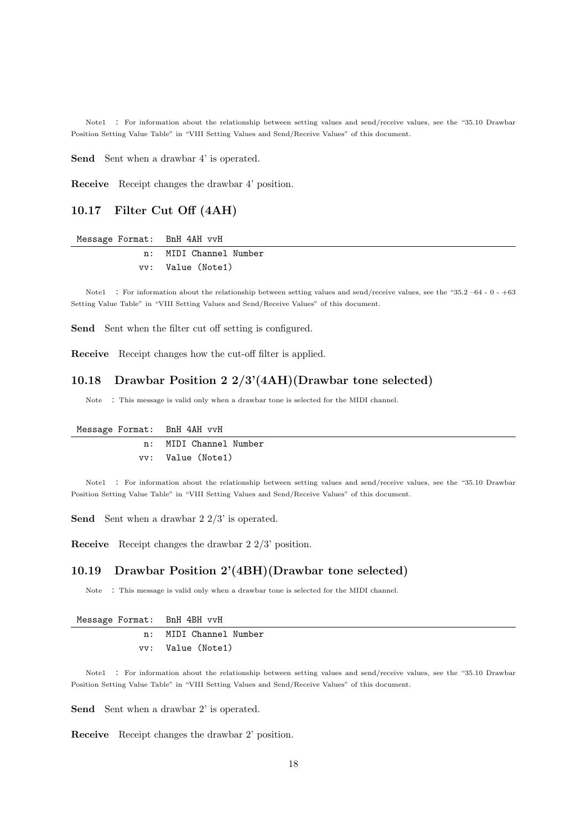Note1 : For information about the relationship between setting values and send/receive values, see the "35.10 Drawbar Position Setting Value Table" in "VIII Setting Values and Send/Receive Values" of this document.

Send Sent when a drawbar 4' is operated.

**Receive** Receipt changes the drawbar 4' position.

# **10.17 Filter Cut Off (4AH)**

Message Format: BnH 4AH vvH

| n: MIDI Channel Number |
|------------------------|
| vy: Value (Note1)      |

Note1 : For information about the relationship between setting values and send/receive values, see the "35.2 –64 - 0 - +63 Setting Value Table" in "VIII Setting Values and Send/Receive Values" of this document.

**Send** Sent when the filter cut off setting is configured.

**Receive** Receipt changes how the cut-off filter is applied.

#### **10.18 Drawbar Position 2 2/3'(4AH)(Drawbar tone selected)**

Note : This message is valid only when a drawbar tone is selected for the MIDI channel.

| Message Format: BnH 4AH vvH |                        |
|-----------------------------|------------------------|
|                             | n: MIDI Channel Number |
|                             | vy: Value (Note1)      |

Note1 : For information about the relationship between setting values and send/receive values, see the "35.10 Drawbar Position Setting Value Table" in "VIII Setting Values and Send/Receive Values" of this document.

**Send** Sent when a drawbar 2 2/3' is operated.

**Receive** Receipt changes the drawbar 2 2/3' position.

#### **10.19 Drawbar Position 2'(4BH)(Drawbar tone selected)**

Note : This message is valid only when a drawbar tone is selected for the MIDI channel.

|  | Message Format: | BnH 4BH vvH |  |  |
|--|-----------------|-------------|--|--|
|--|-----------------|-------------|--|--|

| n: MIDI Channel Number |
|------------------------|
| vv: Value (Note1)      |

Note1 : For information about the relationship between setting values and send/receive values, see the "35.10 Drawbar Position Setting Value Table" in "VIII Setting Values and Send/Receive Values" of this document.

Send Sent when a drawbar 2' is operated.

**Receive** Receipt changes the drawbar 2' position.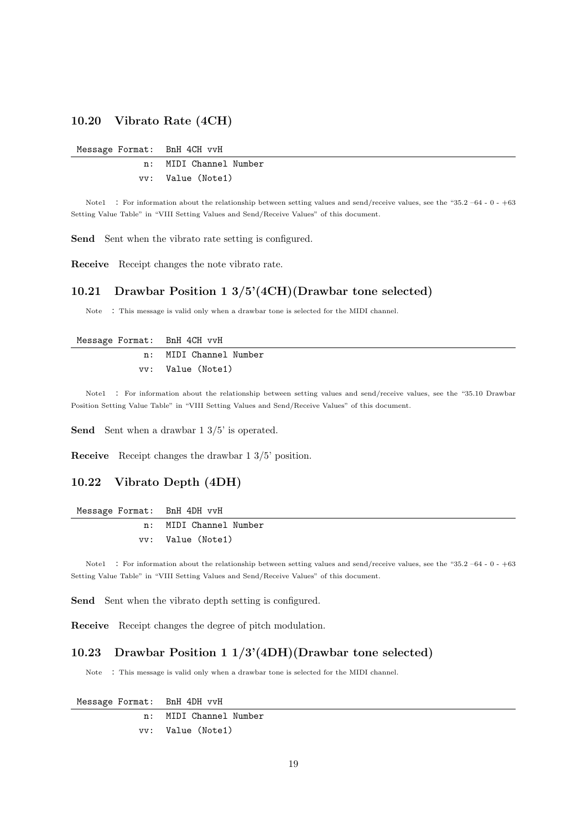#### **10.20 Vibrato Rate (4CH)**

|  |  | Message Format: | BnH 4CH vvH |  |  |
|--|--|-----------------|-------------|--|--|
|--|--|-----------------|-------------|--|--|

n: MIDI Channel Number vv: Value (Note1)

Note1 : For information about the relationship between setting values and send/receive values, see the "35.2 –64 - 0 - +63 Setting Value Table" in "VIII Setting Values and Send/Receive Values" of this document.

**Send** Sent when the vibrato rate setting is configured.

**Receive** Receipt changes the note vibrato rate.

## **10.21 Drawbar Position 1 3/5'(4CH)(Drawbar tone selected)**

Note : This message is valid only when a drawbar tone is selected for the MIDI channel.

#### Message Format: BnH 4CH vvH

| n: MIDI Channel Number |
|------------------------|
| vv: Value (Note1)      |

Note1 : For information about the relationship between setting values and send/receive values, see the "35.10 Drawbar Position Setting Value Table" in "VIII Setting Values and Send/Receive Values" of this document.

**Send** Sent when a drawbar 1 3/5' is operated.

**Receive** Receipt changes the drawbar 1 3/5' position.

## **10.22 Vibrato Depth (4DH)**

|  | Message Format: |  | BnH 4DH vvH |  |
|--|-----------------|--|-------------|--|
|--|-----------------|--|-------------|--|

| n: MIDI Channel Number |
|------------------------|
| vy: Value (Note1)      |

Note1 : For information about the relationship between setting values and send/receive values, see the "35.2 -64 - 0 - +63 Setting Value Table" in "VIII Setting Values and Send/Receive Values" of this document.

Send Sent when the vibrato depth setting is configured.

**Receive** Receipt changes the degree of pitch modulation.

#### **10.23 Drawbar Position 1 1/3'(4DH)(Drawbar tone selected)**

Note : This message is valid only when a drawbar tone is selected for the MIDI channel.

Message Format: BnH 4DH vvH n: MIDI Channel Number vv: Value (Note1)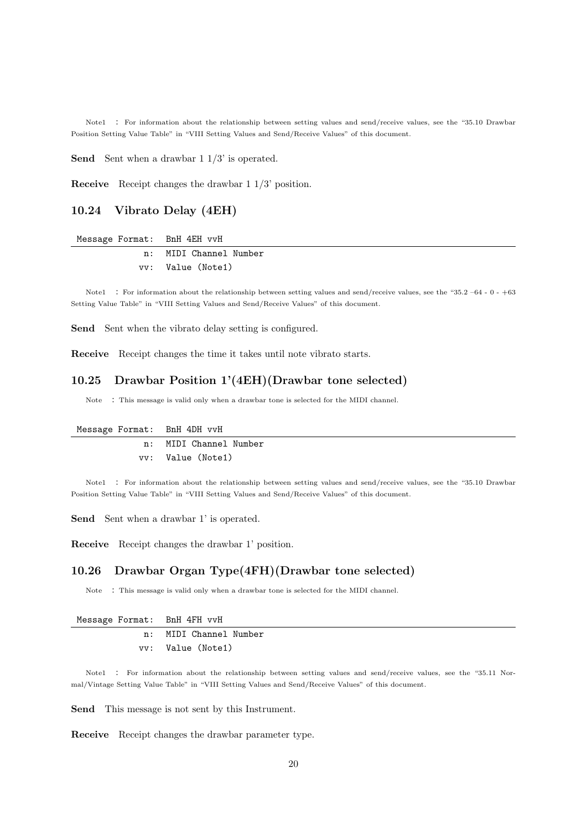Note1 : For information about the relationship between setting values and send/receive values, see the "35.10 Drawbar Position Setting Value Table" in "VIII Setting Values and Send/Receive Values" of this document.

**Send** Sent when a drawbar 1 1/3' is operated.

**Receive** Receipt changes the drawbar 1 1/3' position.

## **10.24 Vibrato Delay (4EH)**

|  | Message Format: |  | BnH 4EH vvH |  |
|--|-----------------|--|-------------|--|
|--|-----------------|--|-------------|--|

| n: | MIDI Channel Number |
|----|---------------------|
|    | vy: Value (Note1)   |

Note1 : For information about the relationship between setting values and send/receive values, see the "35.2 –64 - 0 - +63 Setting Value Table" in "VIII Setting Values and Send/Receive Values" of this document.

Send Sent when the vibrato delay setting is configured.

**Receive** Receipt changes the time it takes until note vibrato starts.

#### **10.25 Drawbar Position 1'(4EH)(Drawbar tone selected)**

Note : This message is valid only when a drawbar tone is selected for the MIDI channel.

| Message Format: BnH 4DH vvH |                        |
|-----------------------------|------------------------|
|                             | n: MIDI Channel Number |
|                             | vy: Value (Note1)      |

Note1 : For information about the relationship between setting values and send/receive values, see the "35.10 Drawbar Position Setting Value Table" in "VIII Setting Values and Send/Receive Values" of this document.

Send Sent when a drawbar 1' is operated.

**Receive** Receipt changes the drawbar 1' position.

#### **10.26 Drawbar Organ Type(4FH)(Drawbar tone selected)**

Note : This message is valid only when a drawbar tone is selected for the MIDI channel.

|  | Message Format: |  |  | BnH 4FH vvH |
|--|-----------------|--|--|-------------|
|--|-----------------|--|--|-------------|

| n: MIDI Channel Number |
|------------------------|
| vv: Value (Note1)      |

Note1 : For information about the relationship between setting values and send/receive values, see the "35.11 Normal/Vintage Setting Value Table" in "VIII Setting Values and Send/Receive Values" of this document.

**Send** This message is not sent by this Instrument.

**Receive** Receipt changes the drawbar parameter type.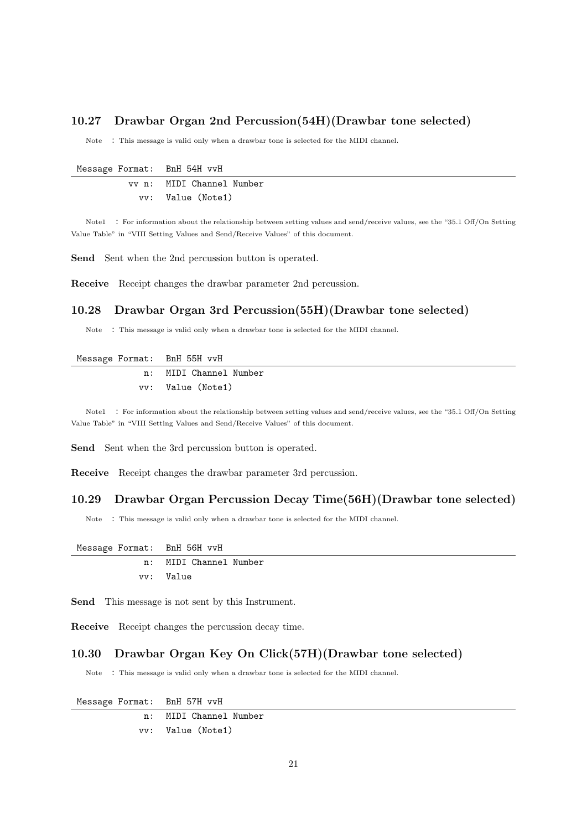#### **10.27 Drawbar Organ 2nd Percussion(54H)(Drawbar tone selected)**

Note : This message is valid only when a drawbar tone is selected for the MIDI channel.

| Message Format: BnH 54H vvH |                           |
|-----------------------------|---------------------------|
|                             | vv n: MIDI Channel Number |
|                             | vy: Value (Note1)         |

Note1 : For information about the relationship between setting values and send/receive values, see the "35.1 Off/On Setting Value Table" in "VIII Setting Values and Send/Receive Values" of this document.

Send Sent when the 2nd percussion button is operated.

**Receive** Receipt changes the drawbar parameter 2nd percussion.

## **10.28 Drawbar Organ 3rd Percussion(55H)(Drawbar tone selected)**

Note : This message is valid only when a drawbar tone is selected for the MIDI channel.

|  | Message Format: |  | BnH 55H vvH |  |
|--|-----------------|--|-------------|--|
|--|-----------------|--|-------------|--|

| n: MIDI Channel Number |
|------------------------|
| vy: Value (Note1)      |

Note1 : For information about the relationship between setting values and send/receive values, see the "35.1 Off/On Setting Value Table" in "VIII Setting Values and Send/Receive Values" of this document.

Send Sent when the 3rd percussion button is operated.

**Receive** Receipt changes the drawbar parameter 3rd percussion.

#### **10.29 Drawbar Organ Percussion Decay Time(56H)(Drawbar tone selected)**

Note : This message is valid only when a drawbar tone is selected for the MIDI channel.

Message Format: BnH 56H vvH

|           | n: MIDI Channel Number |  |
|-----------|------------------------|--|
| vy: Value |                        |  |

**Send** This message is not sent by this Instrument.

**Receive** Receipt changes the percussion decay time.

### **10.30 Drawbar Organ Key On Click(57H)(Drawbar tone selected)**

Note : This message is valid only when a drawbar tone is selected for the MIDI channel.

Message Format: BnH 57H vvH n: MIDI Channel Number vv: Value (Note1)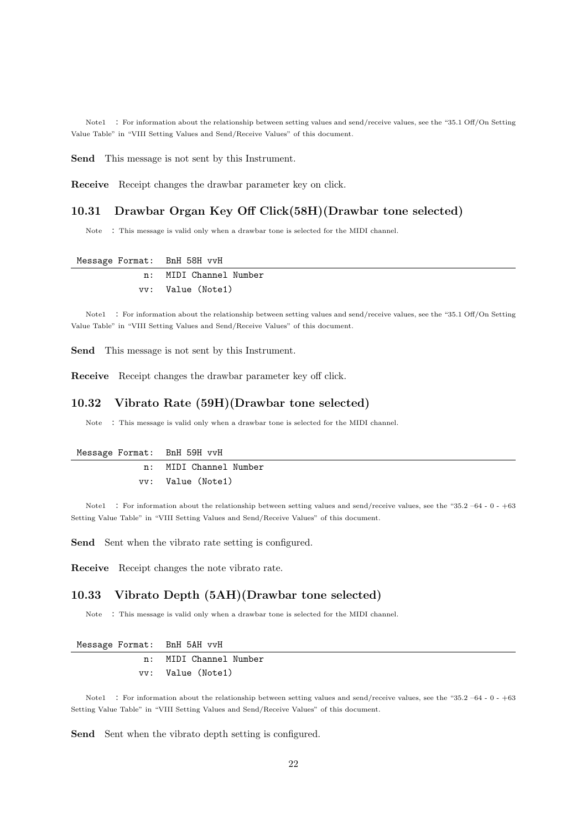Note1 : For information about the relationship between setting values and send/receive values, see the "35.1 Off/On Setting Value Table" in "VIII Setting Values and Send/Receive Values" of this document.

**Send** This message is not sent by this Instrument.

**Receive** Receipt changes the drawbar parameter key on click.

## **10.31 Drawbar Organ Key Off Click(58H)(Drawbar tone selected)**

Note : This message is valid only when a drawbar tone is selected for the MIDI channel.

| Message Format:  BnH 58H vvH |                        |
|------------------------------|------------------------|
|                              | n: MIDI Channel Number |
|                              | vy: Value (Note1)      |

Note1 : For information about the relationship between setting values and send/receive values, see the "35.1 Off/On Setting Value Table" in "VIII Setting Values and Send/Receive Values" of this document.

**Send** This message is not sent by this Instrument.

**Receive** Receipt changes the drawbar parameter key off click.

#### **10.32 Vibrato Rate (59H)(Drawbar tone selected)**

Note : This message is valid only when a drawbar tone is selected for the MIDI channel.

| Message Format: BnH 59H vvH |                        |
|-----------------------------|------------------------|
|                             | n: MIDI Channel Number |
|                             | vv: Value (Note1)      |

Note1 : For information about the relationship between setting values and send/receive values, see the "35.2 –64 - 0 - +63 Setting Value Table" in "VIII Setting Values and Send/Receive Values" of this document.

Send Sent when the vibrato rate setting is configured.

**Receive** Receipt changes the note vibrato rate.

#### **10.33 Vibrato Depth (5AH)(Drawbar tone selected)**

Note : This message is valid only when a drawbar tone is selected for the MIDI channel.

| Message Format: BnH 5AH vvH |                        |
|-----------------------------|------------------------|
|                             | n: MIDI Channel Number |
|                             | vy: Value (Note1)      |

Note1 : For information about the relationship between setting values and send/receive values, see the "35.2 –64 - 0 - +63 Setting Value Table" in "VIII Setting Values and Send/Receive Values" of this document.

Send Sent when the vibrato depth setting is configured.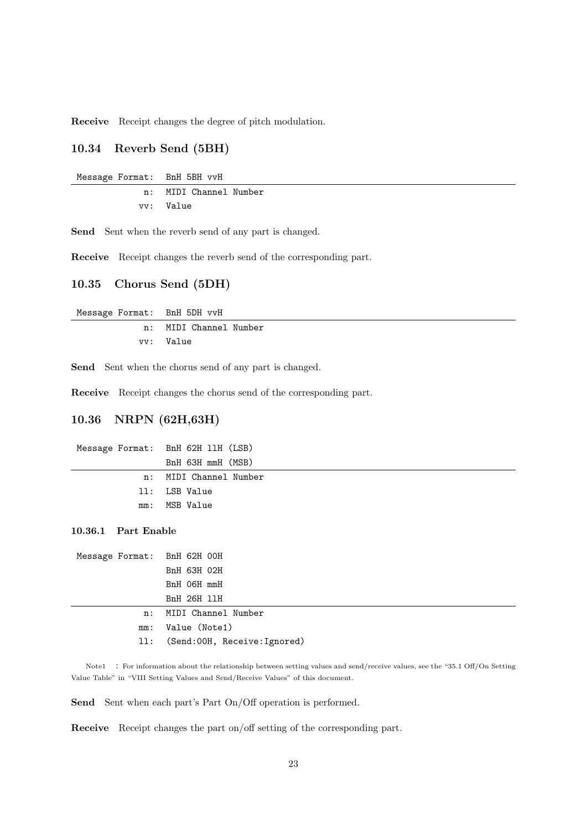**Receive** Receipt changes the degree of pitch modulation.

### **10.34 Reverb Send (5BH)**

| Message Format: BnH 5BH vvH |                        |
|-----------------------------|------------------------|
|                             | n: MIDI Channel Number |
|                             | vv: Value              |

Send Sent when the reverb send of any part is changed.

**Receive** Receipt changes the reverb send of the corresponding part.

#### **10.35 Chorus Send (5DH)**

| Message Format: BnH 5DH vvH |                        |
|-----------------------------|------------------------|
|                             | n: MIDI Channel Number |
|                             | vv: Value              |

Send Sent when the chorus send of any part is changed.

**Receive** Receipt changes the chorus send of the corresponding part.

## **10.36 NRPN (62H,63H)**

| Message Format: BnH 62H 11H (LSB) |
|-----------------------------------|
| BnH 63H mmH (MSB)                 |
| n: MIDI Channel Number            |
| 11: LSB Value                     |
| mm: MSB Value                     |
|                                   |

#### **10.36.1 Part Enable**

| Message Format: BnH 62H 00H |                                  |
|-----------------------------|----------------------------------|
|                             | BnH 63H 02H                      |
|                             | BnH O6H mmH                      |
|                             | BnH 26H 11H                      |
|                             | n: MIDI Channel Number           |
|                             | mm: Value (Note1)                |
|                             | 11: (Send:00H, Receive: Ignored) |
|                             |                                  |

Note1 : For information about the relationship between setting values and send/receive values, see the "35.1 Off/On Setting Value Table" in "VIII Setting Values and Send/Receive Values" of this document.

Send Sent when each part's Part On/Off operation is performed.

**Receive** Receipt changes the part on/off setting of the corresponding part.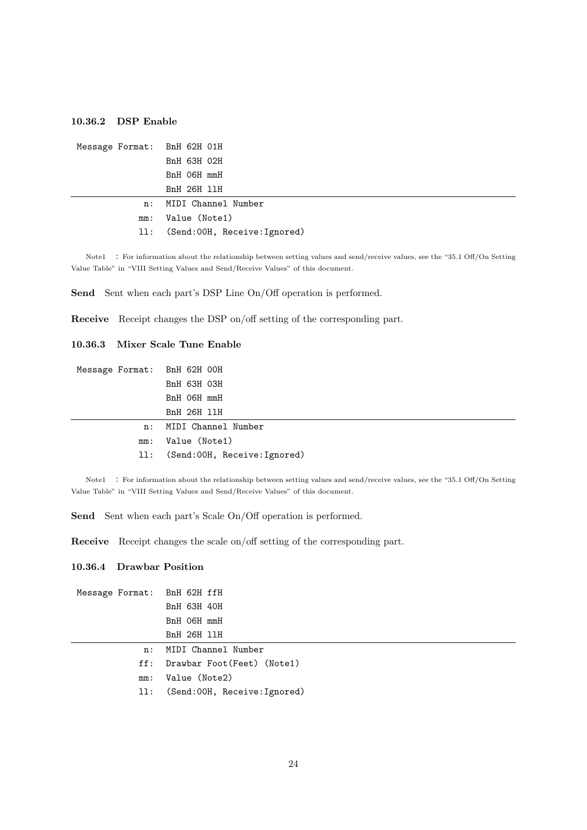#### **10.36.2 DSP Enable**

```
Message Format: BnH 62H 01H
     BnH 63H 02H
     BnH 06H mmH
     BnH 26H llH
 n: MIDI Channel Number
mm: Value (Note1)
ll: (Send:00H, Receive:Ignored)
```
Note1 : For information about the relationship between setting values and send/receive values, see the "35.1 Off/On Setting Value Table" in "VIII Setting Values and Send/Receive Values" of this document.

Send Sent when each part's DSP Line On/Off operation is performed.

**Receive** Receipt changes the DSP on/off setting of the corresponding part.

#### **10.36.3 Mixer Scale Tune Enable**

| Message Format: BnH 62H 00H |                                  |
|-----------------------------|----------------------------------|
|                             | BnH 63H 03H                      |
|                             | BnH 06H mmH                      |
|                             | BnH 26H 11H                      |
|                             | n: MIDI Channel Number           |
|                             | mm: Value (Note1)                |
|                             | 11: (Send:00H, Receive: Ignored) |
|                             |                                  |

Note1 : For information about the relationship between setting values and send/receive values, see the "35.1 Off/On Setting Value Table" in "VIII Setting Values and Send/Receive Values" of this document.

Send Sent when each part's Scale On/Off operation is performed.

**Receive** Receipt changes the scale on/off setting of the corresponding part.

#### **10.36.4 Drawbar Position**

| Message Format: BnH 62H ffH |                                 |
|-----------------------------|---------------------------------|
|                             | BnH 63H 40H                     |
|                             | BnH O6H mmH                     |
|                             | <b>BnH 26H 11H</b>              |
| n:                          | MIDI Channel Number             |
|                             | ff: Drawbar Foot(Feet) (Note1)  |
| mm:                         | Value (Note2)                   |
|                             | 11: (Send:00H, Receive:Ignored) |
|                             |                                 |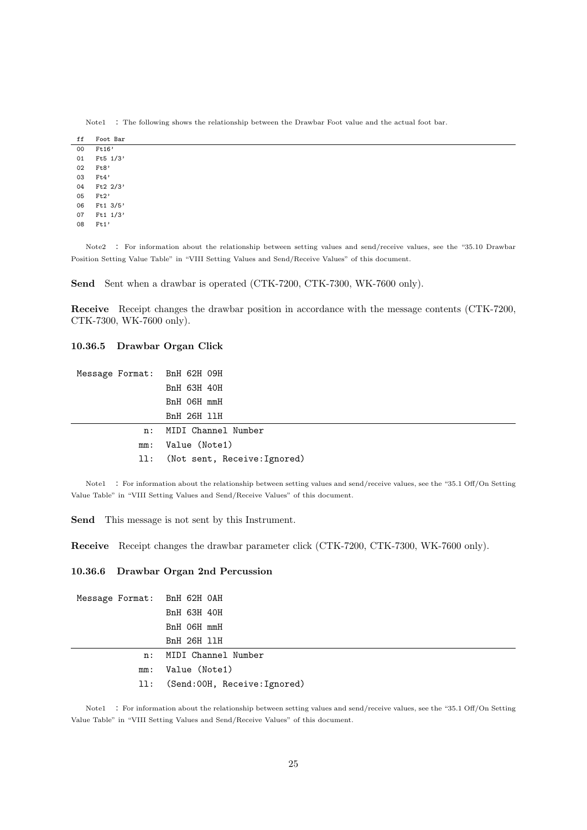| ff | Foot Bar    |
|----|-------------|
| 00 | Ft16'       |
| 01 | Ft5 1/3'    |
| 02 | Ft8'        |
| 03 | Ft4'        |
| 04 | Ft2 2/3'    |
| 05 | Ft2'        |
| 06 | $Ft1$ 3/5'  |
| 07 | Ft1 $1/3$ ' |
| 08 | Ft1'        |

Note1 : The following shows the relationship between the Drawbar Foot value and the actual foot bar.

Note2 : For information about the relationship between setting values and send/receive values, see the "35.10 Drawbar Position Setting Value Table" in "VIII Setting Values and Send/Receive Values" of this document.

Send Sent when a drawbar is operated (CTK-7200, CTK-7300, WK-7600 only).

**Receive** Receipt changes the drawbar position in accordance with the message contents (CTK-7200, CTK-7300, WK-7600 only).

#### **10.36.5 Drawbar Organ Click**

| Message Format: BnH 62H 09H |                                  |
|-----------------------------|----------------------------------|
|                             | BnH 63H 40H                      |
|                             | BnH O6H mmH                      |
|                             | BnH 26H 11H                      |
| n:                          | MIDI Channel Number              |
| mm:                         | Value (Note1)                    |
|                             | 11: (Not sent, Receive: Ignored) |

Note1 : For information about the relationship between setting values and send/receive values, see the "35.1 Off/On Setting Value Table" in "VIII Setting Values and Send/Receive Values" of this document.

**Send** This message is not sent by this Instrument.

**Receive** Receipt changes the drawbar parameter click (CTK-7200, CTK-7300, WK-7600 only).

#### **10.36.6 Drawbar Organ 2nd Percussion**

| Message Format: BnH 62H OAH |                                  |
|-----------------------------|----------------------------------|
|                             | BnH 63H 40H                      |
|                             | BnH 06H mmH                      |
|                             | BnH 26H 11H                      |
|                             | n: MIDI Channel Number           |
| mm:                         | Value (Note1)                    |
|                             | 11: (Send:00H, Receive: Ignored) |

Note1 : For information about the relationship between setting values and send/receive values, see the "35.1 Off/On Setting Value Table" in "VIII Setting Values and Send/Receive Values" of this document.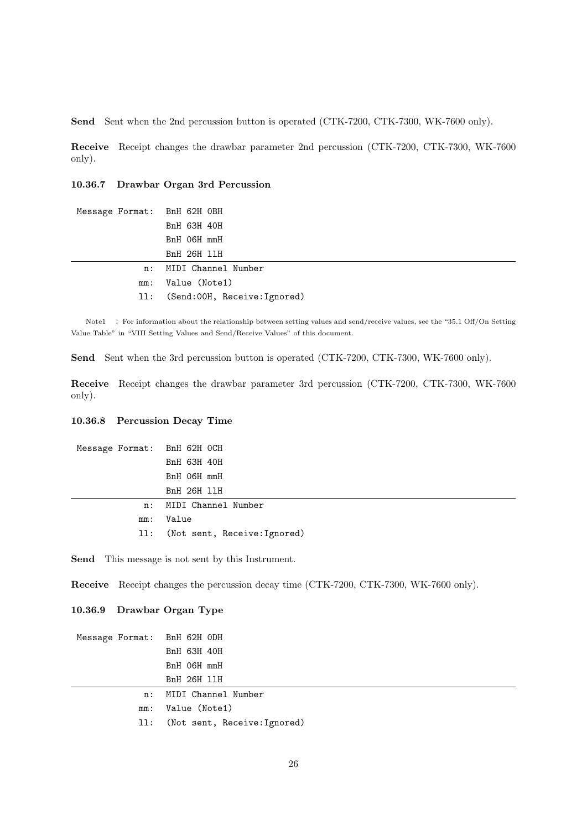**Send** Sent when the 2nd percussion button is operated (CTK-7200, CTK-7300, WK-7600 only).

**Receive** Receipt changes the drawbar parameter 2nd percussion (CTK-7200, CTK-7300, WK-7600 only).

**10.36.7 Drawbar Organ 3rd Percussion**

| Message Format: BnH 62H OBH |                                 |
|-----------------------------|---------------------------------|
|                             | BnH 63H 40H                     |
|                             | BnH O6H mmH                     |
|                             | BnH 26H 11H                     |
|                             | n: MIDI Channel Number          |
|                             | mm: Value (Note1)               |
|                             | 11: (Send:00H, Receive:Ignored) |

Note1 : For information about the relationship between setting values and send/receive values, see the "35.1 Off/On Setting Value Table" in "VIII Setting Values and Send/Receive Values" of this document.

Send Sent when the 3rd percussion button is operated (CTK-7200, CTK-7300, WK-7600 only).

**Receive** Receipt changes the drawbar parameter 3rd percussion (CTK-7200, CTK-7300, WK-7600 only).

#### **10.36.8 Percussion Decay Time**

| Message Format: BnH 62H OCH |                                  |
|-----------------------------|----------------------------------|
|                             | BnH 63H 40H                      |
|                             | BnH O6H mmH                      |
|                             | BnH 26H 11H                      |
|                             | n: MIDI Channel Number           |
|                             | mm: Value                        |
|                             | 11: (Not sent, Receive: Ignored) |

**Send** This message is not sent by this Instrument.

**Receive** Receipt changes the percussion decay time (CTK-7200, CTK-7300, WK-7600 only).

#### **10.36.9 Drawbar Organ Type**

| Message Format: BnH 62H ODH |                                  |
|-----------------------------|----------------------------------|
|                             | BnH 63H 40H                      |
|                             | BnH O6H mmH                      |
|                             | BnH 26H 11H                      |
| n:                          | MIDI Channel Number              |
| mm:                         | Value (Note1)                    |
|                             | 11: (Not sent, Receive: Ignored) |
|                             |                                  |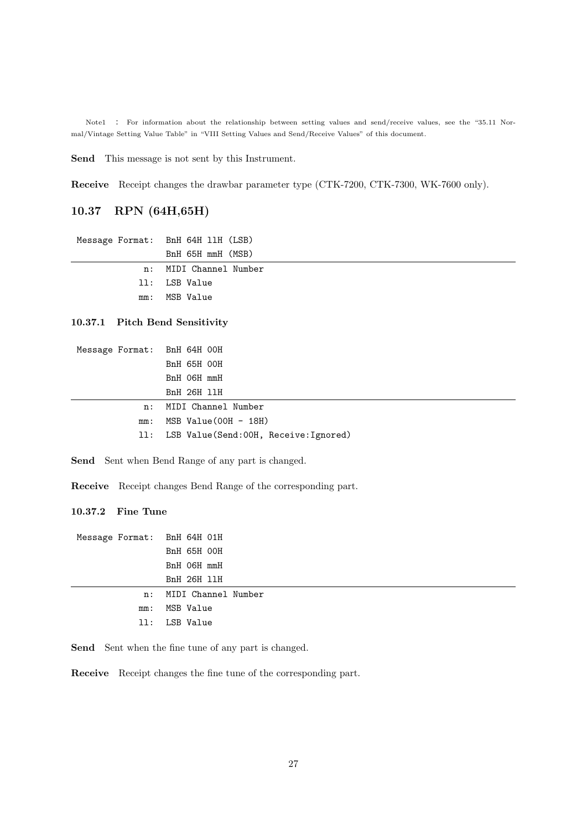Note1 : For information about the relationship between setting values and send/receive values, see the "35.11 Normal/Vintage Setting Value Table" in "VIII Setting Values and Send/Receive Values" of this document.

**Send** This message is not sent by this Instrument.

**Receive** Receipt changes the drawbar parameter type (CTK-7200, CTK-7300, WK-7600 only).

## **10.37 RPN (64H,65H)**

| Message Format: BnH 64H 11H (LSB) |
|-----------------------------------|
| BnH 65H mmH (MSB)                 |
| n: MIDI Channel Number            |
| 11: LSB Value                     |
| mm: MSB Value                     |

#### **10.37.1 Pitch Bend Sensitivity**

| Message Format: BnH 64H 00H              |
|------------------------------------------|
| BnH 65H 00H                              |
| BnH O6H mmH                              |
| <b>BnH 26H 11H</b>                       |
| MIDI Channel Number                      |
| MSB Value(OOH - 18H)                     |
| 11: LSB Value(Send:00H, Receive:Ignored) |
|                                          |

Send Sent when Bend Range of any part is changed.

**Receive** Receipt changes Bend Range of the corresponding part.

### **10.37.2 Fine Tune**

| Message Format: BnH 64H 01H |                        |
|-----------------------------|------------------------|
|                             | BnH 65H 00H            |
|                             | BnH 06H mmH            |
|                             | BnH 26H 11H            |
|                             | n: MIDI Channel Number |
| mm:                         | MSB Value              |
|                             | 11: LSB Value          |
|                             |                        |

Send Sent when the fine tune of any part is changed.

**Receive** Receipt changes the fine tune of the corresponding part.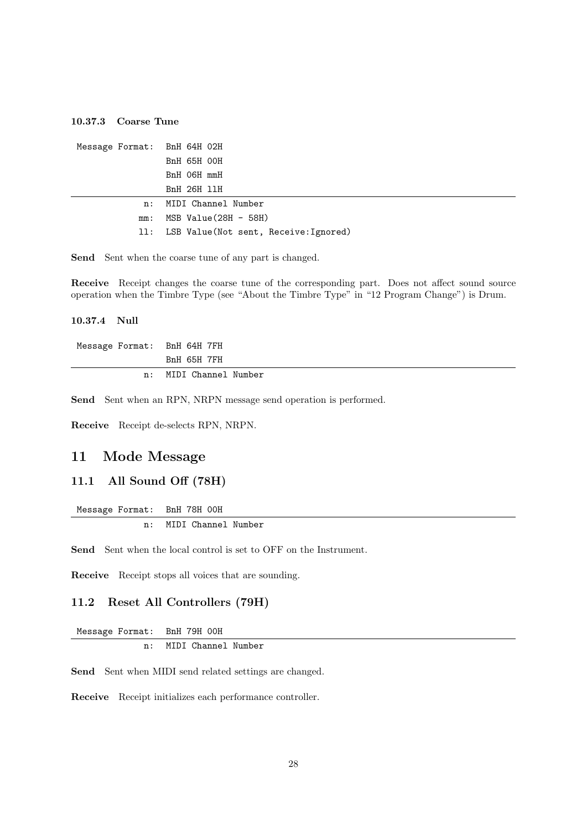#### **10.37.3 Coarse Tune**

| Message Format: BnH 64H 02H |                                           |
|-----------------------------|-------------------------------------------|
|                             | <b>BnH 65H 00H</b>                        |
|                             | BnH O6H mmH                               |
|                             | <b>BnH 26H 11H</b>                        |
|                             | n: MIDI Channel Number                    |
| mm:                         | MSB Value(28H - 58H)                      |
|                             | 11: LSB Value(Not sent, Receive: Ignored) |

Send Sent when the coarse tune of any part is changed.

**Receive** Receipt changes the coarse tune of the corresponding part. Does not affect sound source operation when the Timbre Type (see "About the Timbre Type" in "12 Program Change") is Drum.

## **10.37.4 Null**

| Message Format: BnH 64H 7FH |                        |
|-----------------------------|------------------------|
|                             | BnH 65H 7FH            |
|                             | n: MIDI Channel Number |

**Send** Sent when an RPN, NRPN message send operation is performed.

**Receive** Receipt de-selects RPN, NRPN.

## **11 Mode Message**

#### **11.1 All Sound Off (78H)**

```
Message Format: BnH 78H 00H
 n: MIDI Channel Number
```
Send Sent when the local control is set to OFF on the Instrument.

**Receive** Receipt stops all voices that are sounding.

#### **11.2 Reset All Controllers (79H)**

Message Format: BnH 79H 00H n: MIDI Channel Number

**Send** Sent when MIDI send related settings are changed.

**Receive** Receipt initializes each performance controller.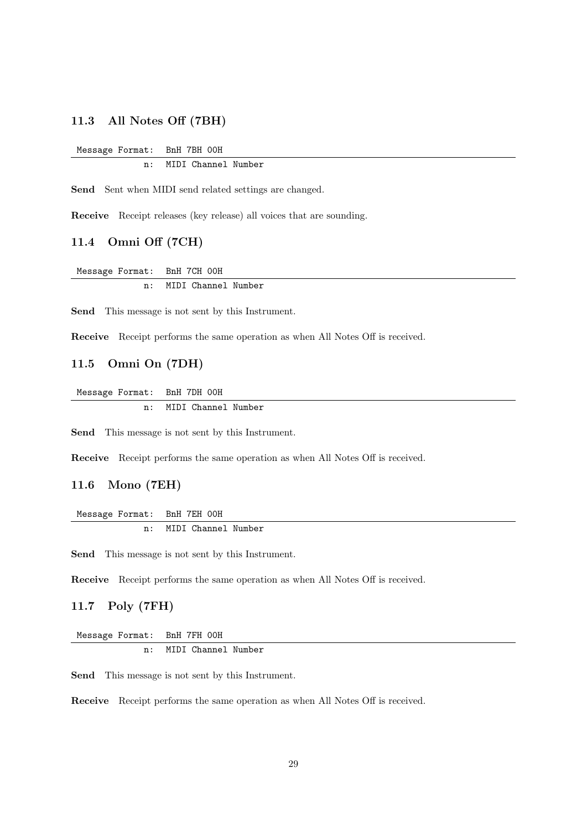#### **11.3 All Notes Off (7BH)**

Message Format: BnH 7BH 00H

n: MIDI Channel Number

Send Sent when MIDI send related settings are changed.

**Receive** Receipt releases (key release) all voices that are sounding.

## **11.4 Omni Off (7CH)**

Message Format: BnH 7CH 00H n: MIDI Channel Number

**Send** This message is not sent by this Instrument.

**Receive** Receipt performs the same operation as when All Notes Off is received.

## **11.5 Omni On (7DH)**

Message Format: BnH 7DH 00H n: MIDI Channel Number

**Send** This message is not sent by this Instrument.

**Receive** Receipt performs the same operation as when All Notes Off is received.

#### **11.6 Mono (7EH)**

Message Format: BnH 7EH 00H n: MIDI Channel Number

**Send** This message is not sent by this Instrument.

**Receive** Receipt performs the same operation as when All Notes Off is received.

## **11.7 Poly (7FH)**

Message Format: BnH 7FH 00H n: MIDI Channel Number

**Send** This message is not sent by this Instrument.

**Receive** Receipt performs the same operation as when All Notes Off is received.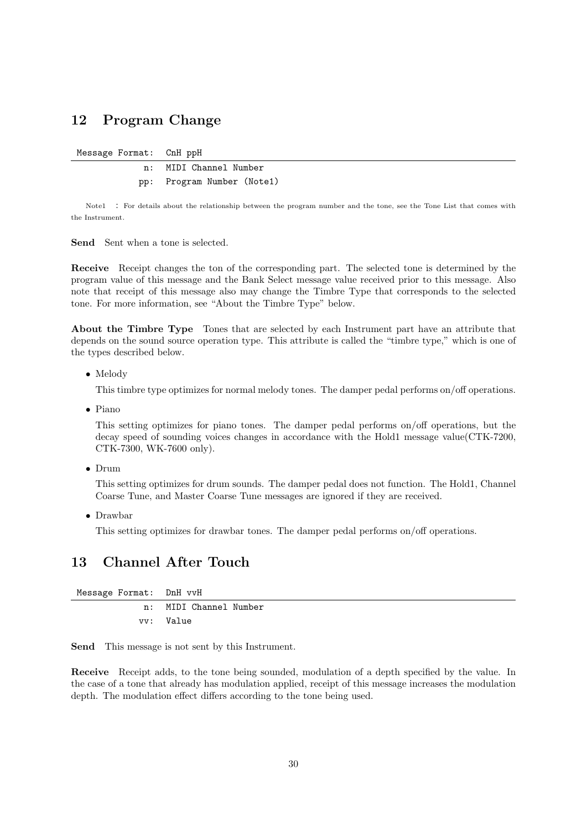# **12 Program Change**

Message Format: CnH ppH

n: MIDI Channel Number pp: Program Number (Note1)

Note1 : For details about the relationship between the program number and the tone, see the Tone List that comes with the Instrument.

**Send** Sent when a tone is selected.

**Receive** Receipt changes the ton of the corresponding part. The selected tone is determined by the program value of this message and the Bank Select message value received prior to this message. Also note that receipt of this message also may change the Timbre Type that corresponds to the selected tone. For more information, see "About the Timbre Type" below.

**About the Timbre Type** Tones that are selected by each Instrument part have an attribute that depends on the sound source operation type. This attribute is called the "timbre type," which is one of the types described below.

*•* Melody

This timbre type optimizes for normal melody tones. The damper pedal performs on/off operations.

*•* Piano

This setting optimizes for piano tones. The damper pedal performs on/off operations, but the decay speed of sounding voices changes in accordance with the Hold1 message value(CTK-7200, CTK-7300, WK-7600 only).

*•* Drum

This setting optimizes for drum sounds. The damper pedal does not function. The Hold1, Channel Coarse Tune, and Master Coarse Tune messages are ignored if they are received.

*•* Drawbar

This setting optimizes for drawbar tones. The damper pedal performs on/off operations.

# **13 Channel After Touch**

| Message Format: DnH vvH |                        |
|-------------------------|------------------------|
|                         | n: MIDI Channel Number |
|                         | vv: Value              |

**Send** This message is not sent by this Instrument.

**Receive** Receipt adds, to the tone being sounded, modulation of a depth specified by the value. In the case of a tone that already has modulation applied, receipt of this message increases the modulation depth. The modulation effect differs according to the tone being used.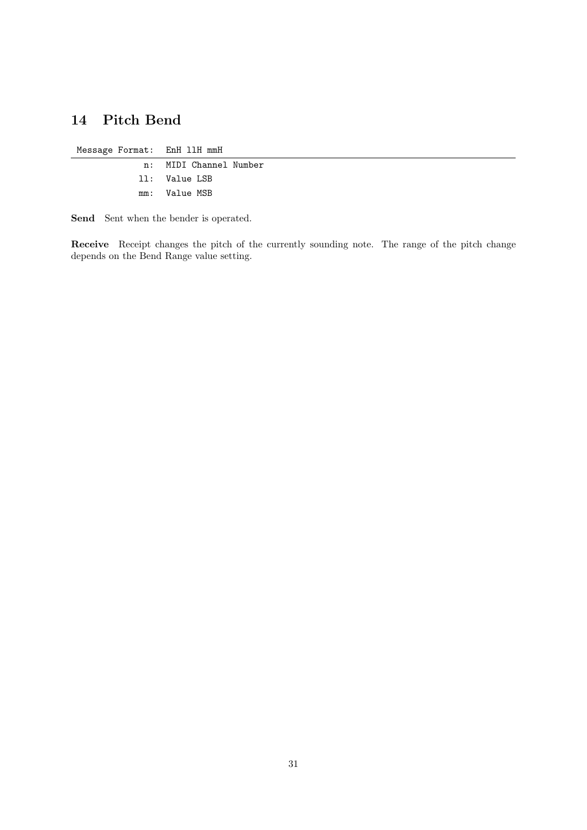# **14 Pitch Bend**

Message Format: EnH llH mmH

n: MIDI Channel Number ll: Value LSB mm: Value MSB

**Send** Sent when the bender is operated.

**Receive** Receipt changes the pitch of the currently sounding note. The range of the pitch change depends on the Bend Range value setting.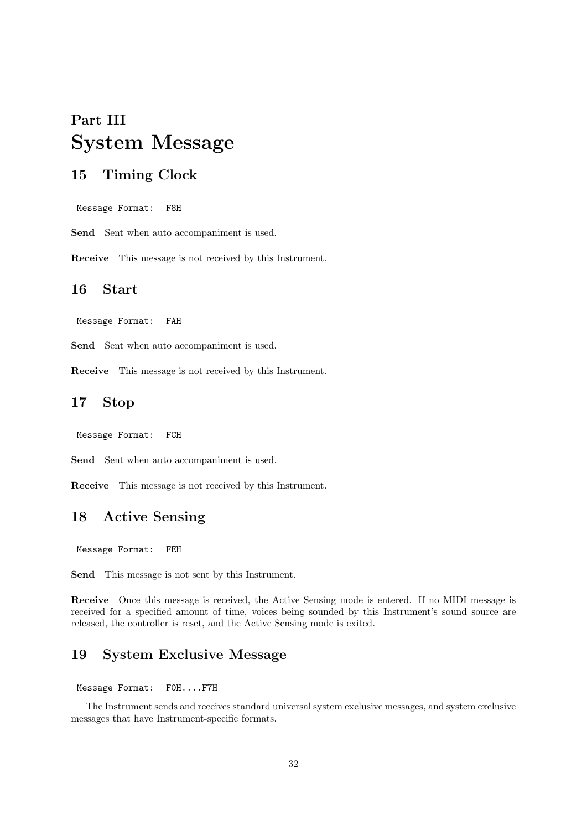# **Part III System Message**

# **15 Timing Clock**

Message Format: F8H

Send Sent when auto accompaniment is used.

**Receive** This message is not received by this Instrument.

## **16 Start**

Message Format: FAH

Send Sent when auto accompaniment is used.

**Receive** This message is not received by this Instrument.

# **17 Stop**

Message Format: FCH

Send Sent when auto accompaniment is used.

**Receive** This message is not received by this Instrument.

# **18 Active Sensing**

Message Format: FEH

**Send** This message is not sent by this Instrument.

**Receive** Once this message is received, the Active Sensing mode is entered. If no MIDI message is received for a specified amount of time, voices being sounded by this Instrument's sound source are released, the controller is reset, and the Active Sensing mode is exited.

# **19 System Exclusive Message**

#### Message Format: F0H....F7H

The Instrument sends and receives standard universal system exclusive messages, and system exclusive messages that have Instrument-specific formats.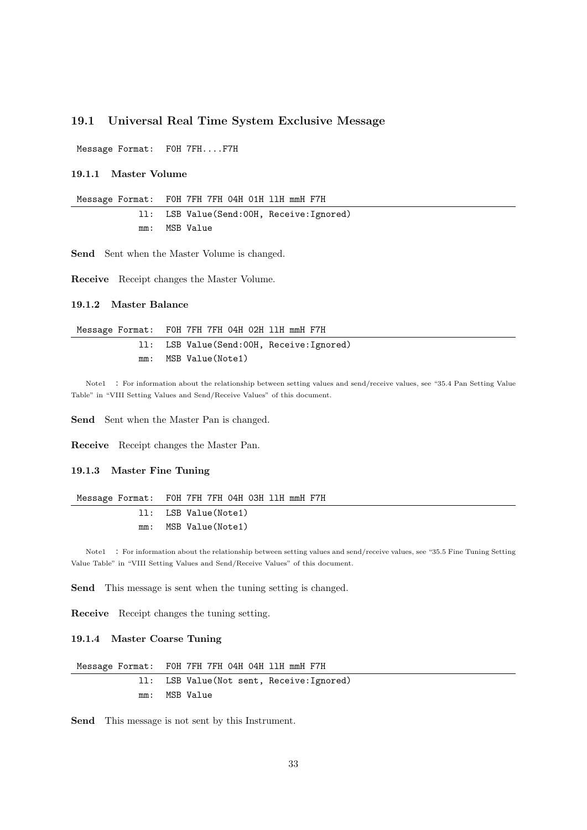#### **19.1 Universal Real Time System Exclusive Message**

Message Format: F0H 7FH....F7H

**19.1.1 Master Volume**

Message Format: F0H 7FH 7FH 04H 01H llH mmH F7H

ll: LSB Value(Send:00H, Receive:Ignored) mm: MSB Value

**Send** Sent when the Master Volume is changed.

**Receive** Receipt changes the Master Volume.

#### **19.1.2 Master Balance**

|     | Message Format: FOH 7FH 7FH 04H 02H 11H mmH F7H |
|-----|-------------------------------------------------|
|     | 11: LSB Value(Send:00H, Receive:Ignored)        |
| mm: | MSB Value(Note1)                                |

Note1 : For information about the relationship between setting values and send/receive values, see "35.4 Pan Setting Value Table" in "VIII Setting Values and Send/Receive Values" of this document.

Send Sent when the Master Pan is changed.

**Receive** Receipt changes the Master Pan.

#### **19.1.3 Master Fine Tuning**

|     | Message Format: FOH 7FH 7FH 04H 03H 11H mmH F7H |
|-----|-------------------------------------------------|
|     | 11: LSB Value(Note1)                            |
| mm: | MSB Value(Note1)                                |

Note1 : For information about the relationship between setting values and send/receive values, see "35.5 Fine Tuning Setting Value Table" in "VIII Setting Values and Send/Receive Values" of this document.

**Send** This message is sent when the tuning setting is changed.

**Receive** Receipt changes the tuning setting.

#### **19.1.4 Master Coarse Tuning**

| Message Format: FOH 7FH 7FH 04H 04H 11H mmH F7H |  |
|-------------------------------------------------|--|
| 11: LSB Value(Not sent, Receive: Ignored)       |  |
| mm: MSB Value                                   |  |

**Send** This message is not sent by this Instrument.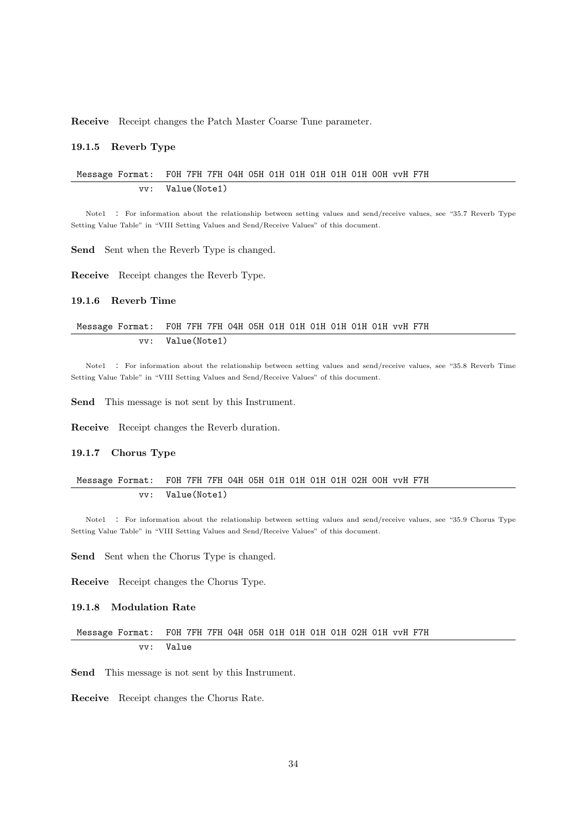**Receive** Receipt changes the Patch Master Coarse Tune parameter.

#### **19.1.5 Reverb Type**

#### Message Format: F0H 7FH 7FH 04H 05H 01H 01H 01H 01H 01H 00H vvH F7H vv: Value(Note1)

Note1 : For information about the relationship between setting values and send/receive values, see "35.7 Reverb Type Setting Value Table" in "VIII Setting Values and Send/Receive Values" of this document.

**Send** Sent when the Reverb Type is changed.

**Receive** Receipt changes the Reverb Type.

#### **19.1.6 Reverb Time**

#### Message Format: F0H 7FH 7FH 04H 05H 01H 01H 01H 01H 01H 01H vvH F7H vv: Value(Note1)

Note1 : For information about the relationship between setting values and send/receive values, see "35.8 Reverb Time Setting Value Table" in "VIII Setting Values and Send/Receive Values" of this document.

**Send** This message is not sent by this Instrument.

**Receive** Receipt changes the Reverb duration.

#### **19.1.7 Chorus Type**

#### Message Format: F0H 7FH 7FH 04H 05H 01H 01H 01H 01H 02H 00H vvH F7H vv: Value(Note1)

Note1 : For information about the relationship between setting values and send/receive values, see "35.9 Chorus Type Setting Value Table" in "VIII Setting Values and Send/Receive Values" of this document.

Send Sent when the Chorus Type is changed.

**Receive** Receipt changes the Chorus Type.

#### **19.1.8 Modulation Rate**

#### Message Format: F0H 7FH 7FH 04H 05H 01H 01H 01H 01H 02H 01H vvH F7H vv: Value

**Send** This message is not sent by this Instrument.

**Receive** Receipt changes the Chorus Rate.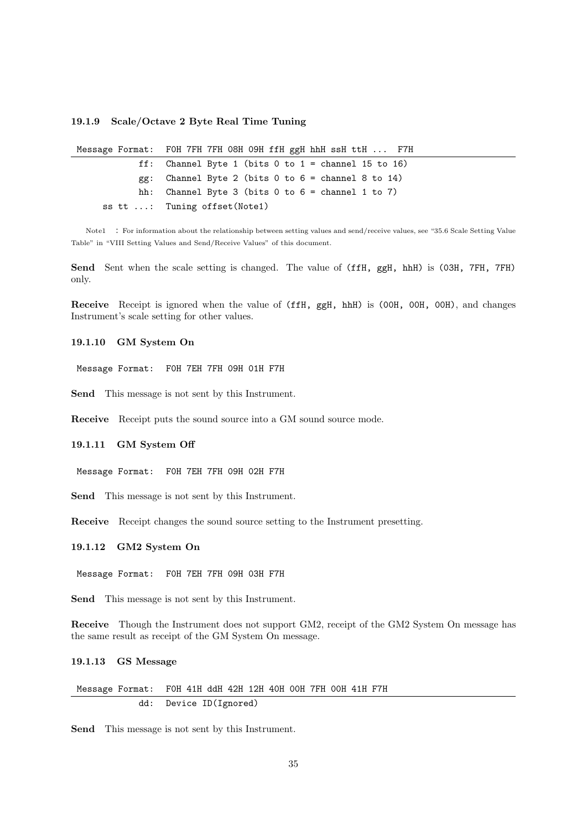#### **19.1.9 Scale/Octave 2 Byte Real Time Tuning**

| Message Format: FOH 7FH 7FH 08H 09H ffH ggH hhH ssH ttH  F7H |
|--------------------------------------------------------------|
| ff: Channel Byte 1 (bits $0$ to $1 =$ channel 15 to 16)      |
| $gg$ : Channel Byte 2 (bits 0 to 6 = channel 8 to 14)        |
| hh: Channel Byte 3 (bits 0 to $6 =$ channel 1 to 7)          |
| ss tt : Tuning offset (Note1)                                |

Note1 : For information about the relationship between setting values and send/receive values, see "35.6 Scale Setting Value Table" in "VIII Setting Values and Send/Receive Values" of this document.

Send Sent when the scale setting is changed. The value of (ffH, ggH, hhH) is (03H, 7FH, 7FH) only.

**Receive** Receipt is ignored when the value of (ffH, ggH, hhH) is (00H, 00H, 00H), and changes Instrument's scale setting for other values.

#### **19.1.10 GM System On**

Message Format: F0H 7EH 7FH 09H 01H F7H

**Send** This message is not sent by this Instrument.

**Receive** Receipt puts the sound source into a GM sound source mode.

#### **19.1.11 GM System Off**

Message Format: F0H 7EH 7FH 09H 02H F7H

**Send** This message is not sent by this Instrument.

**Receive** Receipt changes the sound source setting to the Instrument presetting.

#### **19.1.12 GM2 System On**

Message Format: F0H 7EH 7FH 09H 03H F7H

**Send** This message is not sent by this Instrument.

**Receive** Though the Instrument does not support GM2, receipt of the GM2 System On message has the same result as receipt of the GM System On message.

#### **19.1.13 GS Message**

Message Format: F0H 41H ddH 42H 12H 40H 00H 7FH 00H 41H F7H dd: Device ID(Ignored)

**Send** This message is not sent by this Instrument.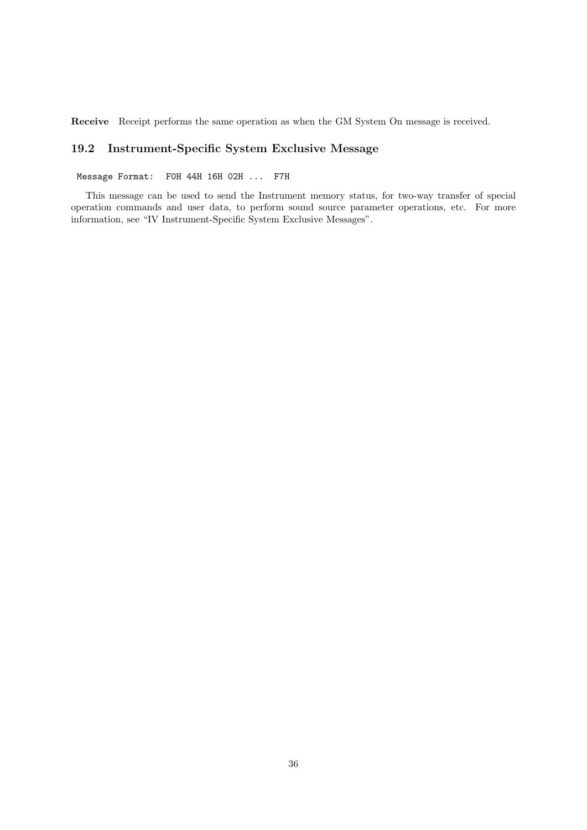**Receive** Receipt performs the same operation as when the GM System On message is received.

## **19.2 Instrument-Specific System Exclusive Message**

Message Format: F0H 44H 16H 02H ... F7H

This message can be used to send the Instrument memory status, for two-way transfer of special operation commands and user data, to perform sound source parameter operations, etc. For more information, see "IV Instrument-Specific System Exclusive Messages".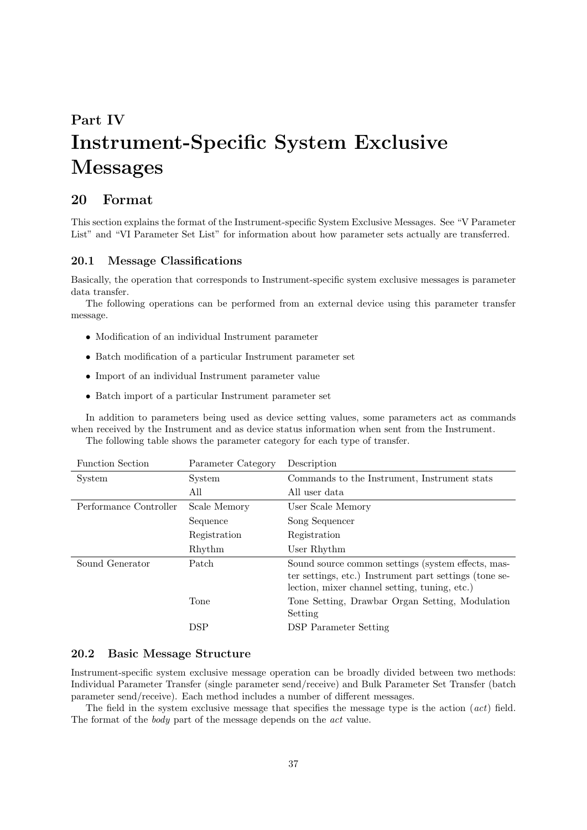# **Part IV Instrument-Specific System Exclusive Messages**

# **20 Format**

This section explains the format of the Instrument-specific System Exclusive Messages. See "V Parameter List" and "VI Parameter Set List" for information about how parameter sets actually are transferred.

#### **20.1 Message Classifications**

Basically, the operation that corresponds to Instrument-specific system exclusive messages is parameter data transfer.

The following operations can be performed from an external device using this parameter transfer message.

- *•* Modification of an individual Instrument parameter
- *•* Batch modification of a particular Instrument parameter set
- *•* Import of an individual Instrument parameter value
- *•* Batch import of a particular Instrument parameter set

In addition to parameters being used as device setting values, some parameters act as commands when received by the Instrument and as device status information when sent from the Instrument. The following table shows the parameter category for each type of transfer.

| <b>Function Section</b> | Parameter Category | Description                                                                                                                                                   |
|-------------------------|--------------------|---------------------------------------------------------------------------------------------------------------------------------------------------------------|
| System                  | System             | Commands to the Instrument, Instrument stats                                                                                                                  |
|                         | All                | All user data                                                                                                                                                 |
| Performance Controller  | Scale Memory       | User Scale Memory                                                                                                                                             |
|                         | Sequence           | Song Sequencer                                                                                                                                                |
|                         | Registration       | Registration                                                                                                                                                  |
|                         | Rhythm             | User Rhythm                                                                                                                                                   |
| Sound Generator         | Patch              | Sound source common settings (system effects, mas-<br>ter settings, etc.) Instrument part settings (tone se-<br>lection, mixer channel setting, tuning, etc.) |
|                         | Tone               | Tone Setting, Drawbar Organ Setting, Modulation<br>Setting                                                                                                    |
|                         | $_{\rm DSP}$       | <b>DSP</b> Parameter Setting                                                                                                                                  |

## **20.2 Basic Message Structure**

Instrument-specific system exclusive message operation can be broadly divided between two methods: Individual Parameter Transfer (single parameter send/receive) and Bulk Parameter Set Transfer (batch parameter send/receive). Each method includes a number of different messages.

The field in the system exclusive message that specifies the message type is the action (*act*) field. The format of the *body* part of the message depends on the *act* value.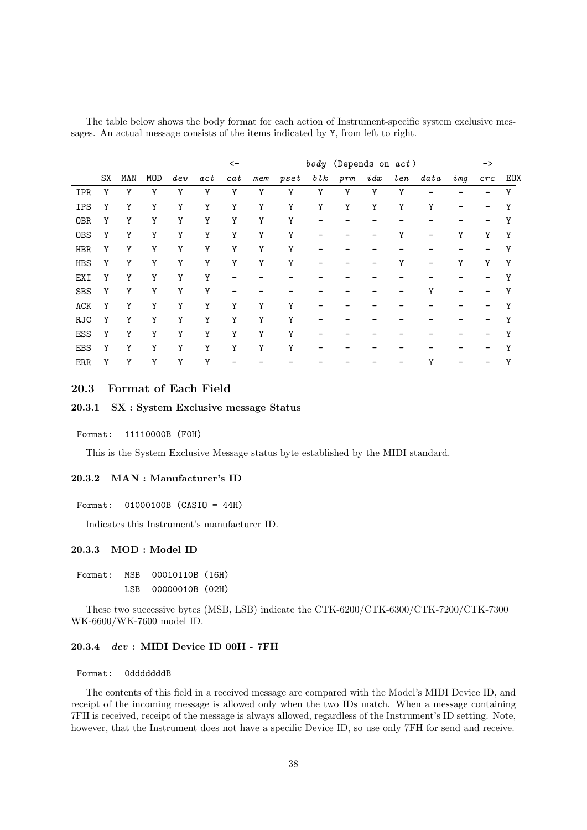The table below shows the body format for each action of Instrument-specific system exclusive messages. An actual message consists of the items indicated by Y, from left to right.

|            |    |     |            |     |           | $\leftarrow$ |     |      |             | body (Depends on act) |      |        |           |     | $\rightarrow$ |     |
|------------|----|-----|------------|-----|-----------|--------------|-----|------|-------------|-----------------------|------|--------|-----------|-----|---------------|-----|
|            | SX | MAN | <b>MOD</b> | dev | $\it act$ | cat          | mem | pset | $b\, l\, k$ | prm                   | i dx | $l$ en | $_{data}$ | img | crc           | EOX |
| <b>IPR</b> | Υ  | Υ   | Y          | Υ   | Υ         | Y            | Υ   | Υ    | Y           | Y                     | Y    | Y      |           |     |               | Y   |
| <b>IPS</b> | Y  | Y   | Y          | Υ   | Υ         | Y            | Υ   | Υ    | Y           | Y                     | Y    | Y      | Υ         |     |               |     |
| <b>OBR</b> | Y  | Υ   | Υ          | Υ   | Υ         | Υ            | Υ   | Υ    |             |                       |      |        |           |     |               | Υ   |
| <b>OBS</b> | Y  | Y   | Y          | Y   | Υ         | Y            | Y   | Y    |             |                       |      | Υ      |           | Y   | Y             | Y   |
| <b>HBR</b> | Y  | Y   | Y          | Υ   | Y         | Y            | Υ   | Y    |             |                       |      |        |           |     |               | Υ   |
| HBS        | Y  | Υ   | Υ          | Υ   | Υ         | Υ            | Υ   | Υ    |             |                       |      | Y      |           | Y   | Y             | Y   |
| EXI        | Y  | Y   | Y          | Υ   | Y         |              |     |      |             |                       |      |        |           |     |               | Υ   |
| SBS        | Y  | Υ   | Υ          | Υ   | Υ         |              |     |      |             |                       |      |        | Y         |     |               |     |
| ACK        | Y  | Y   | Y          | Υ   | Υ         | Υ            | Υ   | Υ    |             |                       |      |        |           |     |               | Υ   |
| <b>RJC</b> | Y  | Y   | Y          | Υ   | Υ         | Y            | Y   | Υ    |             |                       |      |        |           |     |               | Υ   |
| ESS        | Y  | Y   | Y          | Y   | Υ         | Y            | Y   | Y    |             |                       |      |        |           |     |               | Υ   |
| EBS        | Y  | Y   | Y          | Y   | Υ         | Y            | Y   | Υ    |             |                       |      |        |           |     |               | γ   |
| <b>ERR</b> | Y  | Y   | Y          | Y   | Υ         |              |     |      |             |                       |      |        |           |     |               |     |

#### **20.3 Format of Each Field**

#### **20.3.1 SX : System Exclusive message Status**

Format: 11110000B (F0H)

This is the System Exclusive Message status byte established by the MIDI standard.

#### **20.3.2 MAN : Manufacturer's ID**

```
Format: 01000100B (CASIO = 44H)
```
Indicates this Instrument's manufacturer ID.

#### **20.3.3 MOD : Model ID**

|  | Format: MSB 00010110B (16H) |  |
|--|-----------------------------|--|
|  | LSB 00000010B (02H)         |  |

These two successive bytes (MSB, LSB) indicate the CTK-6200/CTK-6300/CTK-7200/CTK-7300 WK-6600/WK-7600 model ID.

#### **20.3.4** *dev* **: MIDI Device ID 00H - 7FH**

#### Format: 0dddddddB

The contents of this field in a received message are compared with the Model's MIDI Device ID, and receipt of the incoming message is allowed only when the two IDs match. When a message containing 7FH is received, receipt of the message is always allowed, regardless of the Instrument's ID setting. Note, however, that the Instrument does not have a specific Device ID, so use only 7FH for send and receive.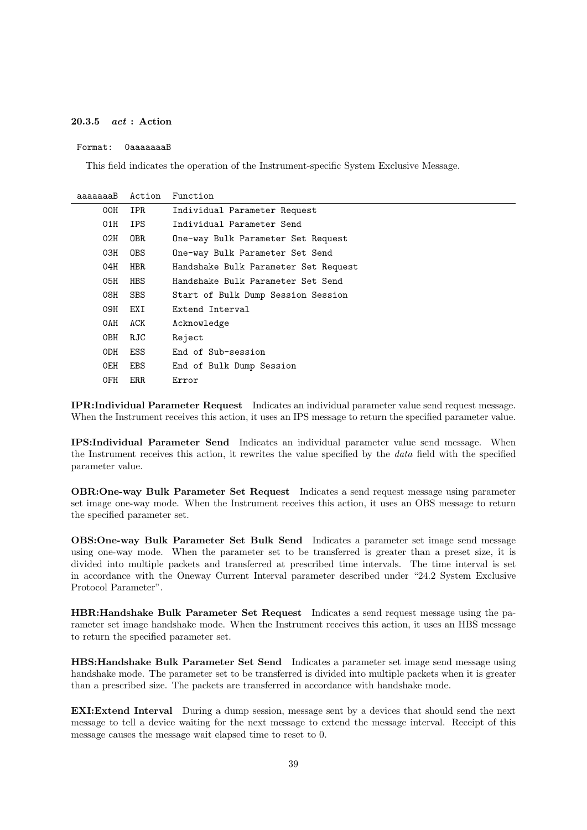#### **20.3.5** *act* **: Action**

#### Format: 0aaaaaaaB

This field indicates the operation of the Instrument-specific System Exclusive Message.

| aaaaaaaB | Action     | Function                             |
|----------|------------|--------------------------------------|
| 00H      | <b>IPR</b> | Individual Parameter Request         |
| 01H      | <b>IPS</b> | Individual Parameter Send            |
| 02H      | 0BR        | One-way Bulk Parameter Set Request   |
| 03H      | <b>OBS</b> | One-way Bulk Parameter Set Send      |
| 04H      | HBR.       | Handshake Bulk Parameter Set Request |
| 05H      | <b>HBS</b> | Handshake Bulk Parameter Set Send    |
| 08H      | <b>SBS</b> | Start of Bulk Dump Session Session   |
| 09H      | EXI        | Extend Interval                      |
| OAH      | ACK        | Acknowledge                          |
| 0BH      | RJC        | Reject                               |
| 0DH      | ESS        | End of Sub-session                   |
| OEH      | <b>EBS</b> | End of Bulk Dump Session             |
| 0FH      | <b>ERR</b> | Error                                |

**IPR:Individual Parameter Request** Indicates an individual parameter value send request message. When the Instrument receives this action, it uses an IPS message to return the specified parameter value.

**IPS:Individual Parameter Send** Indicates an individual parameter value send message. When the Instrument receives this action, it rewrites the value specified by the *data* field with the specified parameter value.

**OBR:One-way Bulk Parameter Set Request** Indicates a send request message using parameter set image one-way mode. When the Instrument receives this action, it uses an OBS message to return the specified parameter set.

**OBS:One-way Bulk Parameter Set Bulk Send** Indicates a parameter set image send message using one-way mode. When the parameter set to be transferred is greater than a preset size, it is divided into multiple packets and transferred at prescribed time intervals. The time interval is set in accordance with the Oneway Current Interval parameter described under "24.2 System Exclusive Protocol Parameter".

**HBR:Handshake Bulk Parameter Set Request** Indicates a send request message using the parameter set image handshake mode. When the Instrument receives this action, it uses an HBS message to return the specified parameter set.

**HBS:Handshake Bulk Parameter Set Send** Indicates a parameter set image send message using handshake mode. The parameter set to be transferred is divided into multiple packets when it is greater than a prescribed size. The packets are transferred in accordance with handshake mode.

**EXI:Extend Interval** During a dump session, message sent by a devices that should send the next message to tell a device waiting for the next message to extend the message interval. Receipt of this message causes the message wait elapsed time to reset to 0.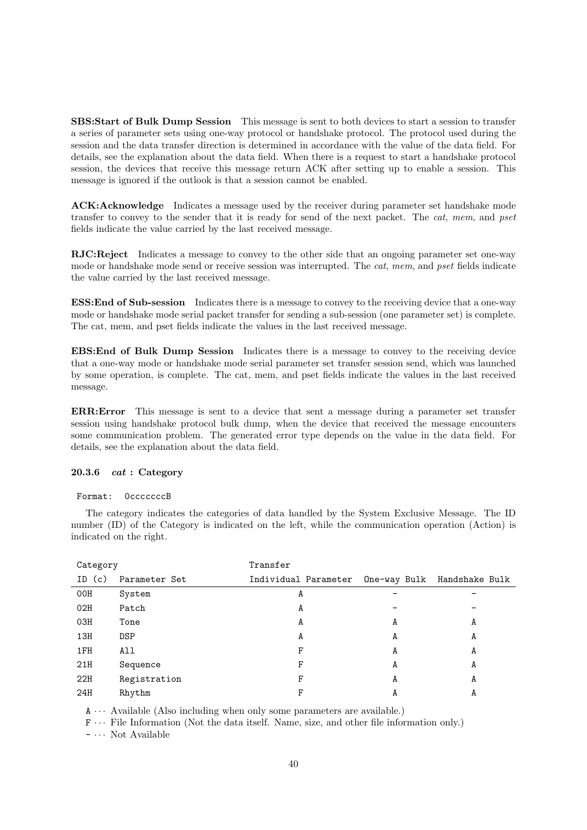**SBS:Start of Bulk Dump Session** This message is sent to both devices to start a session to transfer a series of parameter sets using one-way protocol or handshake protocol. The protocol used during the session and the data transfer direction is determined in accordance with the value of the data field. For details, see the explanation about the data field. When there is a request to start a handshake protocol session, the devices that receive this message return ACK after setting up to enable a session. This message is ignored if the outlook is that a session cannot be enabled.

**ACK:Acknowledge** Indicates a message used by the receiver during parameter set handshake mode transfer to convey to the sender that it is ready for send of the next packet. The *cat*, *mem*, and *pset* fields indicate the value carried by the last received message.

**RJC:Reject** Indicates a message to convey to the other side that an ongoing parameter set one-way mode or handshake mode send or receive session was interrupted. The *cat*, *mem*, and *pset* fields indicate the value carried by the last received message.

**ESS:End of Sub-session** Indicates there is a message to convey to the receiving device that a one-way mode or handshake mode serial packet transfer for sending a sub-session (one parameter set) is complete. The cat, mem, and pset fields indicate the values in the last received message.

**EBS:End of Bulk Dump Session** Indicates there is a message to convey to the receiving device that a one-way mode or handshake mode serial parameter set transfer session send, which was launched by some operation, is complete. The cat, mem, and pset fields indicate the values in the last received message.

**ERR:Error** This message is sent to a device that sent a message during a parameter set transfer session using handshake protocol bulk dump, when the device that received the message encounters some communication problem. The generated error type depends on the value in the data field. For details, see the explanation about the data field.

#### **20.3.6** *cat* **: Category**

#### Format: 0cccccccB

The category indicates the categories of data handled by the System Exclusive Message. The ID number (ID) of the Category is indicated on the left, while the communication operation (Action) is indicated on the right.

| Category |               | Transfer             |   |                             |
|----------|---------------|----------------------|---|-----------------------------|
| ID (c)   | Parameter Set | Individual Parameter |   | One-way Bulk Handshake Bulk |
| 00H      | System        | A                    |   |                             |
| 02H      | Patch         | A                    |   |                             |
| 03H      | Tone          | A                    | A | A                           |
| 13H      | DSP           | A                    | A | A                           |
| 1FH      | All           | F                    | A | A                           |
| 21H      | Sequence      | F                    | A | A                           |
| 22H      | Registration  | F                    | A | A                           |
| 24H      | Rhythm        | F                    | A | A                           |

A *· · ·* Available (Also including when only some parameters are available.)

F *· · ·* File Information (Not the data itself. Name, size, and other file information only.)

- *· · ·* Not Available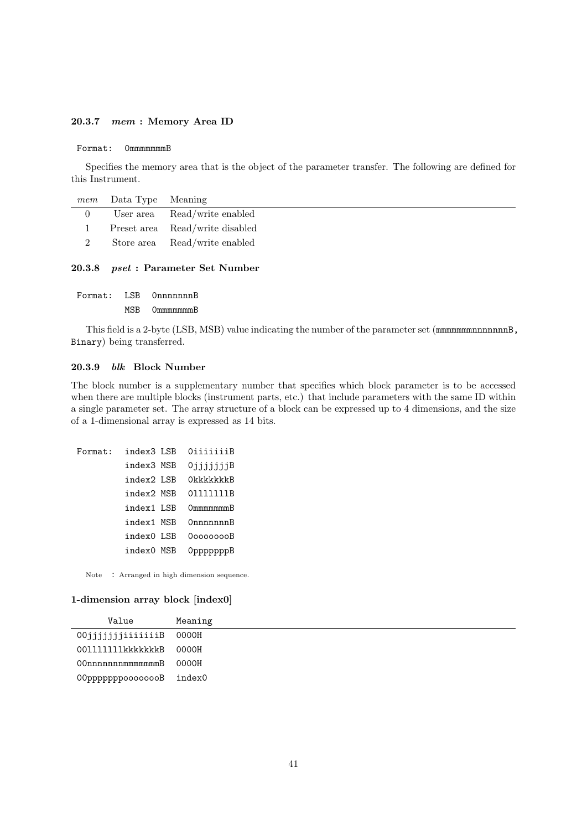#### **20.3.7** *mem* **: Memory Area ID**

#### Format: 0mmmmmmmB

Specifies the memory area that is the object of the parameter transfer. The following are defined for this Instrument.

|               | <i>mem</i> Data Type Meaning |                                 |
|---------------|------------------------------|---------------------------------|
| $\Omega$      |                              | User area Read/write enabled    |
|               |                              | Preset area Read/write disabled |
| $\mathcal{P}$ |                              | Store area Read/write enabled   |

#### **20.3.8** *pset* **: Parameter Set Number**

| Format: | LSB | OnnnnnnnB              |
|---------|-----|------------------------|
|         | MSB | $Ommmmmm$ <sup>B</sup> |

This field is a 2-byte (LSB, MSB) value indicating the number of the parameter set (mmmmmmmnnnnnnnB, Binary) being transferred.

#### **20.3.9** *blk* **Block Number**

The block number is a supplementary number that specifies which block parameter is to be accessed when there are multiple blocks (instrument parts, etc.) that include parameters with the same ID within a single parameter set. The array structure of a block can be expressed up to 4 dimensions, and the size of a 1-dimensional array is expressed as 14 bits.

```
Format: index3 LSB 0iiiiiiiB
 index3 MSB 0jjjjjjjB
 index2 LSB 0kkkkkkkB
 index2 MSB 0lllllllB
 index1 LSB 0mmmmmmmB
 index1 MSB 0nnnnnnnB
 index0 LSB 0oooooooB
 index0 MSB 0pppppppB
```
Note : Arranged in high dimension sequence.

#### **1-dimension array block [index0]**

| Value                    | Meaning |
|--------------------------|---------|
| 00jjjjjjjiiiiiiiB 0000H  |         |
| 0011111111kkkkkkkB       | 0000H   |
| 00nnnnnnmmmmmmmmB        | 0000H   |
| 00pppppppoooooooB index0 |         |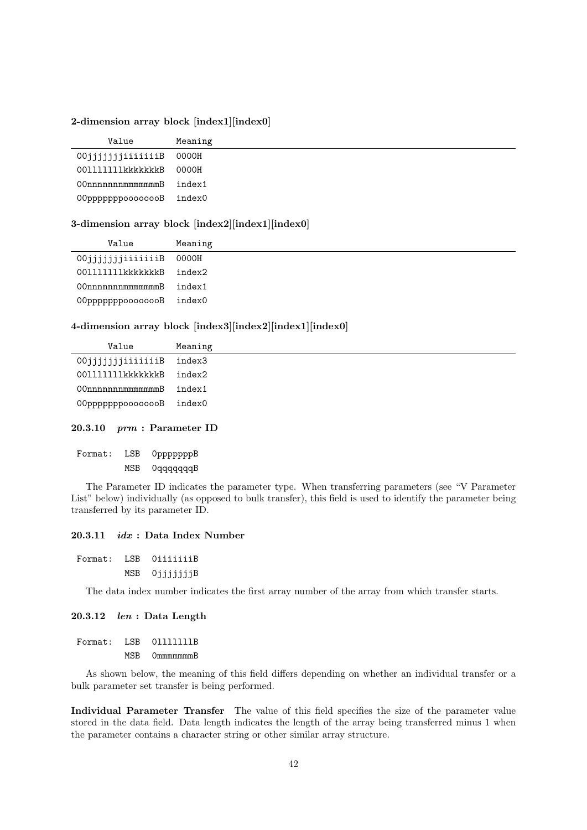**2-dimension array block [index1][index0]**

| Value                    | Meaning |
|--------------------------|---------|
| 00jjjjjjjiiiiiiiB        | 0000H   |
| 0011111111kkkkkkkB       | 0000H   |
| 00nnnnnnmmmmmmmmB        | index1  |
| 00pppppppoooooooB index0 |         |

#### **3-dimension array block [index2][index1][index0]**

| Value                   | Meaning |
|-------------------------|---------|
| 00jjjjjjjiiiiiiiB 0000H |         |
| 0011111111kkkkkkkB      | index2  |
| 00nnnnnnmmmmmmmmB       | index1  |
| 00ррррррроооооооВ       | index0  |
|                         |         |

## **4-dimension array block [index3][index2][index1][index0]**

| Value             | Meaning |
|-------------------|---------|
| 00jjjjjjjiiiiiiiB | index3  |
| 001111111kkkkkk   | index2  |
| 00nnnnnnnmmmmmmB  | index1  |
| 00pppppppooooooB  | index0  |

#### **20.3.10** *prm* **: Parameter ID**

| Format: | LSB | OpppppppB |
|---------|-----|-----------|
|         | MSB | OqqqqqqqB |

The Parameter ID indicates the parameter type. When transferring parameters (see "V Parameter List" below) individually (as opposed to bulk transfer), this field is used to identify the parameter being transferred by its parameter ID.

#### **20.3.11** *idx* **: Data Index Number**

| Format: | LSB OiiiiiiiB |
|---------|---------------|
|         | MSB OjjjjjjjB |

The data index number indicates the first array number of the array from which transfer starts.

#### **20.3.12** *len* **: Data Length**

| Format: | ESB OIIIIIIB  |
|---------|---------------|
|         | MSB OmmmmmmmB |

As shown below, the meaning of this field differs depending on whether an individual transfer or a bulk parameter set transfer is being performed.

**Individual Parameter Transfer** The value of this field specifies the size of the parameter value stored in the data field. Data length indicates the length of the array being transferred minus 1 when the parameter contains a character string or other similar array structure.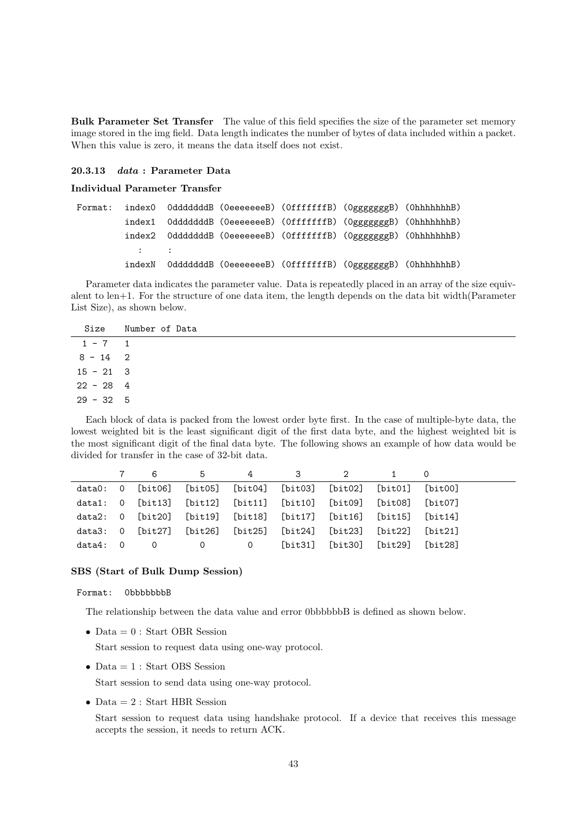**Bulk Parameter Set Transfer** The value of this field specifies the size of the parameter set memory image stored in the img field. Data length indicates the number of bytes of data included within a packet. When this value is zero, it means the data itself does not exist.

#### **20.3.13** *data* **: Parameter Data**

#### **Individual Parameter Transfer**

|                    |  | Format: index0 OdddddddB (OeeeeeeeB) (OfffffffB) (OgggggggB) (OhhhhhhhB) |  |
|--------------------|--|--------------------------------------------------------------------------|--|
|                    |  |                                                                          |  |
|                    |  | index2 OdddddddB (OeeeeeeeB) (OfffffffB) (OgggggggB) (OhhhhhhhB)         |  |
| <b>State State</b> |  |                                                                          |  |
|                    |  | indexN OdddddddB (OeeeeeeeB) (OfffffffB) (OgggggggB) (OhhhhhhhB)         |  |

Parameter data indicates the parameter value. Data is repeatedly placed in an array of the size equivalent to len+1. For the structure of one data item, the length depends on the data bit width(Parameter List Size), as shown below.

| Size          | Number of Data |
|---------------|----------------|
| $1 - 7$ 1     |                |
| $8 - 14$ 2    |                |
| $15 - 21$ 3   |                |
| $22 - 28$ 4   |                |
| $29 - 32 + 5$ |                |
|               |                |

Each block of data is packed from the lowest order byte first. In the case of multiple-byte data, the lowest weighted bit is the least significant digit of the first data byte, and the highest weighted bit is the most significant digit of the final data byte. The following shows an example of how data would be divided for transfer in the case of 32-bit data.

|          | 7 6      |  | 5 4 3 2                                                                        |  |  |
|----------|----------|--|--------------------------------------------------------------------------------|--|--|
|          |          |  | data0: 0 [bit06] [bit05] [bit04] [bit03] [bit02] [bit01] [bit00]               |  |  |
|          |          |  | data1: 0 $[bit13]$ $[bit12]$ $[bit11]$ $[bit10]$ $[bit09]$ $[bit08]$ $[bit07]$ |  |  |
|          |          |  | data2: 0 [bit20] [bit19] [bit18] [bit17] [bit16] [bit15] [bit14]               |  |  |
|          |          |  | data3: 0 [bit27] [bit26] [bit25] [bit24] [bit23] [bit22] [bit21]               |  |  |
| data4: 0 | $\sim$ 0 |  | 0      0    [bit31] [bit30] [bit29] [bit28]                                    |  |  |

#### **SBS (Start of Bulk Dump Session)**

#### Format: 0bbbbbbbB

The relationship between the data value and error 0bbbbbbB is defined as shown below.

*•* Data = 0 : Start OBR Session

Start session to request data using one-way protocol.

• Data = 1 : Start OBS Session

Start session to send data using one-way protocol.

• Data = 2 : Start HBR Session

Start session to request data using handshake protocol. If a device that receives this message accepts the session, it needs to return ACK.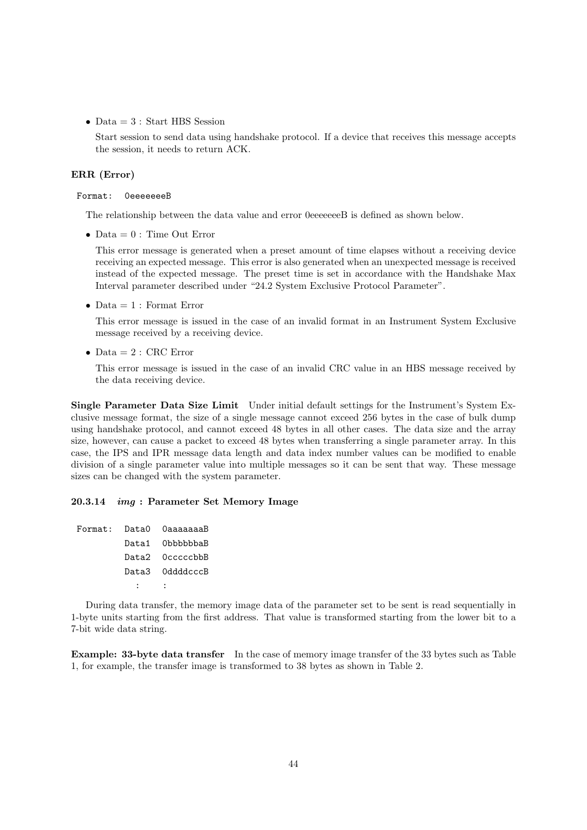• Data = 3 : Start HBS Session

Start session to send data using handshake protocol. If a device that receives this message accepts the session, it needs to return ACK.

#### **ERR (Error)**

#### Format: 0eeeeeeeB

The relationship between the data value and error 0eeeeeeeB is defined as shown below.

*•* Data = 0 : Time Out Error

This error message is generated when a preset amount of time elapses without a receiving device receiving an expected message. This error is also generated when an unexpected message is received instead of the expected message. The preset time is set in accordance with the Handshake Max Interval parameter described under "24.2 System Exclusive Protocol Parameter".

*•* Data = 1 : Format Error

This error message is issued in the case of an invalid format in an Instrument System Exclusive message received by a receiving device.

*•* Data = 2 : CRC Error

This error message is issued in the case of an invalid CRC value in an HBS message received by the data receiving device.

**Single Parameter Data Size Limit** Under initial default settings for the Instrument's System Exclusive message format, the size of a single message cannot exceed 256 bytes in the case of bulk dump using handshake protocol, and cannot exceed 48 bytes in all other cases. The data size and the array size, however, can cause a packet to exceed 48 bytes when transferring a single parameter array. In this case, the IPS and IPR message data length and data index number values can be modified to enable division of a single parameter value into multiple messages so it can be sent that way. These message sizes can be changed with the system parameter.

#### **20.3.14** *img* **: Parameter Set Memory Image**

```
Format: Data0 0aaaaaaaB
Data1 0bbbbbbaB
Data2 0cccccbbB
Data3 0ddddcccB
   : :
```
During data transfer, the memory image data of the parameter set to be sent is read sequentially in 1-byte units starting from the first address. That value is transformed starting from the lower bit to a 7-bit wide data string.

**Example: 33-byte data transfer** In the case of memory image transfer of the 33 bytes such as Table 1, for example, the transfer image is transformed to 38 bytes as shown in Table 2.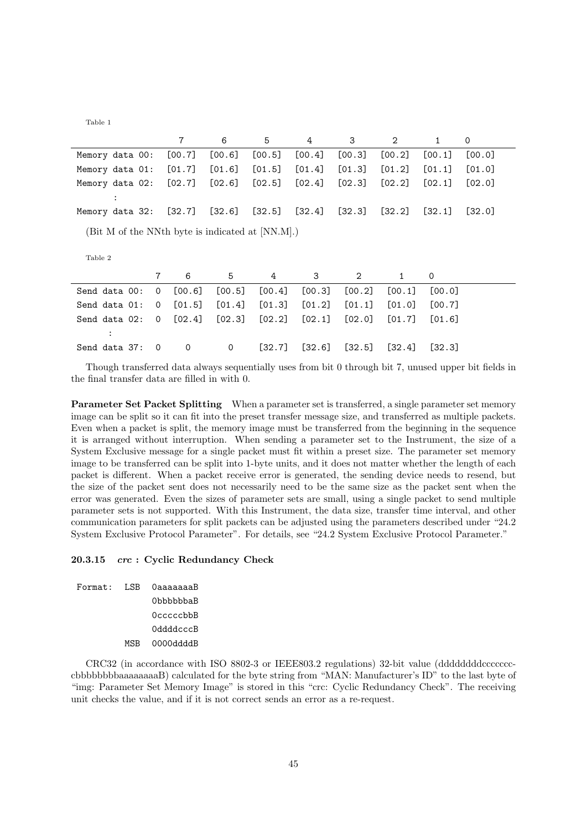Table 1

|                                                             |             | 7        | 6      | 5        | 4        | 3              | $\mathbf{2}$ | 1           | 0        |
|-------------------------------------------------------------|-------------|----------|--------|----------|----------|----------------|--------------|-------------|----------|
| Memory data 00:                                             |             | [00.7]   | [00.6] | [00.5]   | [00.4]   | [00.3]         | [00.2]       | [00.1]      | [00.0]   |
| Memory data 01:                                             |             | [01.7]   | [01.6] | [01.5]   | [01.4]   | [01.3]         | [01.2]       | [01.1]      | [01.0]   |
| Memory data 02:                                             |             | [02.7]   | [02.6] | $[02.5]$ | [02.4]   | [02.3]         | [02.2]       | [02.1]      | [02.0]   |
| $\ddot{\cdot}$                                              |             |          |        |          |          |                |              |             |          |
| Memory data 32:                                             |             | $[32.7]$ | [32.6] | [32.5]   | $[32.4]$ | $[32.3]$       | [32.2]       | [32.1]      | $[32.0]$ |
| (Bit M of the NNth byte is indicated at [NN.M].)<br>Table 2 |             |          |        |          |          |                |              |             |          |
|                                                             | 7           | 6        | 5      | 4        | 3        | $\overline{2}$ | $\mathbf{1}$ | $\mathbf 0$ |          |
| Send data 00:                                               | 0           | [00.6]   | [00.5] | [00.4]   | [00.3]   | [00.2]         | [00.1]       | [00.0]      |          |
| Send data 01:                                               | 0           | [01.5]   | [01.4] | [01.3]   | [01.2]   | [01.1]         | [01.0]       | [00.7]      |          |
| Send data 02:                                               | 0           | [02.4]   | [02.3] | [02.2]   | [02.1]   | [02.0]         | [01.7]       | [01.6]      |          |
| $\ddot{\cdot}$                                              |             |          |        |          |          |                |              |             |          |
| Send data 37:                                               | $\mathbf 0$ | 0        | 0      | [32.7]   | $[32.6]$ | [32.5]         | [32.4]       | [32.3]      |          |

Though transferred data always sequentially uses from bit 0 through bit 7, unused upper bit fields in the final transfer data are filled in with 0.

**Parameter Set Packet Splitting** When a parameter set is transferred, a single parameter set memory image can be split so it can fit into the preset transfer message size, and transferred as multiple packets. Even when a packet is split, the memory image must be transferred from the beginning in the sequence it is arranged without interruption. When sending a parameter set to the Instrument, the size of a System Exclusive message for a single packet must fit within a preset size. The parameter set memory image to be transferred can be split into 1-byte units, and it does not matter whether the length of each packet is different. When a packet receive error is generated, the sending device needs to resend, but the size of the packet sent does not necessarily need to be the same size as the packet sent when the error was generated. Even the sizes of parameter sets are small, using a single packet to send multiple parameter sets is not supported. With this Instrument, the data size, transfer time interval, and other communication parameters for split packets can be adjusted using the parameters described under "24.2 System Exclusive Protocol Parameter". For details, see "24.2 System Exclusive Protocol Parameter."

#### **20.3.15** *crc* **: Cyclic Redundancy Check**

|  | Format: LSB OaaaaaaaB           |
|--|---------------------------------|
|  | 0bbbbbbaB                       |
|  | $0$ $c$ $c$ $c$ $c$ $b$ $b$ $B$ |
|  | 0ddddcccB                       |
|  | MSB 0000ddddB                   |

CRC32 (in accordance with ISO 8802-3 or IEEE803.2 regulations) 32-bit value (ddddddddccccccccbbbbbbbbaaaaaaaaB) calculated for the byte string from "MAN: Manufacturer's ID" to the last byte of "img: Parameter Set Memory Image" is stored in this "crc: Cyclic Redundancy Check". The receiving unit checks the value, and if it is not correct sends an error as a re-request.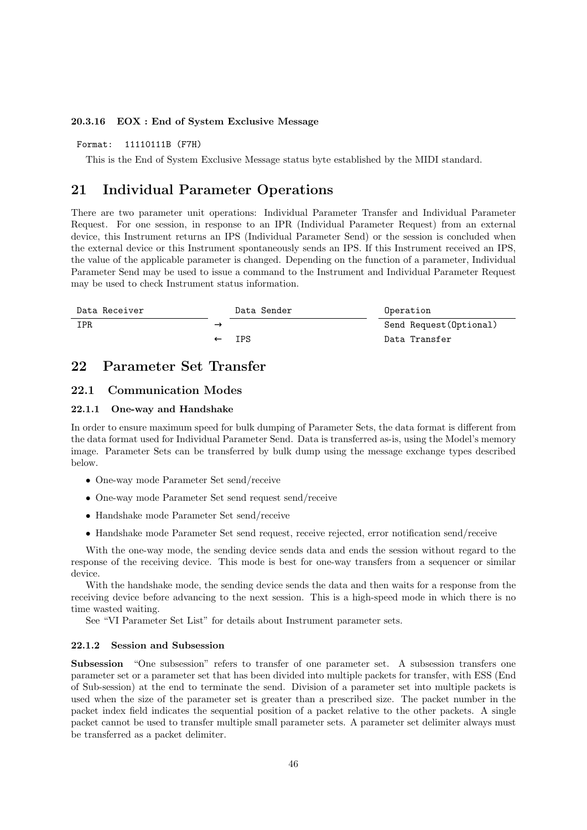#### **20.3.16 EOX : End of System Exclusive Message**

#### Format: 11110111B (F7H)

This is the End of System Exclusive Message status byte established by the MIDI standard.

## **21 Individual Parameter Operations**

There are two parameter unit operations: Individual Parameter Transfer and Individual Parameter Request. For one session, in response to an IPR (Individual Parameter Request) from an external device, this Instrument returns an IPS (Individual Parameter Send) or the session is concluded when the external device or this Instrument spontaneously sends an IPS. If this Instrument received an IPS, the value of the applicable parameter is changed. Depending on the function of a parameter, Individual Parameter Send may be used to issue a command to the Instrument and Individual Parameter Request may be used to check Instrument status information.

| Data Receiver | Data Sender | Operation               |
|---------------|-------------|-------------------------|
| <b>IPR</b>    |             | Send Request (Optional) |
|               | IPS         | Data Transfer           |

## **22 Parameter Set Transfer**

#### **22.1 Communication Modes**

#### **22.1.1 One-way and Handshake**

In order to ensure maximum speed for bulk dumping of Parameter Sets, the data format is different from the data format used for Individual Parameter Send. Data is transferred as-is, using the Model's memory image. Parameter Sets can be transferred by bulk dump using the message exchange types described below.

- *•* One-way mode Parameter Set send/receive
- One-way mode Parameter Set send request send/receive
- *•* Handshake mode Parameter Set send/receive
- Handshake mode Parameter Set send request, receive rejected, error notification send/receive

With the one-way mode, the sending device sends data and ends the session without regard to the response of the receiving device. This mode is best for one-way transfers from a sequencer or similar device.

With the handshake mode, the sending device sends the data and then waits for a response from the receiving device before advancing to the next session. This is a high-speed mode in which there is no time wasted waiting.

See "VI Parameter Set List" for details about Instrument parameter sets.

#### **22.1.2 Session and Subsession**

**Subsession** "One subsession" refers to transfer of one parameter set. A subsession transfers one parameter set or a parameter set that has been divided into multiple packets for transfer, with ESS (End of Sub-session) at the end to terminate the send. Division of a parameter set into multiple packets is used when the size of the parameter set is greater than a prescribed size. The packet number in the packet index field indicates the sequential position of a packet relative to the other packets. A single packet cannot be used to transfer multiple small parameter sets. A parameter set delimiter always must be transferred as a packet delimiter.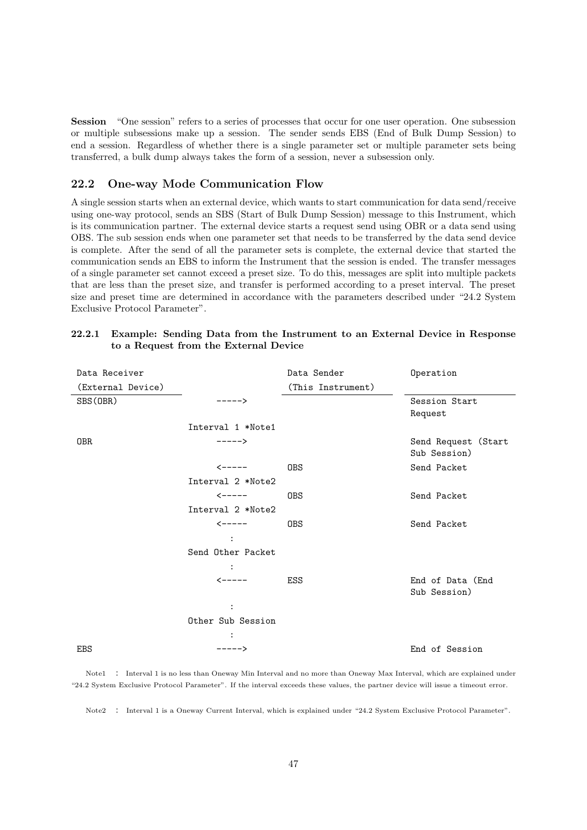**Session** "One session" refers to a series of processes that occur for one user operation. One subsession or multiple subsessions make up a session. The sender sends EBS (End of Bulk Dump Session) to end a session. Regardless of whether there is a single parameter set or multiple parameter sets being transferred, a bulk dump always takes the form of a session, never a subsession only.

## **22.2 One-way Mode Communication Flow**

A single session starts when an external device, which wants to start communication for data send/receive using one-way protocol, sends an SBS (Start of Bulk Dump Session) message to this Instrument, which is its communication partner. The external device starts a request send using OBR or a data send using OBS. The sub session ends when one parameter set that needs to be transferred by the data send device is complete. After the send of all the parameter sets is complete, the external device that started the communication sends an EBS to inform the Instrument that the session is ended. The transfer messages of a single parameter set cannot exceed a preset size. To do this, messages are split into multiple packets that are less than the preset size, and transfer is performed according to a preset interval. The preset size and preset time are determined in accordance with the parameters described under "24.2 System Exclusive Protocol Parameter".

#### **22.2.1 Example: Sending Data from the Instrument to an External Device in Response to a Request from the External Device**

| Data Receiver     |                        | Data Sender       | Operation                           |
|-------------------|------------------------|-------------------|-------------------------------------|
| (External Device) |                        | (This Instrument) |                                     |
| SBS (OBR)         | $---->$                |                   | Session Start<br>Request            |
|                   | Interval 1 *Note1      |                   |                                     |
| 0BR               | $---->$                |                   | Send Request (Start<br>Sub Session) |
|                   | $\leftarrow$ - - - - - | <b>OBS</b>        | Send Packet                         |
|                   | Interval 2 *Note2      |                   |                                     |
|                   | $\leftarrow$ -----     | 0BS               | Send Packet                         |
|                   | Interval 2 *Note2      |                   |                                     |
|                   | $\leftarrow$ - - - - - | <b>OBS</b>        | Send Packet                         |
|                   | $\ddot{\cdot}$         |                   |                                     |
|                   | Send Other Packet      |                   |                                     |
|                   |                        |                   |                                     |
|                   | $\leftarrow$ - - - - - | ESS               | End of Data (End<br>Sub Session)    |
|                   | $\ddot{\cdot}$         |                   |                                     |
|                   | Other Sub Session      |                   |                                     |
|                   |                        |                   |                                     |
| <b>EBS</b>        | $---->$                |                   | End of Session                      |

Note1 : Interval 1 is no less than Oneway Min Interval and no more than Oneway Max Interval, which are explained under "24.2 System Exclusive Protocol Parameter". If the interval exceeds these values, the partner device will issue a timeout error.

Note2 : Interval 1 is a Oneway Current Interval, which is explained under "24.2 System Exclusive Protocol Parameter".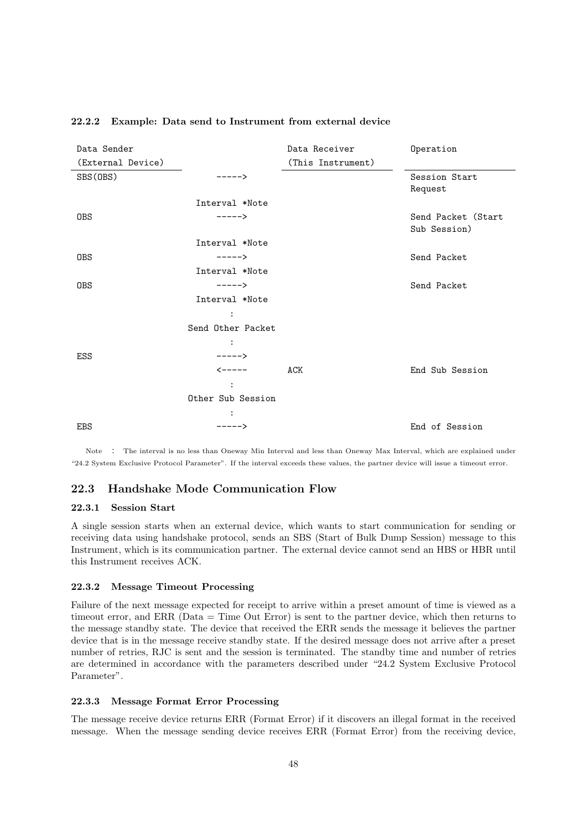| Data Sender       |                        | Data Receiver     | Operation          |
|-------------------|------------------------|-------------------|--------------------|
| (External Device) |                        | (This Instrument) |                    |
| SBS(OBS)          | ----->                 |                   | Session Start      |
|                   |                        |                   | Request            |
|                   | Interval *Note         |                   |                    |
| <b>OBS</b>        | $---->$                |                   | Send Packet (Start |
|                   |                        |                   | Sub Session)       |
|                   | Interval *Note         |                   |                    |
| <b>OBS</b>        | $---->$                |                   | Send Packet        |
|                   | Interval *Note         |                   |                    |
| <b>OBS</b>        | $---->$                |                   | Send Packet        |
|                   | Interval *Note         |                   |                    |
|                   | $\ddot{\cdot}$         |                   |                    |
|                   | Send Other Packet      |                   |                    |
|                   | $\ddot{\cdot}$         |                   |                    |
| ESS               | $---->$                |                   |                    |
|                   | $\leftarrow$ - - - - - | ACK               | End Sub Session    |
|                   | $\ddot{\cdot}$         |                   |                    |
|                   | Other Sub Session      |                   |                    |
|                   | $\ddot{\cdot}$         |                   |                    |
| <b>EBS</b>        | ----->                 |                   | End of Session     |

#### **22.2.2 Example: Data send to Instrument from external device**

Note : The interval is no less than Oneway Min Interval and less than Oneway Max Interval, which are explained under "24.2 System Exclusive Protocol Parameter". If the interval exceeds these values, the partner device will issue a timeout error.

#### **22.3 Handshake Mode Communication Flow**

#### **22.3.1 Session Start**

A single session starts when an external device, which wants to start communication for sending or receiving data using handshake protocol, sends an SBS (Start of Bulk Dump Session) message to this Instrument, which is its communication partner. The external device cannot send an HBS or HBR until this Instrument receives ACK.

#### **22.3.2 Message Timeout Processing**

Failure of the next message expected for receipt to arrive within a preset amount of time is viewed as a timeout error, and ERR (Data = Time Out Error) is sent to the partner device, which then returns to the message standby state. The device that received the ERR sends the message it believes the partner device that is in the message receive standby state. If the desired message does not arrive after a preset number of retries, RJC is sent and the session is terminated. The standby time and number of retries are determined in accordance with the parameters described under "24.2 System Exclusive Protocol Parameter".

#### **22.3.3 Message Format Error Processing**

The message receive device returns ERR (Format Error) if it discovers an illegal format in the received message. When the message sending device receives ERR (Format Error) from the receiving device,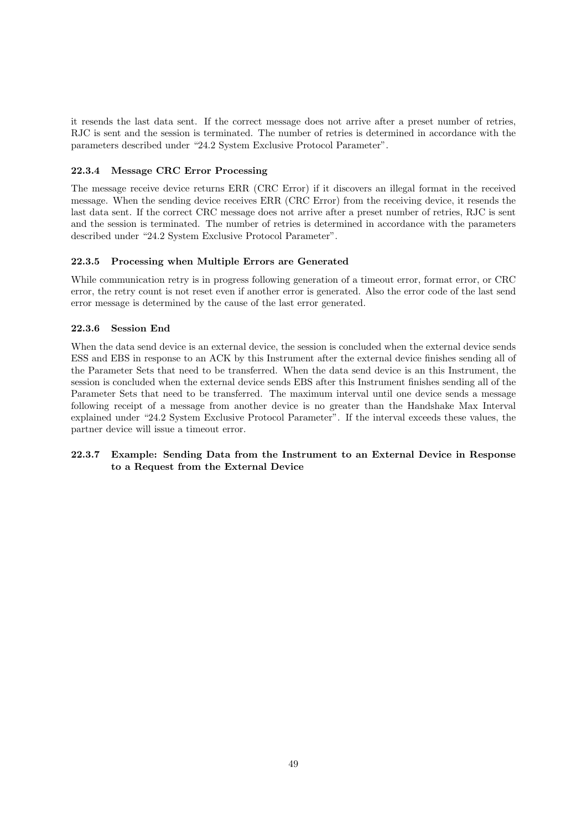it resends the last data sent. If the correct message does not arrive after a preset number of retries, RJC is sent and the session is terminated. The number of retries is determined in accordance with the parameters described under "24.2 System Exclusive Protocol Parameter".

#### **22.3.4 Message CRC Error Processing**

The message receive device returns ERR (CRC Error) if it discovers an illegal format in the received message. When the sending device receives ERR (CRC Error) from the receiving device, it resends the last data sent. If the correct CRC message does not arrive after a preset number of retries, RJC is sent and the session is terminated. The number of retries is determined in accordance with the parameters described under "24.2 System Exclusive Protocol Parameter".

#### **22.3.5 Processing when Multiple Errors are Generated**

While communication retry is in progress following generation of a timeout error, format error, or CRC error, the retry count is not reset even if another error is generated. Also the error code of the last send error message is determined by the cause of the last error generated.

#### **22.3.6 Session End**

When the data send device is an external device, the session is concluded when the external device sends ESS and EBS in response to an ACK by this Instrument after the external device finishes sending all of the Parameter Sets that need to be transferred. When the data send device is an this Instrument, the session is concluded when the external device sends EBS after this Instrument finishes sending all of the Parameter Sets that need to be transferred. The maximum interval until one device sends a message following receipt of a message from another device is no greater than the Handshake Max Interval explained under "24.2 System Exclusive Protocol Parameter". If the interval exceeds these values, the partner device will issue a timeout error.

## **22.3.7 Example: Sending Data from the Instrument to an External Device in Response to a Request from the External Device**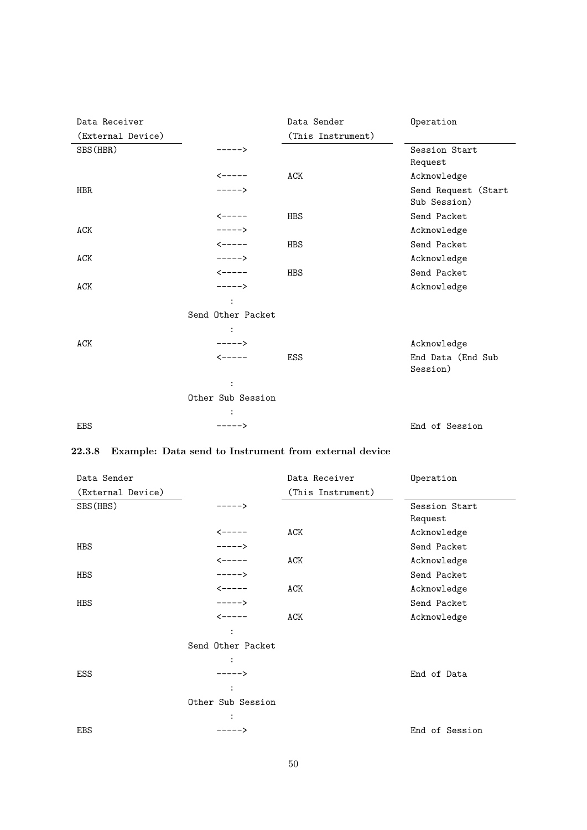| Data Receiver     |                        | Data Sender       | Operation                           |
|-------------------|------------------------|-------------------|-------------------------------------|
| (External Device) |                        | (This Instrument) |                                     |
| SBS (HBR)         | ----->                 |                   | Session Start                       |
|                   |                        |                   | Request                             |
|                   | $\leftarrow$ - - - - - | ACK               | Acknowledge                         |
| <b>HBR</b>        | $---->$                |                   | Send Request (Start<br>Sub Session) |
|                   | $\leftarrow$ - - - - - | <b>HBS</b>        | Send Packet                         |
| ACK               | $---->$                |                   | Acknowledge                         |
|                   | $\leftarrow$ - - - - - | <b>HBS</b>        | Send Packet                         |
| ACK               | $---->$                |                   | Acknowledge                         |
|                   | $\leftarrow$ - - - - - | <b>HBS</b>        | Send Packet                         |
| <b>ACK</b>        | $---->$                |                   | Acknowledge                         |
|                   |                        |                   |                                     |
|                   | Send Other Packet      |                   |                                     |
|                   |                        |                   |                                     |
| ACK               | $---->$                |                   | Acknowledge                         |
|                   | $\leftarrow$ - - - - - | <b>ESS</b>        | End Data (End Sub<br>Session)       |
|                   |                        |                   |                                     |
|                   | Other Sub Session      |                   |                                     |
|                   |                        |                   |                                     |
| <b>EBS</b>        | $---->$                |                   | End of Session                      |

# **22.3.8 Example: Data send to Instrument from external device**

| Data Sender       |                        | Data Receiver     | Operation      |
|-------------------|------------------------|-------------------|----------------|
| (External Device) |                        | (This Instrument) |                |
| SBS (HBS)         | $---->$                |                   | Session Start  |
|                   |                        |                   | Request        |
|                   | <b>&lt;-----</b>       | ACK               | Acknowledge    |
| <b>HBS</b>        | $---->$                |                   | Send Packet    |
|                   | $\leftarrow$ - - - - - | ACK               | Acknowledge    |
| HBS               | $---->$                |                   | Send Packet    |
|                   | $\leftarrow$ - - - - - | ACK               | Acknowledge    |
| HBS               | $---->$                |                   | Send Packet    |
|                   | $\leftarrow$ - - - - - | ACK               | Acknowledge    |
|                   | $\ddot{\cdot}$         |                   |                |
|                   | Send Other Packet      |                   |                |
|                   | $\ddot{\cdot}$         |                   |                |
| ESS               | $---->$                |                   | End of Data    |
|                   | :                      |                   |                |
|                   | Other Sub Session      |                   |                |
|                   |                        |                   |                |
| <b>EBS</b>        | $---->$                |                   | End of Session |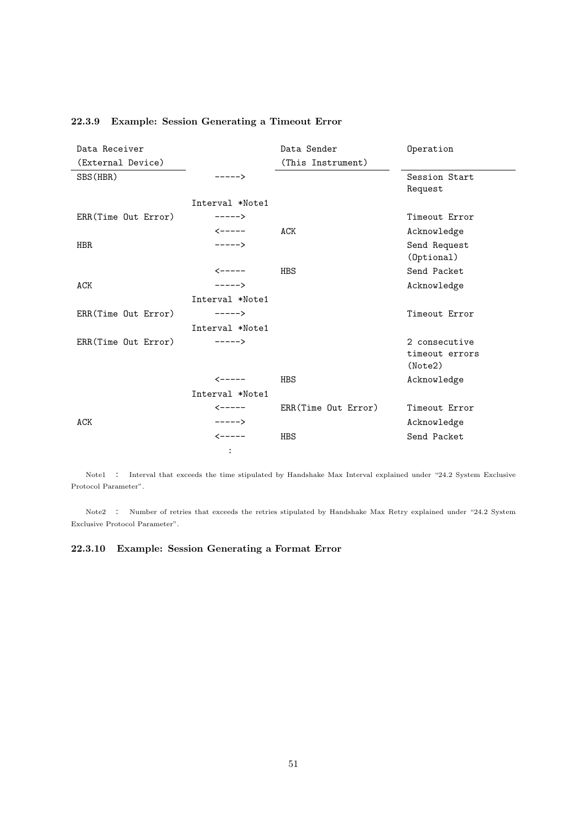| Data Receiver       |                        | Data Sender         | Operation      |
|---------------------|------------------------|---------------------|----------------|
| (External Device)   |                        | (This Instrument)   |                |
| SBS (HBR)           | ----->                 |                     | Session Start  |
|                     |                        |                     | Request        |
|                     | Interval *Note1        |                     |                |
| ERR(Time Out Error) | $---->$                |                     | Timeout Error  |
|                     | $\leftarrow$ - - - -   | ACK                 | Acknowledge    |
| <b>HBR</b>          | $---->$                |                     | Send Request   |
|                     |                        |                     | (Optional)     |
|                     | $\leftarrow$ - - - - - | HBS                 | Send Packet    |
| ACK                 | $---->$                |                     | Acknowledge    |
|                     | Interval *Note1        |                     |                |
| ERR(Time Out Error) | $---->$                |                     | Timeout Error  |
|                     | Interval *Note1        |                     |                |
| ERR(Time Out Error) | $---->$                |                     | 2 consecutive  |
|                     |                        |                     | timeout errors |
|                     |                        |                     | (Note2)        |
|                     | $\leftarrow$ - - - - - | <b>HBS</b>          | Acknowledge    |
|                     | Interval *Note1        |                     |                |
|                     | $\leftarrow$ - - - - - | ERR(Time Out Error) | Timeout Error  |
| ACK                 | $---->$                |                     | Acknowledge    |
|                     | $\leftarrow$ - - - - - | <b>HBS</b>          | Send Packet    |
|                     | $\ddot{\cdot}$         |                     |                |

## **22.3.9 Example: Session Generating a Timeout Error**

Note1 : Interval that exceeds the time stipulated by Handshake Max Interval explained under "24.2 System Exclusive Protocol Parameter".

Note2 : Number of retries that exceeds the retries stipulated by Handshake Max Retry explained under "24.2 System Exclusive Protocol Parameter".

**22.3.10 Example: Session Generating a Format Error**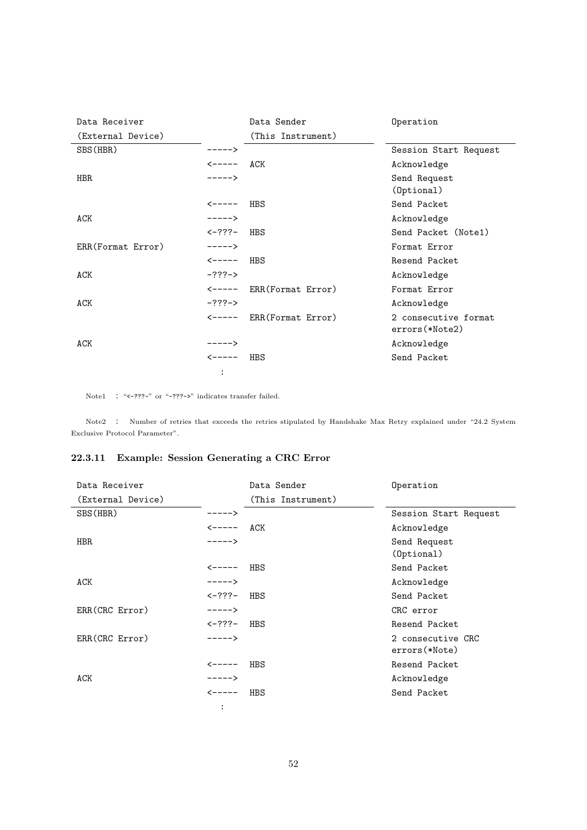| Data Receiver     |                      | Data Sender       | Operation                              |
|-------------------|----------------------|-------------------|----------------------------------------|
| (External Device) |                      | (This Instrument) |                                        |
| SBS (HBR)         | $---->$              |                   | Session Start Request                  |
|                   | $\leftarrow$ - - - - | ACK               | Acknowledge                            |
| <b>HBR</b>        | $---->$              |                   | Send Request<br>(Optional)             |
|                   | <b>&lt;-----</b>     | HBS               | Send Packet                            |
| ACK               | $---->$              |                   | Acknowledge                            |
|                   | <b>&lt;−???−</b>     | HBS               | Send Packet (Note1)                    |
| ERR(Format Error) | $---->$              |                   | Format Error                           |
|                   | <-----               | HBS               | Resend Packet                          |
| ACK               | $-???$ ->            |                   | Acknowledge                            |
|                   | <b>&lt;-----</b>     | ERR(Format Error) | Format Error                           |
| ACK               | $-????->$            |                   | Acknowledge                            |
|                   | <-----               | ERR(Format Error) | 2 consecutive format<br>errors(*Note2) |
| ACK               | $----$               |                   | Acknowledge                            |
|                   | $\leftarrow$ - - - - | HBS               | Send Packet                            |
|                   | :                    |                   |                                        |

Note1 : "<-???-" or "-???->" indicates transfer failed.

Note2 : Number of retries that exceeds the retries stipulated by Handshake Max Retry explained under "24.2 System Exclusive Protocol Parameter".

## **22.3.11 Example: Session Generating a CRC Error**

| Data Receiver     |                                                     | Data Sender       | Operation                          |
|-------------------|-----------------------------------------------------|-------------------|------------------------------------|
| (External Device) |                                                     | (This Instrument) |                                    |
| SBS (HBR)         | ----->                                              |                   | Session Start Request              |
|                   | $\leftarrow$ $\leftarrow$ $\leftarrow$ $\leftarrow$ | ACK               | Acknowledge                        |
| <b>HBR</b>        | $---->$                                             |                   | Send Request<br>(Optional)         |
|                   | <-----                                              | HBS               | Send Packet                        |
| ACK               | $---->$                                             |                   | Acknowledge                        |
|                   | $\leftarrow$ ???–                                   | HBS               | Send Packet                        |
| ERR(CRC Error)    | $---->$                                             |                   | CRC error                          |
|                   | $\leftarrow$ ???–                                   | HBS               | Resend Packet                      |
| ERR(CRC Error)    | $---->$                                             |                   | 2 consecutive CRC<br>errors(*Note) |
|                   | <b>&lt;-----</b>                                    | HBS               | Resend Packet                      |
| ACK               | $--- - -$                                           |                   | Acknowledge                        |
|                   | <b>&lt;-----</b>                                    | HBS               | Send Packet                        |
|                   | :                                                   |                   |                                    |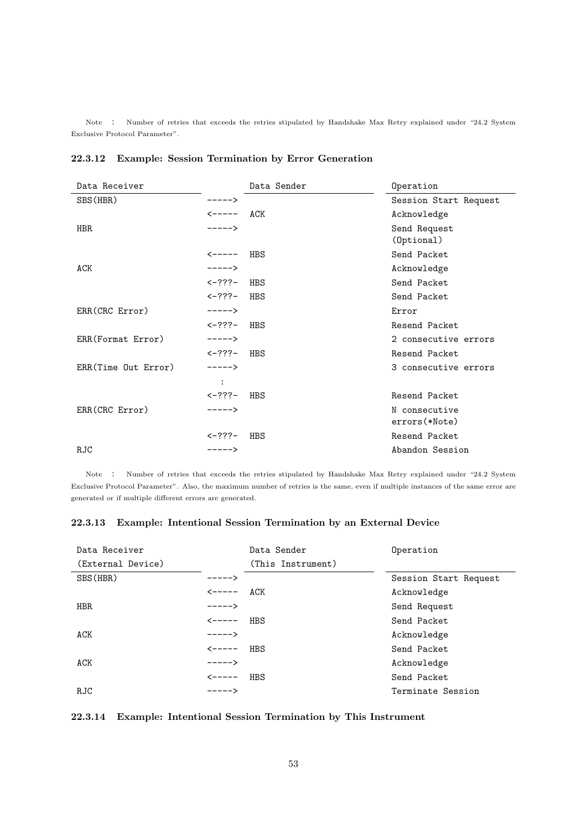Note : Number of retries that exceeds the retries stipulated by Handshake Max Retry explained under "24.2 System Exclusive Protocol Parameter".

| Data Receiver       |                      | Data Sender | Operation                      |
|---------------------|----------------------|-------------|--------------------------------|
| SBS (HBR)           | $---->$              |             | Session Start Request          |
|                     | <-----               | ACK         | Acknowledge                    |
| HBR.                | $---->$              |             | Send Request<br>(Optional)     |
|                     | $\leftarrow$ - - - - | HBS         | Send Packet                    |
| <b>ACK</b>          | $---->$              |             | Acknowledge                    |
|                     | $\leftarrow$ ???–    | HBS         | Send Packet                    |
|                     | $\leftarrow$ ???–    | HBS         | Send Packet                    |
| ERR(CRC Error)      | $---->$              |             | Error                          |
|                     | <-???-               | HBS         | Resend Packet                  |
| ERR(Format Error)   | $---->$              |             | 2 consecutive errors           |
|                     | <b>&lt;-???-</b>     | HBS         | Resend Packet                  |
| ERR(Time Out Error) | $---->$              |             | 3 consecutive errors           |
|                     | $\ddot{\cdot}$       |             |                                |
|                     | $< -? ? ? -$         | HBS         | Resend Packet                  |
| ERR(CRC Error)      | $---->$              |             | N consecutive<br>errors(*Note) |
|                     | <-???-               | HBS         | Resend Packet                  |
| <b>RJC</b>          | $---->$              |             | Abandon Session                |

## **22.3.12 Example: Session Termination by Error Generation**

Note : Number of retries that exceeds the retries stipulated by Handshake Max Retry explained under "24.2 System Exclusive Protocol Parameter". Also, the maximum number of retries is the same, even if multiple instances of the same error are generated or if multiple different errors are generated.

## **22.3.13 Example: Intentional Session Termination by an External Device**

| Data Receiver<br>(External Device) |                                                   | Data Sender<br>(This Instrument) | Operation             |
|------------------------------------|---------------------------------------------------|----------------------------------|-----------------------|
| SBS (HBR)                          | $--- - -$                                         |                                  | Session Start Request |
|                                    | $\leftarrow \leftarrow \leftarrow \leftarrow$ ACK |                                  | Acknowledge           |
| HBR.                               | $---->$                                           |                                  | Send Request          |
|                                    | <b>&lt;-----</b>                                  | HBS                              | Send Packet           |
| ACK                                | $---->$                                           |                                  | Acknowledge           |
|                                    | $\leftarrow$ - - - - -                            | HBS                              | Send Packet           |
| ACK                                | $----$                                            |                                  | Acknowledge           |
|                                    | ------                                            | HBS                              | Send Packet           |
| RJC                                | $---->$                                           |                                  | Terminate Session     |

## **22.3.14 Example: Intentional Session Termination by This Instrument**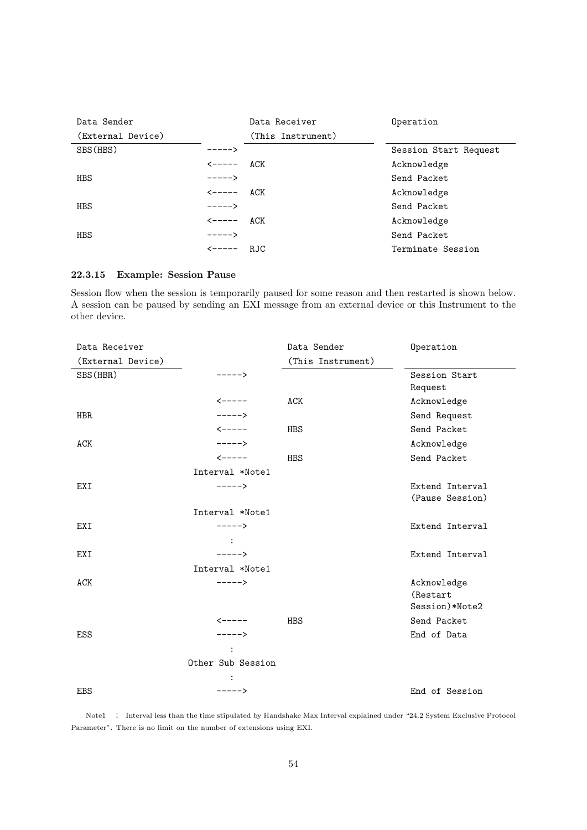| Data Sender       |                                                   | Data Receiver     | Operation             |
|-------------------|---------------------------------------------------|-------------------|-----------------------|
| (External Device) |                                                   | (This Instrument) |                       |
| SBS (HBS)         | ----->                                            |                   | Session Start Request |
|                   | <-----                                            | ACK               | Acknowledge           |
| <b>HBS</b>        | $---->$                                           |                   | Send Packet           |
|                   | $\leftarrow \leftarrow \leftarrow \leftarrow$ ACK |                   | Acknowledge           |
| <b>HBS</b>        | $---->$                                           |                   | Send Packet           |
|                   | <-----                                            | ACK               | Acknowledge           |
| <b>HBS</b>        | $-----$ >                                         |                   | Send Packet           |
|                   | <b>&lt;-----</b>                                  | R.JC              | Terminate Session     |

## **22.3.15 Example: Session Pause**

Session flow when the session is temporarily paused for some reason and then restarted is shown below. A session can be paused by sending an EXI message from an external device or this Instrument to the other device.

| Data Receiver     |                        | Data Sender       | Operation       |
|-------------------|------------------------|-------------------|-----------------|
| (External Device) |                        | (This Instrument) |                 |
| SBS (HBR)         | ----->                 |                   | Session Start   |
|                   |                        |                   | Request         |
|                   | $\leftarrow$ - - - - - | ACK               | Acknowledge     |
| <b>HBR</b>        | $---->$                |                   | Send Request    |
|                   | $\leftarrow$ - - - - - | HBS               | Send Packet     |
| <b>ACK</b>        | $---->$                |                   | Acknowledge     |
|                   | $\leftarrow$ - - - - - | <b>HBS</b>        | Send Packet     |
|                   | Interval *Note1        |                   |                 |
| EXI               | $---->$                |                   | Extend Interval |
|                   |                        |                   | (Pause Session) |
|                   | Interval *Note1        |                   |                 |
| EXI               | $---->$                |                   | Extend Interval |
|                   |                        |                   |                 |
| EXI               | $---->$                |                   | Extend Interval |
|                   | Interval *Note1        |                   |                 |
| <b>ACK</b>        | $---->$                |                   | Acknowledge     |
|                   |                        |                   | (Restart        |
|                   |                        |                   | Session)*Note2  |
|                   | $\leftarrow$ - - - - - | <b>HBS</b>        | Send Packet     |
| ESS               | $---->$                |                   | End of Data     |
|                   |                        |                   |                 |
|                   | Other Sub Session      |                   |                 |
|                   |                        |                   |                 |
| <b>EBS</b>        | $---->$                |                   | End of Session  |

Note1 : Interval less than the time stipulated by Handshake Max Interval explained under "24.2 System Exclusive Protocol Parameter". There is no limit on the number of extensions using EXI.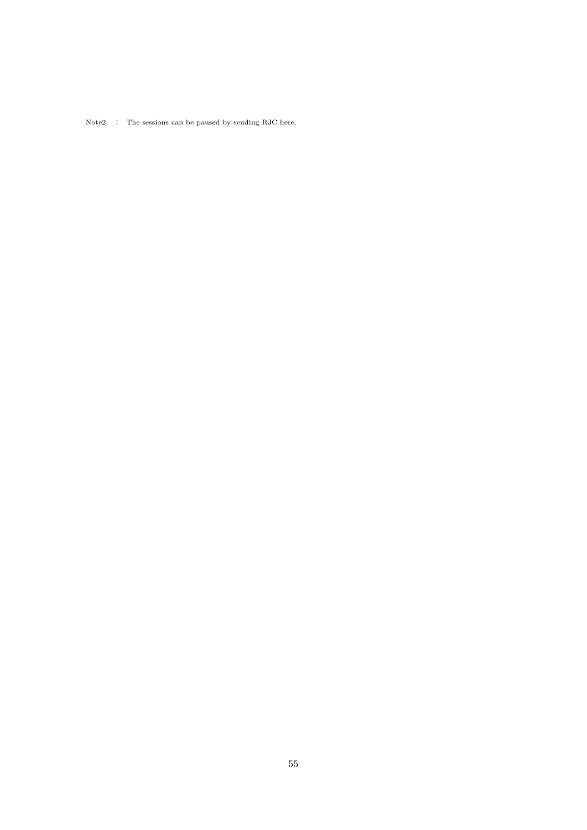$\hbox{Note2 }\quad$  :  $\quad$  The sessions can be paused by sending RJC here.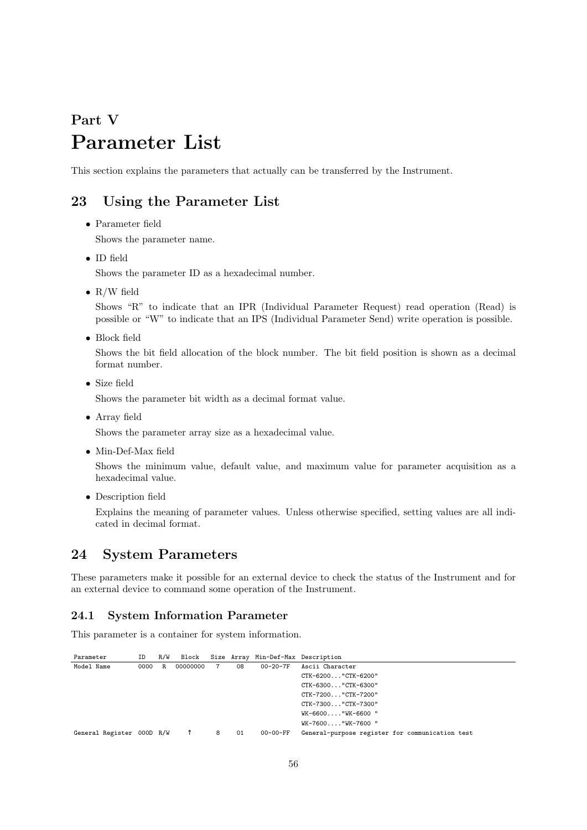# **Part V Parameter List**

This section explains the parameters that actually can be transferred by the Instrument.

# **23 Using the Parameter List**

- *•* Parameter field Shows the parameter name.
- *•* ID field

Shows the parameter ID as a hexadecimal number.

*•* R/W field

Shows "R" to indicate that an IPR (Individual Parameter Request) read operation (Read) is possible or "W" to indicate that an IPS (Individual Parameter Send) write operation is possible.

*•* Block field

Shows the bit field allocation of the block number. The bit field position is shown as a decimal format number.

*•* Size field

Shows the parameter bit width as a decimal format value.

*•* Array field

Shows the parameter array size as a hexadecimal value.

*•* Min-Def-Max field

Shows the minimum value, default value, and maximum value for parameter acquisition as a hexadecimal value.

*•* Description field

Explains the meaning of parameter values. Unless otherwise specified, setting values are all indicated in decimal format.

# **24 System Parameters**

These parameters make it possible for an external device to check the status of the Instrument and for an external device to command some operation of the Instrument.

#### **24.1 System Information Parameter**

This parameter is a container for system information.

| Parameter  |                           | ID   | R/W |          |   |    | Block Size Array Min-Def-Max Description |                                                 |
|------------|---------------------------|------|-----|----------|---|----|------------------------------------------|-------------------------------------------------|
| Model Name |                           | 0000 | R.  | 00000000 |   | 08 | $00 - 20 - 7F$                           | Ascii Character                                 |
|            |                           |      |     |          |   |    |                                          | $CTK-6200$ "CTK-6200"                           |
|            |                           |      |     |          |   |    |                                          | CTK-6300"CTK-6300"                              |
|            |                           |      |     |          |   |    |                                          | $CTK-7200$ "CTK-7200"                           |
|            |                           |      |     |          |   |    |                                          | CTK-7300"CTK-7300"                              |
|            |                           |      |     |          |   |    |                                          | WK-6600"WK-6600 "                               |
|            |                           |      |     |          |   |    |                                          | WK-7600"WK-7600 "                               |
|            | General Register 000D R/W |      |     |          | 8 | 01 | 00-00-FF                                 | General-purpose register for communication test |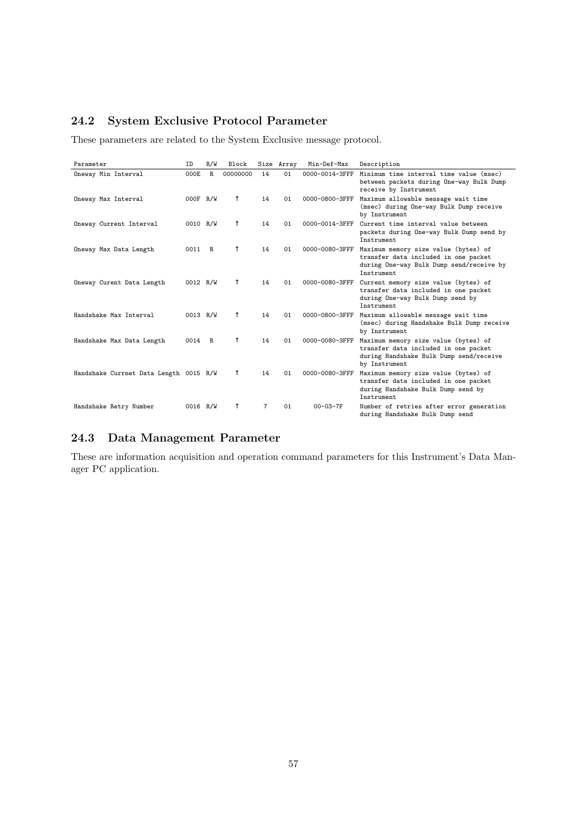# **24.2 System Exclusive Protocol Parameter**

These parameters are related to the System Exclusive message protocol.

| Parameter                              | ID       | R/W         | Block    |    | Size Array | Min-Def-Max    | Description                                                                                                                              |
|----------------------------------------|----------|-------------|----------|----|------------|----------------|------------------------------------------------------------------------------------------------------------------------------------------|
| Oneway Min Interval                    | 000E     | $\mathbb R$ | 00000000 | 14 | 01         | 0000-0014-3FFF | Minimum time interval time value (msec)<br>between packets during One-way Bulk Dump<br>receive by Instrument                             |
| Oneway Max Interval                    | 000F R/W |             |          | 14 | 01         | 0000-0800-3FFF | Maximum allowable message wait time<br>(msec) during One-way Bulk Dump receive<br>by Instrument                                          |
| Oneway Current Interval                | 0010 R/W |             |          | 14 | 01         | 0000-0014-3FFF | Current time interval value between<br>packets during One-way Bulk Dump send by<br>Instrument                                            |
| Oneway Max Data Length                 | 0011     | R           |          | 14 | 01         | 0000-0080-3FFF | Maximum memory size value (bytes) of<br>transfer data included in one packet<br>during One-way Bulk Dump send/receive by<br>Instrument   |
| Oneway Curent Data Length              | 0012 R/W |             |          | 14 | 01         | 0000-0080-3FFF | Current memory size value (bytes) of<br>transfer data included in one packet<br>during One-way Bulk Dump send by<br>Instrument           |
| Handshake Max Interval                 | 0013 R/W |             |          | 14 | 01         | 0000-0800-3FFF | Maximum allowable message wait time<br>(msec) during Handshake Bulk Dump receive<br>by Instrument                                        |
| Handshake Max Data Length              | 0014 R   |             |          | 14 | 01         | 0000-0080-3FFF | Maximum memory size value (bytes) of<br>transfer data included in one packet<br>during Handshake Bulk Dump send/receive<br>by Instrument |
| Handshake Currnet Data Length 0015 R/W |          |             |          | 14 | 01         | 0000-0080-3FFF | Maximum memory size value (bytes) of<br>transfer data included in one packet<br>during Handshake Bulk Dump send by<br>Instrument         |
| Handshake Retry Number                 | 0016 R/W |             |          | 7  | 01         | $00 - 03 - 7F$ | Number of retries after error generation<br>during Handshake Bulk Dump send                                                              |

## **24.3 Data Management Parameter**

These are information acquisition and operation command parameters for this Instrument's Data Manager PC application.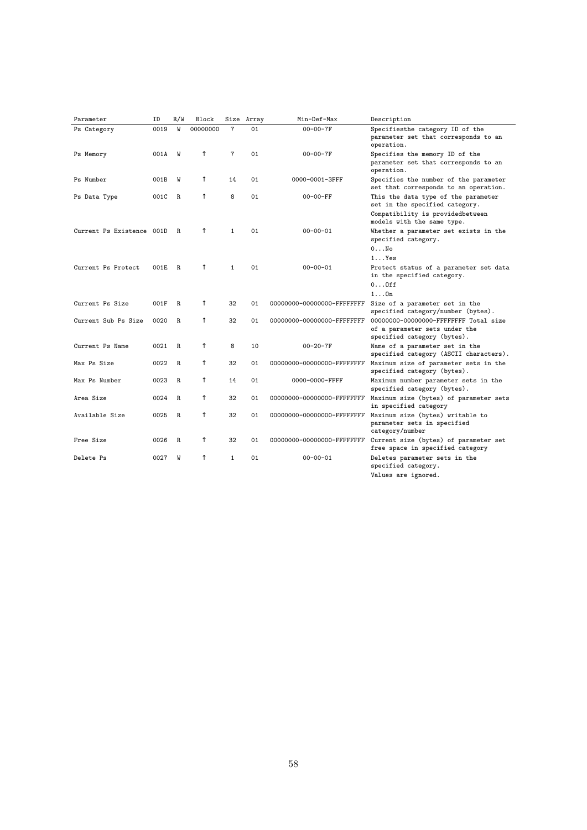| Parameter                 | ID   | R/W | Block    |                | Size Array | Min-Def-Max                  | Description                                                                                            |
|---------------------------|------|-----|----------|----------------|------------|------------------------------|--------------------------------------------------------------------------------------------------------|
| Ps Category               | 0019 | W   | 00000000 | $\overline{7}$ | 01         | $00 - 00 - 7F$               | Specifiesthe category ID of the<br>parameter set that corresponds to an<br>operation.                  |
| Ps Memory                 | 001A | W   |          | $\overline{7}$ | 01         | $00 - 00 - 7F$               | Specifies the memory ID of the<br>parameter set that corresponds to an<br>operation.                   |
| Ps Number                 | 001B | W   |          | 14             | 01         | 0000-0001-3FFF               | Specifies the number of the parameter<br>set that corresponds to an operation.                         |
| Ps Data Type              | 001C | R   |          | 8              | 01         | 00-00-FF                     | This the data type of the parameter<br>set in the specified category.                                  |
|                           |      |     |          |                |            |                              | Compatibility is providedbetween<br>models with the same type.                                         |
| Current Ps Existence 001D |      | R   |          | $\mathbf{1}$   | 01         | $00 - 00 - 01$               | Whether a parameter set exists in the<br>specified category.                                           |
|                           |      |     |          |                |            |                              | $0 \ldots$ No                                                                                          |
|                           |      |     |          |                |            |                              | $1 \ldots Y$ es                                                                                        |
| Current Ps Protect        | 001E | R   |          | 1              | 01         | $00 - 00 - 01$               | Protect status of a parameter set data<br>in the specified category.<br>00ff                           |
|                           |      |     |          |                |            |                              | $1 \ldots 0n$                                                                                          |
| Current Ps Size           | 001F | R   |          | 32             | 01         | 00000000-00000000-FFFFFFFF   | Size of a parameter set in the<br>specified category/number (bytes).                                   |
| Current Sub Ps Size       | 0020 | R   |          | 32             | 01         | 00000000-00000000-FFFFFFFFF  | 00000000-00000000-FFFFFFFFF Total size<br>of a parameter sets under the<br>specified category (bytes). |
| Current Ps Name           | 0021 | R   |          | 8              | 10         | $00 - 20 - 7F$               | Name of a parameter set in the<br>specified category (ASCII characters).                               |
| Max Ps Size               | 0022 | R   |          | 32             | 01         | 00000000-00000000-FFFFFFFF   | Maximum size of parameter sets in the<br>specified category (bytes).                                   |
| Max Ps Number             | 0023 | R   |          | 14             | 01         | 0000-0000-FFFF               | Maximum number parameter sets in the<br>specified category (bytes).                                    |
| Area Size                 | 0024 | R   |          | 32             | 01         | 00000000-00000000-FFFFFFFF   | Maximum size (bytes) of parameter sets<br>in specified category                                        |
| Available Size            | 0025 | R   |          | 32             | 01         | 00000000-00000000-FFFFFFFF   | Maximum size (bytes) writable to<br>parameter sets in specified<br>category/number                     |
| Free Size                 | 0026 | R   |          | 32             | 01         | 00000000-000000000-FFFFFFFFF | Current size (bytes) of parameter set<br>free space in specified category                              |
| Delete Ps                 | 0027 | W   |          | 1              | 01         | $00 - 00 - 01$               | Deletes parameter sets in the<br>specified category.<br>Values are ignored.                            |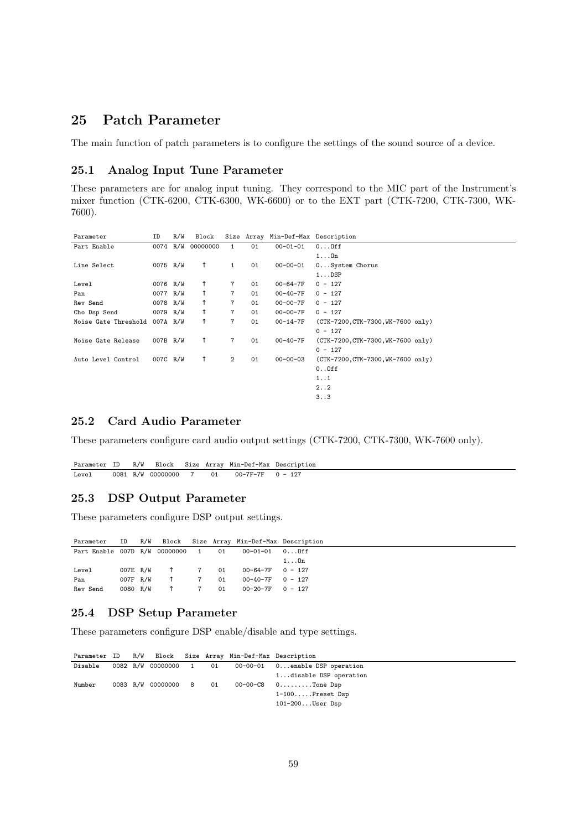## **25 Patch Parameter**

The main function of patch parameters is to configure the settings of the sound source of a device.

#### **25.1 Analog Input Tune Parameter**

These parameters are for analog input tuning. They correspond to the MIC part of the Instrument's mixer function (CTK-6200, CTK-6300, WK-6600) or to the EXT part (CTK-7200, CTK-7300, WK-7600).

| Parameter            | ID       | R/W | Block    |                |    | Size Array Min-Def-Max Description |                                    |
|----------------------|----------|-----|----------|----------------|----|------------------------------------|------------------------------------|
| Part Enable          | 0074 R/W |     | 00000000 | $\mathbf{1}$   | 01 | $00 - 01 - 01$                     | 00ff                               |
|                      |          |     |          |                |    |                                    | $1 \ldots 0n$                      |
| Line Select          | 0075 R/W |     |          | 1              | 01 | $00 - 00 - 01$                     | 0System Chorus                     |
|                      |          |     |          |                |    |                                    | $1 \ldots$ DSP                     |
| Level                | 0076 R/W |     |          | 7              | 01 | 00-64-7F                           | $0 - 127$                          |
| Pan                  | 0077 R/W |     |          | $\overline{7}$ | 01 | $00 - 40 - 7F$                     | $0 - 127$                          |
| Rev Send             | 0078 R/W |     |          | 7              | 01 | 00-00-7F                           | $0 - 127$                          |
| Cho Dsp Send         | 0079 R/W |     |          | 7              | 01 | $00 - 00 - 7F$                     | $0 - 127$                          |
| Noise Gate Threshold | 007A R/W |     |          | 7              | 01 | 00-14-7F                           | (CTK-7200, CTK-7300, WK-7600 only) |
|                      |          |     |          |                |    |                                    | $0 - 127$                          |
| Noise Gate Release   | 007B R/W |     |          | 7              | 01 | $00 - 40 - 7F$                     | (CTK-7200, CTK-7300, WK-7600 only) |
|                      |          |     |          |                |    |                                    | $0 - 127$                          |
| Auto Level Control   | 007C R/W |     |          | $\mathbf{2}$   | 01 | $00 - 00 - 03$                     | (CTK-7200, CTK-7300, WK-7600 only) |
|                      |          |     |          |                |    |                                    | $0.0$ ff                           |
|                      |          |     |          |                |    |                                    | 1.1                                |
|                      |          |     |          |                |    |                                    | 2.02                               |
|                      |          |     |          |                |    |                                    | 3. .3                              |

## **25.2 Card Audio Parameter**

These parameters configure card audio output settings (CTK-7200, CTK-7300, WK-7600 only).

|       |  |  |                                         | Parameter ID R/W Block Size Array Min-Def-Max Description |
|-------|--|--|-----------------------------------------|-----------------------------------------------------------|
| Level |  |  | 0081 R/W 00000000 7 01 00-7F-7F 0 - 127 |                                                           |

## **25.3 DSP Output Parameter**

These parameters configure DSP output settings.

|                                    |          |  |   |    | Parameter ID R/W Block Size Array Min-Def-Max Description |               |
|------------------------------------|----------|--|---|----|-----------------------------------------------------------|---------------|
| Part Enable 007D R/W 00000000 1 01 |          |  |   |    |                                                           |               |
|                                    |          |  |   |    |                                                           | $1 \ldots 0n$ |
| Level                              | 007E R/W |  | 7 | 01 | $00 - 64 - 7F$ 0 - 127                                    |               |
| Pan                                | 007F R/W |  |   | 01 | $00-40-7F$ 0 - 127                                        |               |
| Rev Send                           | 0080 R/W |  |   | 01 | $00-20-7F$ 0 - 127                                        |               |

## **25.4 DSP Setup Parameter**

These parameters configure DSP enable/disable and type settings.

|         |  |  | Parameter ID R/W Block Size Array Min-Def-Max Description |                                                       |
|---------|--|--|-----------------------------------------------------------|-------------------------------------------------------|
| Disable |  |  |                                                           | 0082 R/W 00000000 1 01 00-00-01 0enable DSP operation |
|         |  |  |                                                           | 1disable DSP operation                                |
| Number  |  |  |                                                           | 0083 R/W 00000000 8 01 00-00-C8 0Tone Dsp             |
|         |  |  |                                                           | $1-100$ . Preset Dsp                                  |
|         |  |  |                                                           | $101-200$ User Dsp                                    |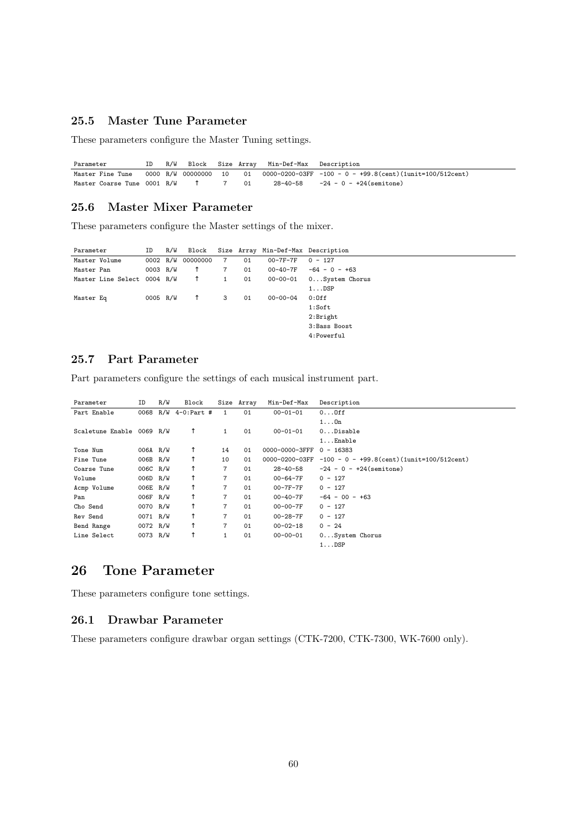## **25.5 Master Tune Parameter**

These parameters configure the Master Tuning settings.

Parameter ID R/W Block Size Array Min-Def-Max Description Master Fine Tune 0000 R/W 00000000 10 01 0000-0200-03FF -100 - 0 - +99.8(cent)(1unit=100/512cent)<br>Master Coarse Tune 0001 R/W 7 01 28-40-58 -24 - 0 - +24(semitone)  $-24 - 0 - +24$ (semitone)

## **25.6 Master Mixer Parameter**

These parameters configure the Master settings of the mixer.

| Parameter                   | ID       | R/W |                   |                |    | Block Size Array Min-Def-Max Description |                 |
|-----------------------------|----------|-----|-------------------|----------------|----|------------------------------------------|-----------------|
| Master Volume               |          |     | 0002 R/W 00000000 | $\overline{7}$ | 01 | $00 - 7F - 7F$                           | $0 - 127$       |
| Master Pan                  | 0003 R/W |     |                   | $\overline{7}$ | 01 | 00-40-7F                                 | $-64 - 0 - +63$ |
| Master Line Select 0004 R/W |          |     |                   | 1              | 01 | $00 - 00 - 01$                           | 0System Chorus  |
|                             |          |     |                   |                |    |                                          | $1 \ldots$ DSP  |
| Master Eq                   | 0005 R/W |     |                   | 3              | 01 | $00 - 00 - 04$                           | $0:0$ ff        |
|                             |          |     |                   |                |    |                                          | 1:Soft          |
|                             |          |     |                   |                |    |                                          | 2:Bright        |
|                             |          |     |                   |                |    |                                          | 3:Bass Boost    |
|                             |          |     |                   |                |    |                                          | 4:Powerful      |
|                             |          |     |                   |                |    |                                          |                 |

## **25.7 Part Parameter**

 $\overline{a}$ 

Part parameters configure the settings of each musical instrument part.

| Parameter                 | ID       | R/W | Block                |                | Size Array | Min-Def-Max    | Description                                   |
|---------------------------|----------|-----|----------------------|----------------|------------|----------------|-----------------------------------------------|
| Part Enable               |          |     | 0068 R/W 4-0: Part # | 1              | 01         | $00 - 01 - 01$ | $0 \ldots 0$ ff                               |
|                           |          |     |                      |                |            |                | $1 \ldots 0n$                                 |
| Scaletune Enable 0069 R/W |          |     |                      | 1              | 01         | $00 - 01 - 01$ | $0.$ $Disable$                                |
|                           |          |     |                      |                |            |                | $1 \ldots$ Enable                             |
| Tone Num                  | 006A R/W |     |                      | 14             | 01         | 0000-0000-3FFF | $0 - 16383$                                   |
| Fine Tune                 | 006B R/W |     |                      | 10             | 01         | 0000-0200-03FF | $-100 - 0 - +99.8$ (cent) (1unit=100/512cent) |
| Coarse Tune               | 006C R/W |     |                      | $\overline{7}$ | 01         | 28-40-58       | $-24 - 0 - +24$ (semitone)                    |
| Volume                    | 006D R/W |     |                      | $\overline{7}$ | 01         | $00 - 64 - 7F$ | $0 - 127$                                     |
| Acmp Volume               | 006E R/W |     |                      | $\overline{7}$ | 01         | 00-7F-7F       | $0 - 127$                                     |
| Pan                       | 006F R/W |     |                      | $\overline{7}$ | 01         | 00-40-7F       | $-64 - 00 - +63$                              |
| Cho Send                  | 0070 R/W |     |                      | $\overline{7}$ | 01         | $00 - 00 - 7F$ | $0 - 127$                                     |
| Rev Send                  | 0071 R/W |     |                      | $\overline{7}$ | 01         | $00 - 28 - 7F$ | $0 - 127$                                     |
| Bend Range                | 0072 R/W |     |                      | $\overline{7}$ | 01         | $00 - 02 - 18$ | $0 - 24$                                      |
| Line Select               | 0073 R/W |     |                      |                | 01         | $00 - 00 - 01$ | 0System Chorus                                |
|                           |          |     |                      |                |            |                | $1 \ldots$ DSP                                |

## **26 Tone Parameter**

These parameters configure tone settings.

#### **26.1 Drawbar Parameter**

These parameters configure drawbar organ settings (CTK-7200, CTK-7300, WK-7600 only).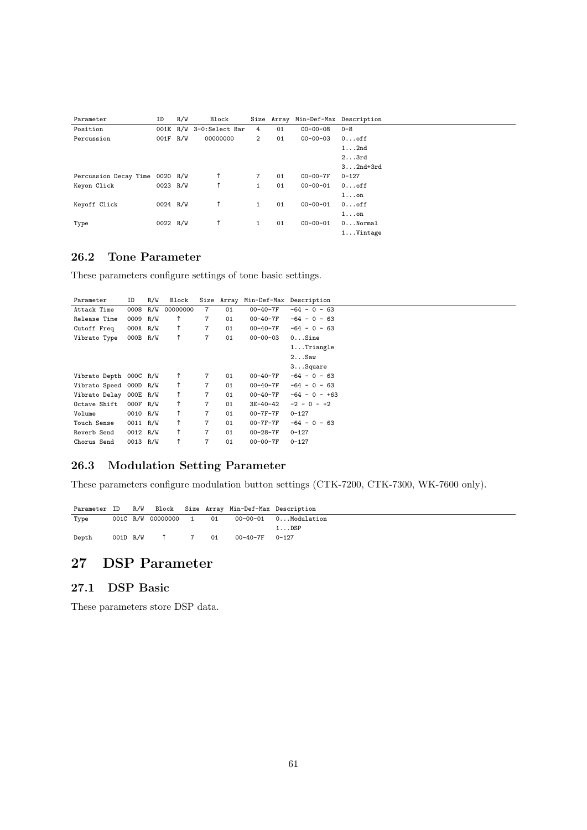| Parameter             | ID       | R/W | Block                   |                | Size Array |                | Min-Def-Max Description |
|-----------------------|----------|-----|-------------------------|----------------|------------|----------------|-------------------------|
| Position              |          |     | 001E R/W 3-0:Select Bar | 4              | 01         | $00 - 00 - 08$ | $0 - 8$                 |
| Percussion            | 001F R/W |     | 00000000                | $\overline{2}$ | 01         | $00 - 00 - 03$ | $0 \ldots$ off          |
|                       |          |     |                         |                |            |                | $1 \ldots 2nd$          |
|                       |          |     |                         |                |            |                | $2 \ldots 3rd$          |
|                       |          |     |                         |                |            |                | $32nd+3rd$              |
| Percussion Decay Time | 0020 R/W |     |                         | 7              | 01         | $00 - 00 - 7F$ | $0 - 127$               |
| Keyon Click           | 0023 R/W |     |                         | 1              | 01         | $00 - 00 - 01$ | $0 \ldots$ off          |
|                       |          |     |                         |                |            |                | $1 \ldots$ on           |
| Keyoff Click          | 0024 R/W |     |                         | $\mathbf{1}$   | 01         | $00 - 00 - 01$ | $0 \ldots$ off          |
|                       |          |     |                         |                |            |                | $1 \ldots$ on           |
| Type                  | 0022 R/W |     |                         | 1              | 01         | $00 - 00 - 01$ | $0.$ $Normal$           |
|                       |          |     |                         |                |            |                | $1 \ldots$ Vintage      |

## **26.2 Tone Parameter**

These parameters configure settings of tone basic settings.

| Parameter              | ID         | R/W | Block    |                |    | Size Array Min-Def-Max Description |                 |
|------------------------|------------|-----|----------|----------------|----|------------------------------------|-----------------|
| Attack Time            | 0008 R/W   |     | 00000000 | $\overline{7}$ | 01 | 00-40-7F                           | $-64 - 0 - 63$  |
| Release Time           | 0009 R/W   |     |          | 7              | 01 | 00-40-7F                           | $-64 - 0 - 63$  |
| Cutoff Freq            | $000A$ R/W |     |          | $\overline{7}$ | 01 | 00-40-7F                           | $-64 - 0 - 63$  |
| Vibrato Type           | $000B$ R/W |     |          | $\overline{7}$ | 01 | $00 - 00 - 03$                     | $0.$ Sine       |
|                        |            |     |          |                |    |                                    | $1$ Triangle    |
|                        |            |     |          |                |    |                                    | 2. Saw          |
|                        |            |     |          |                |    |                                    | $3$ Square      |
| Vibrato Depth 000C R/W |            |     |          | 7              | 01 | 00-40-7F                           | $-64 - 0 - 63$  |
| Vibrato Speed 000D R/W |            |     |          | $\overline{7}$ | 01 | 00-40-7F                           | $-64 - 0 - 63$  |
| Vibrato Delay 000E R/W |            |     |          | 7              | 01 | 00-40-7F                           | $-64 - 0 - +63$ |
| Octave Shift           | $000F$ R/W |     |          | $\overline{7}$ | 01 | 3E-40-42                           | $-2 - 0 - 12$   |
| Volume                 | 0010 R/W   |     |          | 7              | 01 | 00-7F-7F                           | $0 - 127$       |
| Touch Sense            | 0011 R/W   |     |          | $\overline{7}$ | 01 | 00-7F-7F                           | $-64 - 0 - 63$  |
| Reverb Send            | 0012 R/W   |     |          | $\overline{7}$ | 01 | 00-28-7F                           | $0 - 127$       |
| Chorus Send            | 0013 R/W   |     |          | $\overline{7}$ | 01 | 00-00-7F                           | $0 - 127$       |
|                        |            |     |          |                |    |                                    |                 |

# **26.3 Modulation Setting Parameter**

These parameters configure modulation button settings (CTK-7200, CTK-7300, WK-7600 only).

|       |          |  |      | Parameter ID R/W Block Size Array Min-Def-Max Description |                                             |
|-------|----------|--|------|-----------------------------------------------------------|---------------------------------------------|
| Type  |          |  |      |                                                           | 001C R/W 00000000 1 01 00-00-01 0Modulation |
|       |          |  |      |                                                           | $1.0$ DSP                                   |
| Depth | 001D R/W |  | 7 01 | 00-40-7F 0-127                                            |                                             |

# **27 DSP Parameter**

## **27.1 DSP Basic**

These parameters store DSP data.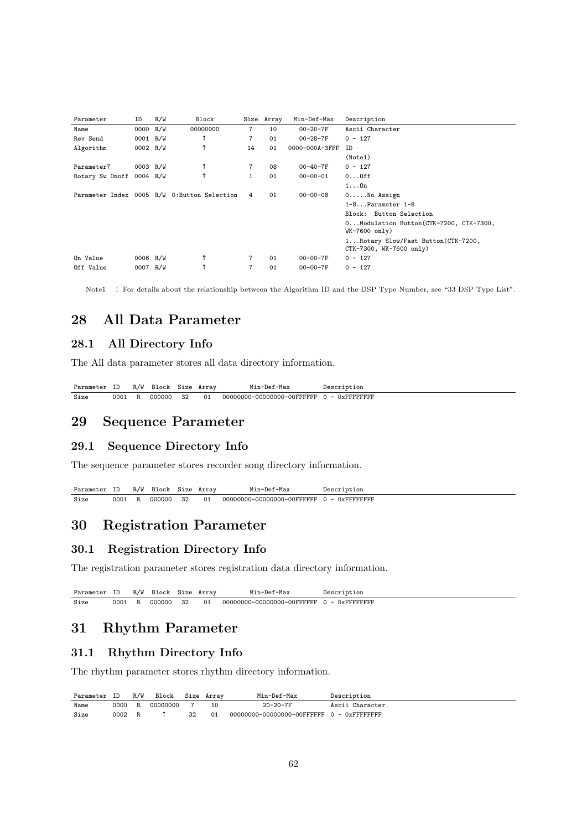| Parameter                | ID       | R/W | Block                                        |              | Size Array | Min-Def-Max    | Description                                                   |
|--------------------------|----------|-----|----------------------------------------------|--------------|------------|----------------|---------------------------------------------------------------|
| Name                     | 0000 R/W |     | 00000000                                     | 7            | 10         | $00 - 20 - 7F$ | Ascii Character                                               |
| Rev Send                 | 0001 R/W |     |                                              | 7            | 01         | $00 - 28 - 7F$ | $0 - 127$                                                     |
| Algorithm                | 0002 R/W |     |                                              | 14           | 01         | 0000-000A-3FFF | <b>TD</b>                                                     |
|                          |          |     |                                              |              |            |                | (Note1)                                                       |
| Parameter7               | 0003 R/W |     |                                              | 7            | 08         | $00 - 40 - 7F$ | $0 - 127$                                                     |
| Rotary Sw Onoff 0004 R/W |          |     |                                              | $\mathbf{1}$ | 01         | $00 - 00 - 01$ | $0 \ldots 0$ ff                                               |
|                          |          |     |                                              |              |            |                | $1 \ldots 0n$                                                 |
|                          |          |     | Parameter Index 0005 R/W 0: Button Selection | 4            | 01         | $00 - 00 - 08$ | $0 \ldots$ . No Assign                                        |
|                          |          |     |                                              |              |            |                | $1-8.$ Parameter $1-8$                                        |
|                          |          |     |                                              |              |            |                | Block: Button Selection                                       |
|                          |          |     |                                              |              |            |                | 0Modulation Button(CTK-7200, CTK-7300,<br>$WK-7600$ only)     |
|                          |          |     |                                              |              |            |                | 1Rotary Slow/Fast Button(CTK-7200,<br>CTK-7300, WK-7600 only) |
| On Value                 | 0006 R/W |     |                                              |              | 01         | $00 - 00 - 7F$ | $0 - 127$                                                     |
| Off Value                | 0007 R/W |     |                                              | 7            | 01         | $00 - 00 - 7F$ | $0 - 127$                                                     |

Note1 : For details about the relationship between the Algorithm ID and the DSP Type Number, see "33 DSP Type List".

# **28 All Data Parameter**

## **28.1 All Directory Info**

The All data parameter stores all data directory information.

Parameter ID R/W Block Size Array Min-Def-Max Description<br>Size 0001 R 000000 32 01 00000000-00000000-00FFFFFF 0 - 0xFFFFF Size 0001 R 000000 32 01 00000000-00000000-00FFFFFF 0 - 0xFFFFFFFF

# **29 Sequence Parameter**

## **29.1 Sequence Directory Info**

The sequence parameter stores recorder song directory information.

Parameter ID R/W Block Size Array Min-Def-Max Description<br>Size 0001 R 000000 32 01 00000000-00000000-00FFFFFF 0 - 0xFFFFF Size 0001 R 000000 32 01 00000000-00000000-00FFFFFF 0 - 0xFFFFFFFFF

# **30 Registration Parameter**

## **30.1 Registration Directory Info**

The registration parameter stores registration data directory information.

| Parameter ID R/W Block Size Array |        |           |    | Min-Def-Max                                       | Description |  |
|-----------------------------------|--------|-----------|----|---------------------------------------------------|-------------|--|
| Size                              | 0001 R | 000000 32 | 01 | $00000000-00000000-00$ FFFFFFF $0 - 0$ xFFFFFFFFF |             |  |

# **31 Rhythm Parameter**

#### **31.1 Rhythm Directory Info**

The rhythm parameter stores rhythm directory information.

| Parameter ID R/W |        | Block Size Array |    |    | Min-Def-Max    | Description     |
|------------------|--------|------------------|----|----|----------------|-----------------|
| Name             |        | 0000 R 00000000  |    |    | $20 - 20 - 7F$ | Ascii Character |
| Size             | 0002 R |                  | 32 | 01 |                |                 |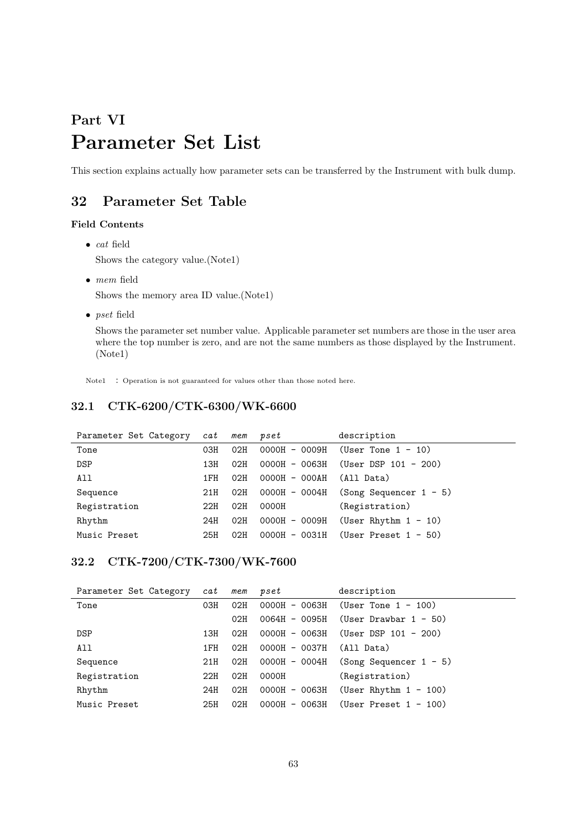# **Part VI Parameter Set List**

This section explains actually how parameter sets can be transferred by the Instrument with bulk dump.

# **32 Parameter Set Table**

## **Field Contents**

- *• cat* field Shows the category value.(Note1)
- *• mem* field Shows the memory area ID value.(Note1)
- *• pset* field

Shows the parameter set number value. Applicable parameter set numbers are those in the user area where the top number is zero, and are not the same numbers as those displayed by the Instrument. (Note1)

Note1 : Operation is not guaranteed for values other than those noted here.

# **32.1 CTK-6200/CTK-6300/WK-6600**

| Parameter Set Category | cat | mem | pset            | description                            |
|------------------------|-----|-----|-----------------|----------------------------------------|
| Tone                   | 03H | 02H |                 | $0000H - 0009H$ (User Tone 1 - 10)     |
| <b>DSP</b>             | 13H | 02H | $0000H - 0063H$ | (User DSP 101 - 200)                   |
| All                    | 1FH | 02H | $0000H - 000AH$ | (All Data)                             |
| Sequence               | 21H | 02H |                 | $0000H - 0004H$ (Song Sequencer 1 - 5) |
| Registration           | 22H | 02H | 0000H           | (Registration)                         |
| Rhythm                 | 24H | 02H | $0000H - 0009H$ | (User Rhythm $1 - 10$ )                |
| Music Preset           | 25H | 02H | $0000H - 0031H$ | (User Preset $1 - 50$ )                |

## **32.2 CTK-7200/CTK-7300/WK-7600**

| Parameter Set Category | cat | mem | pset            | description                         |
|------------------------|-----|-----|-----------------|-------------------------------------|
| Tone                   | 03H | 02H |                 | $0000H - 0063H$ (User Tone 1 - 100) |
|                        |     | 02H | 0064H - 0095H   | (User Drawbar 1 - 50)               |
| DSP                    | 13H | 02H | 0000H - 0063H   | (User DSP 101 - 200)                |
| All                    | 1FH | 02H | $0000H - 0037H$ | (All Data)                          |
| Sequence               | 21H | 02H | 0000H - 0004H   | $(Song Sequenceer 1 - 5)$           |
| Registration           | 22H | 02H | 0000H           | (Registration)                      |
| Rhythm                 | 24H | 02H | 0000H - 0063H   | (User Rhythm $1 - 100$ )            |
| Music Preset           | 25H | 02H | 0000H - 0063H   | (User Preset $1 - 100$ )            |
|                        |     |     |                 |                                     |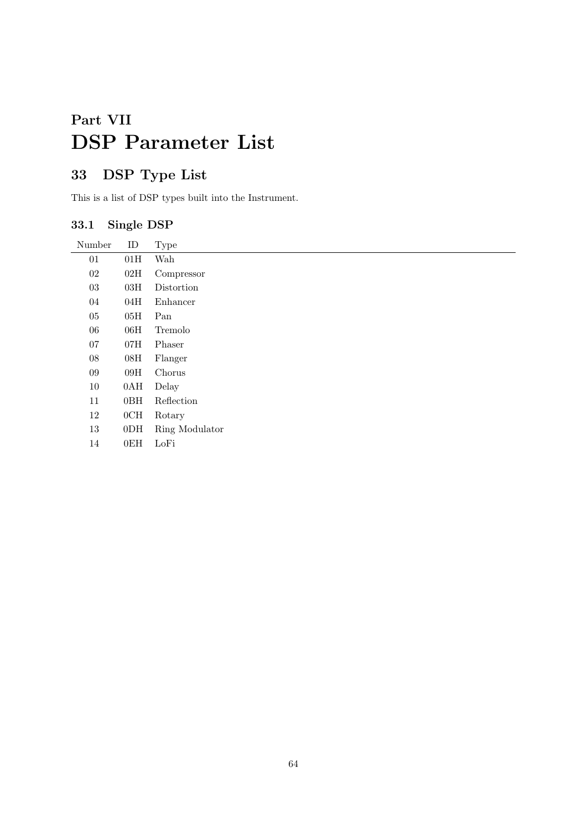# **Part VII DSP Parameter List**

# **33 DSP Type List**

This is a list of DSP types built into the Instrument.

# **33.1 Single DSP**

| Number | ID              | <b>Type</b>    |
|--------|-----------------|----------------|
| $01\,$ | 01H             | Wah            |
| 02     | 02H             | Compressor     |
| 03     | 03H             | Distortion     |
| 04     | 04H             | Enhancer       |
| 05     | 05H             | Pan            |
| 06     | 06H             | Tremolo        |
| 07     | 07H             | Phaser         |
| 08     | 08H             | Flanger        |
| 09     | 09H             | Chorus         |
| 10     | 0AH             | Delay          |
| 11     | 0BH             | Reflection     |
| 12     | 0CH             | Rotary         |
| $13\,$ | 0 <sub>DH</sub> | Ring Modulator |
| 14     | 0EH             | LoFi           |
|        |                 |                |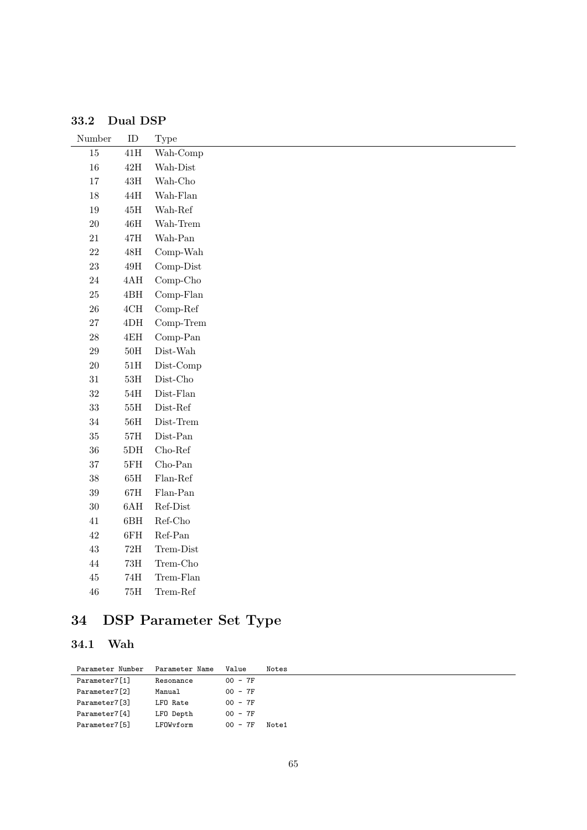| Number | ID               | Type                                            |
|--------|------------------|-------------------------------------------------|
| $15\,$ | $41\mathrm{H}$   | Wah-Comp                                        |
| $16\,$ | $42\mathrm{H}$   | Wah-Dist                                        |
| $17\,$ | $43\mathrm{H}$   | Wah-Cho                                         |
| 18     | $44\mathrm{H}$   | Wah-Flan                                        |
| $19\,$ | $45\mathrm{H}$   | Wah-Ref $\,$                                    |
| $20\,$ | $46\mathrm{H}$   | Wah-Trem                                        |
| $21\,$ | $47\mathrm{H}$   | Wah-Pan $\,$                                    |
| $22\,$ | $48\mathrm{H}$   | Comp-Wah                                        |
| $23\,$ | $49\mathrm{H}$   | Comp-Dist                                       |
| $24\,$ | $4{\rm AH}$      | $Comp-Cho$                                      |
| $25\,$ | $4{\rm BH}$      | Comp-Flan                                       |
| $26\,$ | $4{\mathrm{CH}}$ | $Comp-Ref$                                      |
| 27     | $4\mathrm{DH}$   | Comp-Trem                                       |
| $28\,$ | $4\mathrm{EH}$   | $Comp-Pan$                                      |
| 29     | $50\mathrm{H}$   | $\operatorname{Dist\text{-}}\operatorname{Wah}$ |
| $20\,$ | $51\mathrm{H}$   | Dist-Comp                                       |
| $31\,$ | $53\mathrm{H}$   | $Dist-Cho$                                      |
| $32\,$ | $54\mathrm{H}$   | $Dist$ -Flan                                    |
| 33     | $55\mathrm{H}$   | $\operatorname{Dist-Ref}$                       |
| $34\,$ | $56\mathrm{H}$   | Dist-Trem                                       |
| 35     | $57\mathrm{H}$   | $Dist-Pan$                                      |
| 36     | $5\mathrm{DH}$   | $Cho-Ref$                                       |
| 37     | $5FH$            | $Cho-Pan$                                       |
| $38\,$ | $65\mathrm{H}$   | $Flan-Ref$                                      |
| 39     | $67\mathrm{H}$   | $Flan-Pan$                                      |
| $30\,$ | 6AH              | $Ref-Dist$                                      |
| $41\,$ | $6{\rm BH}$      | $Ref-Cho$                                       |
| 42     | $6FH$            | $Ref-Pan$                                       |
| $43\,$ | $72\mathrm{H}$   | Trem-Dist                                       |
| $44\,$ | $73\mathrm{H}$   | $\operatorname{Term}\text{-}\mathrm{Cho}$       |
| 45     | 74H              | Trem-Flan                                       |

**33.2 Dual DSP**

# **34 DSP Parameter Set Type**

46 75H Trem-Ref

# **34.1 Wah**

| Parameter Number | Parameter Name | Value     | Notes |
|------------------|----------------|-----------|-------|
| Parameter7[1]    | Resonance      | $00 - 7F$ |       |
| Parameter7[2]    | Manual         | $00 - 7F$ |       |
| Parameter7[3]    | LFO Rate       | $00 - 7F$ |       |
| Parameter7[4]    | LFO Depth      | $00 - 7F$ |       |
| Parameter7[5]    | LFOWvform      | $00 - 7F$ | Note1 |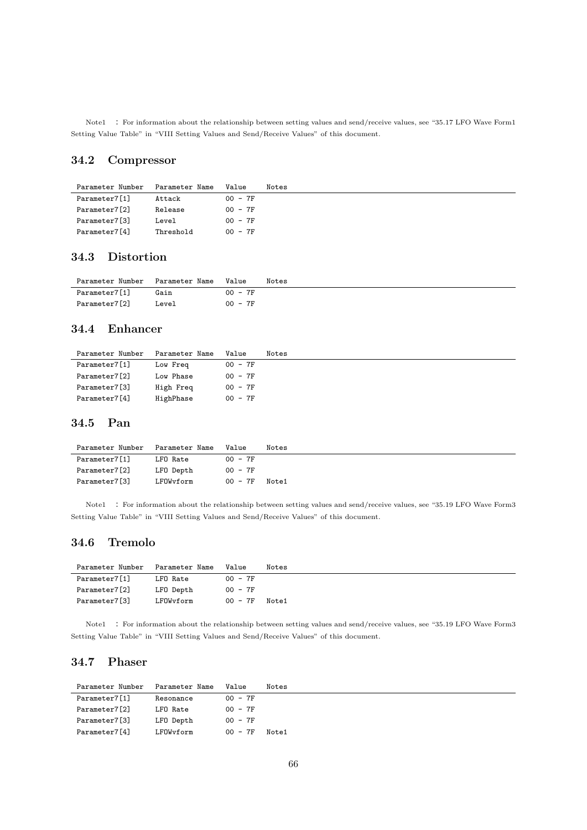Note1 : For information about the relationship between setting values and send/receive values, see "35.17 LFO Wave Form1 Setting Value Table" in "VIII Setting Values and Send/Receive Values" of this document.

## **34.2 Compressor**

| Parameter Number | Parameter Name | Value     | Notes |
|------------------|----------------|-----------|-------|
| Parameter7[1]    | Attack         | $00 - 7F$ |       |
| Parameter7[2]    | Release        | $00 - 7F$ |       |
| Parameter7[3]    | Level          | $00 - 7F$ |       |
| Parameter7[4]    | Threshold      | $00 - 7F$ |       |

## **34.3 Distortion**

| Parameter Number Parameter Name |       | Value     | Notes |
|---------------------------------|-------|-----------|-------|
| Parameter7[1]                   | Gain  | $00 - 7F$ |       |
| Parameter7[2]                   | Level | $00 - 7F$ |       |

## **34.4 Enhancer**

| Parameter Number | Parameter Name | Value     | Notes |
|------------------|----------------|-----------|-------|
| Parameter7[1]    | Low Freq       | $00 - 7F$ |       |
| Parameter7[2]    | Low Phase      | $00 - 7F$ |       |
| Parameter7[3]    | High Freq      | $00 - 7F$ |       |
| Parameter7[4]    | HighPhase      | $00 - 7F$ |       |

#### **34.5 Pan**

| Parameter Number | Parameter Name | Value     | Notes |
|------------------|----------------|-----------|-------|
| Parameter7[1]    | LFO Rate       | $00 - 7F$ |       |
| Parameter7[2]    | LFO Depth      | $00 - 7F$ |       |
| Parameter7[3]    | LFOWvform      | $00 - 7F$ | Note1 |

Note1 : For information about the relationship between setting values and send/receive values, see "35.19 LFO Wave Form3 Setting Value Table" in "VIII Setting Values and Send/Receive Values" of this document.

## **34.6 Tremolo**

| Parameter Number | Parameter Name | Value     | Notes |
|------------------|----------------|-----------|-------|
| Parameter7[1]    | LFO Rate       | $00 - 7F$ |       |
| Parameter7[2]    | LFO Depth      | $00 - 7F$ |       |
| Parameter7[3]    | LFOWvform      | $00 - 7F$ | Note1 |

Note1 : For information about the relationship between setting values and send/receive values, see "35.19 LFO Wave Form3 Setting Value Table" in "VIII Setting Values and Send/Receive Values" of this document.

## **34.7 Phaser**

| Parameter Number | Parameter Name | Value     | Notes |
|------------------|----------------|-----------|-------|
| Parameter7[1]    | Resonance      | $00 - 7F$ |       |
| Parameter7[2]    | LFO Rate       | $00 - 7F$ |       |
| Parameter7[3]    | LFO Depth      | $00 - 7F$ |       |
| Parameter7[4]    | LFOWyform      | $00 - 7F$ | Note1 |
|                  |                |           |       |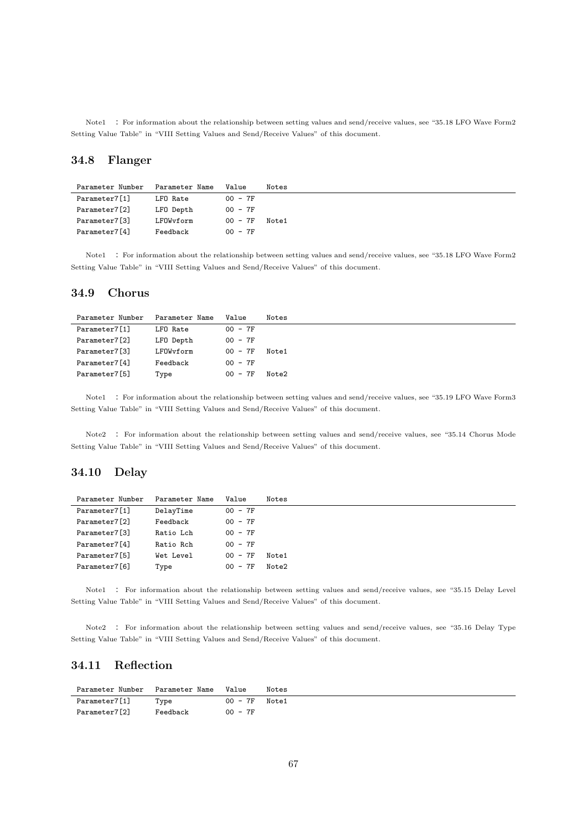Note1 : For information about the relationship between setting values and send/receive values, see "35.18 LFO Wave Form2 Setting Value Table" in "VIII Setting Values and Send/Receive Values" of this document.

## **34.8 Flanger**

| Parameter Number | Parameter Name | Value     | Notes |
|------------------|----------------|-----------|-------|
| Parameter7[1]    | LFO Rate       | $00 - 7F$ |       |
| Parameter7[2]    | LFO Depth      | $00 - 7F$ |       |
| Parameter7[3]    | LFOWvform      | $00 - 7F$ | Note1 |
| Parameter7[4]    | Feedback       | $00 - 7F$ |       |

Note1 : For information about the relationship between setting values and send/receive values, see "35.18 LFO Wave Form2 Setting Value Table" in "VIII Setting Values and Send/Receive Values" of this document.

#### **34.9 Chorus**

| Parameter Number | Parameter Name | Value     | Notes |
|------------------|----------------|-----------|-------|
| Parameter7[1]    | LFO Rate       | $00 - 7F$ |       |
| Parameter7[2]    | LFO Depth      | $00 - 7F$ |       |
| Parameter7[3]    | LFOWvform      | $00 - 7F$ | Note1 |
| Parameter7[4]    | Feedback       | $00 - 7F$ |       |
| Parameter7[5]    | Type           | $00 - 7F$ | Note2 |

Note1 : For information about the relationship between setting values and send/receive values, see "35.19 LFO Wave Form3 Setting Value Table" in "VIII Setting Values and Send/Receive Values" of this document.

Note2 : For information about the relationship between setting values and send/receive values, see "35.14 Chorus Mode Setting Value Table" in "VIII Setting Values and Send/Receive Values" of this document.

## **34.10 Delay**

| Parameter Number | Parameter Name | Value     | Notes |
|------------------|----------------|-----------|-------|
| Parameter7[1]    | DelayTime      | $00 - 7F$ |       |
| Parameter7[2]    | Feedback       | $00 - 7F$ |       |
| Parameter7[3]    | Ratio Lch      | $00 - 7F$ |       |
| Parameter7[4]    | Ratio Rch      | $00 - 7F$ |       |
| Parameter7[5]    | Wet Level      | $00 - 7F$ | Note1 |
| Parameter7[6]    | Type           | $00 - 7F$ | Note2 |

Note1 : For information about the relationship between setting values and send/receive values, see "35.15 Delay Level Setting Value Table" in "VIII Setting Values and Send/Receive Values" of this document.

Note2 : For information about the relationship between setting values and send/receive values, see "35.16 Delay Type Setting Value Table" in "VIII Setting Values and Send/Receive Values" of this document.

## **34.11 Reflection**

| Parameter Number Parameter Name Value |          |                 | Notes |
|---------------------------------------|----------|-----------------|-------|
| Parameter7[1]                         | Type     | $00 - 7F$ Note1 |       |
| Parameter7[2]                         | Feedback | $00 - 7F$       |       |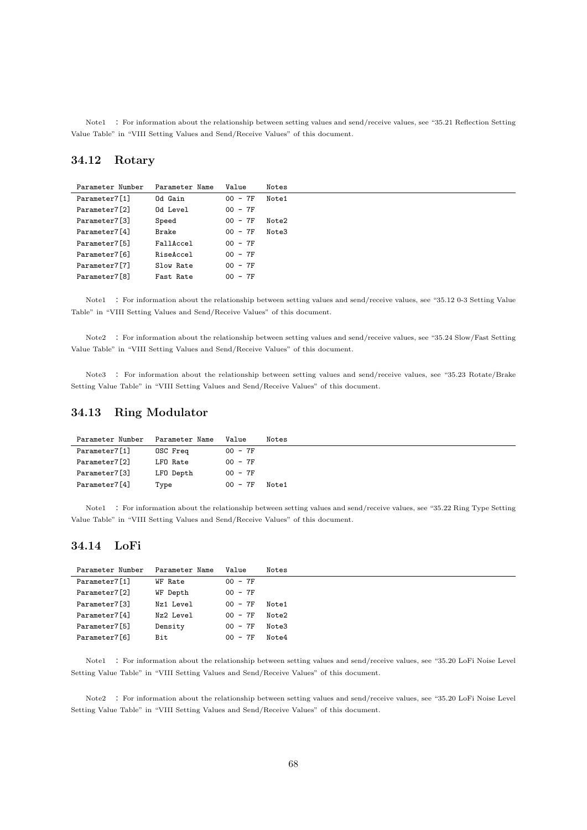Note1 : For information about the relationship between setting values and send/receive values, see "35.21 Reflection Setting Value Table" in "VIII Setting Values and Send/Receive Values" of this document.

## **34.12 Rotary**

| Parameter Number | Parameter Name | Value     | Notes |
|------------------|----------------|-----------|-------|
| Parameter7[1]    | Od Gain        | $00 - 7F$ | Note1 |
| Parameter7[2]    | Od Level       | $00 - 7F$ |       |
| Parameter7[3]    | Speed          | $00 - 7F$ | Note2 |
| Parameter7[4]    | Brake          | $00 - 7F$ | Note3 |
| Parameter7[5]    | FallAccel      | $00 - 7F$ |       |
| Parameter7[6]    | RiseAccel      | $00 - 7F$ |       |
| Parameter7[7]    | Slow Rate      | $00 - 7F$ |       |
| Parameter7[8]    | Fast Rate      | $00 - 7F$ |       |

Note1 : For information about the relationship between setting values and send/receive values, see "35.12 0-3 Setting Value Table" in "VIII Setting Values and Send/Receive Values" of this document.

Note2 : For information about the relationship between setting values and send/receive values, see "35.24 Slow/Fast Setting Value Table" in "VIII Setting Values and Send/Receive Values" of this document.

Note3 : For information about the relationship between setting values and send/receive values, see "35.23 Rotate/Brake Setting Value Table" in "VIII Setting Values and Send/Receive Values" of this document.

#### **34.13 Ring Modulator**

| Parameter Number | Parameter Name | Value     | Notes |
|------------------|----------------|-----------|-------|
| Parameter7[1]    | OSC Freq       | $00 - 7F$ |       |
| Parameter7[2]    | LFO Rate       | $00 - 7F$ |       |
| Parameter7[3]    | LFO Depth      | $00 - 7F$ |       |
| Parameter7[4]    | Type           | $00 - 7F$ | Note1 |

Note1 : For information about the relationship between setting values and send/receive values, see "35.22 Ring Type Setting Value Table" in "VIII Setting Values and Send/Receive Values" of this document.

## **34.14 LoFi**

| Parameter Number | Parameter Name | Value     | Notes |
|------------------|----------------|-----------|-------|
| Parameter7[1]    | WF Rate        | $00 - 7F$ |       |
| Parameter7[2]    | WF Depth       | $00 - 7F$ |       |
| Parameter7[3]    | Nz1 Level      | $00 - 7F$ | Note1 |
| Parameter7[4]    | Nz2 Level      | $00 - 7F$ | Note2 |
| Parameter7[5]    | Density        | $00 - 7F$ | Note3 |
| Parameter7[6]    | Bit            | $00 - 7F$ | Note4 |
|                  |                |           |       |

Note1 : For information about the relationship between setting values and send/receive values, see "35.20 LoFi Noise Level Setting Value Table" in "VIII Setting Values and Send/Receive Values" of this document.

Note2 : For information about the relationship between setting values and send/receive values, see "35.20 LoFi Noise Level Setting Value Table" in "VIII Setting Values and Send/Receive Values" of this document.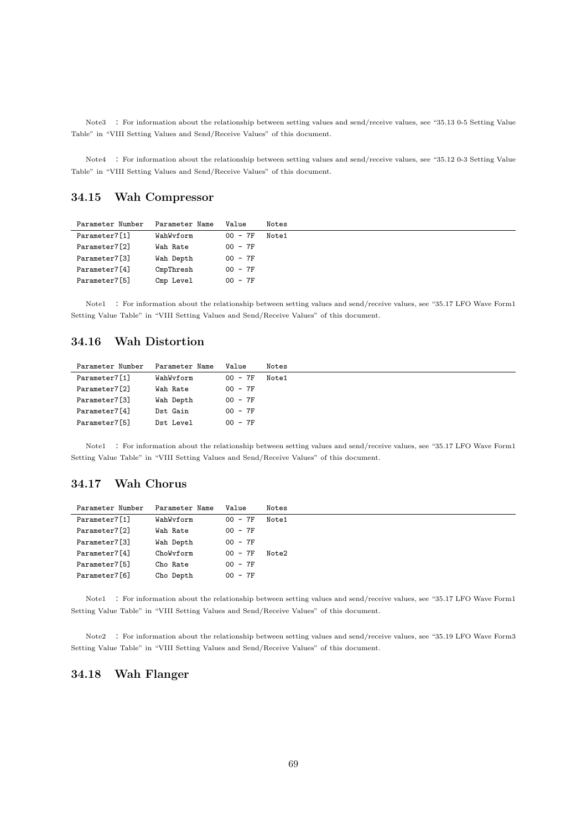Note3 : For information about the relationship between setting values and send/receive values, see "35.13 0-5 Setting Value Table" in "VIII Setting Values and Send/Receive Values" of this document.

Note4 : For information about the relationship between setting values and send/receive values, see "35.12 0-3 Setting Value Table" in "VIII Setting Values and Send/Receive Values" of this document.

## **34.15 Wah Compressor**

| Parameter Number | Parameter Name | Value     | Notes |
|------------------|----------------|-----------|-------|
| Parameter7[1]    | WahWvform      | $00 - 7F$ | Note1 |
| Parameter7[2]    | Wah Rate       | $00 - 7F$ |       |
| Parameter7[3]    | Wah Depth      | $00 - 7F$ |       |
| Parameter7[4]    | CmpThresh      | $00 - 7F$ |       |
| Parameter7[5]    | Cmp Level      | $00 - 7F$ |       |

Note1 : For information about the relationship between setting values and send/receive values, see "35.17 LFO Wave Form1 Setting Value Table" in "VIII Setting Values and Send/Receive Values" of this document.

## **34.16 Wah Distortion**

| Parameter Number | Parameter Name | Value     | Notes |
|------------------|----------------|-----------|-------|
| Parameter7[1]    | WahWvform      | $00 - 7F$ | Note1 |
| Parameter7[2]    | Wah Rate       | $00 - 7F$ |       |
| Parameter7[3]    | Wah Depth      | $00 - 7F$ |       |
| Parameter7[4]    | Dst Gain       | $00 - 7F$ |       |
| Parameter7[5]    | Dst Level      | $00 - 7F$ |       |

Note1 : For information about the relationship between setting values and send/receive values, see "35.17 LFO Wave Form1 Setting Value Table" in "VIII Setting Values and Send/Receive Values" of this document.

## **34.17 Wah Chorus**

| Parameter Name | Value     | Notes |
|----------------|-----------|-------|
| WahWyform      | $00 - 7F$ | Note1 |
| Wah Rate       | $00 - 7F$ |       |
| Wah Depth      | $00 - 7F$ |       |
| ChoWyform      | $00 - 7F$ | Note2 |
| Cho Rate       | $00 - 7F$ |       |
| Cho Depth      | $00 - 7F$ |       |
|                |           |       |

Note1 : For information about the relationship between setting values and send/receive values, see "35.17 LFO Wave Form1 Setting Value Table" in "VIII Setting Values and Send/Receive Values" of this document.

Note2 : For information about the relationship between setting values and send/receive values, see "35.19 LFO Wave Form3 Setting Value Table" in "VIII Setting Values and Send/Receive Values" of this document.

## **34.18 Wah Flanger**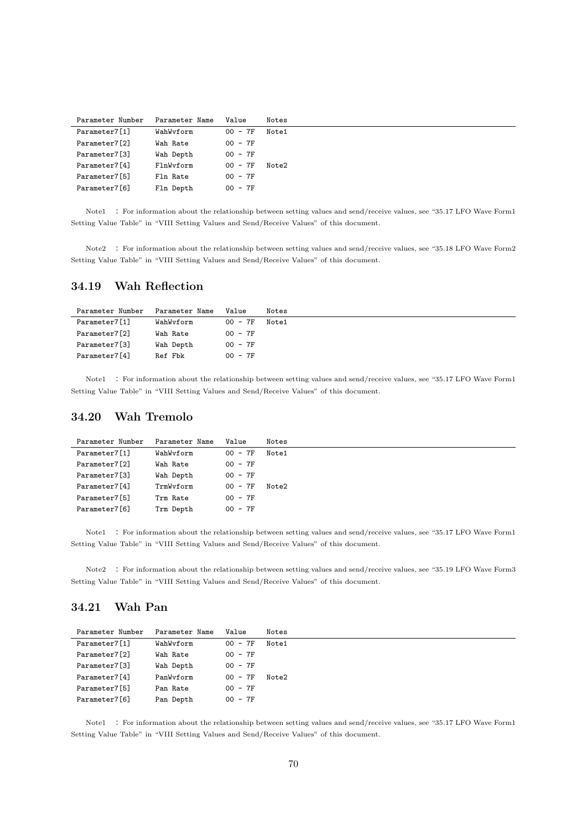| Parameter Number | Parameter Name | Value     | Notes |
|------------------|----------------|-----------|-------|
| Parameter7[1]    | WahWyform      | $00 - 7F$ | Note1 |
| Parameter7[2]    | Wah Rate       | $00 - 7F$ |       |
| Parameter7[3]    | Wah Depth      | $00 - 7F$ |       |
| Parameter7[4]    | FlnWyform      | $00 - 7F$ | Note2 |
| Parameter7[5]    | Fln Rate       | $00 - 7F$ |       |
| Parameter7[6]    | Fln Depth      | $00 - 7F$ |       |

Note1 : For information about the relationship between setting values and send/receive values, see "35.17 LFO Wave Form1 Setting Value Table" in "VIII Setting Values and Send/Receive Values" of this document.

Note2 : For information about the relationship between setting values and send/receive values, see "35.18 LFO Wave Form2 Setting Value Table" in "VIII Setting Values and Send/Receive Values" of this document.

## **34.19 Wah Reflection**

| Parameter Name<br>Value | Notes |
|-------------------------|-------|
| $00 - 7F$<br>WahWvform  | Note1 |
| $00 - 7F$               |       |
| $00 - 7F$<br>Wah Depth  |       |
| $00 - 7F$               |       |
|                         |       |

Note1 : For information about the relationship between setting values and send/receive values, see "35.17 LFO Wave Form1 Setting Value Table" in "VIII Setting Values and Send/Receive Values" of this document.

## **34.20 Wah Tremolo**

| Parameter Number | Parameter Name | Value     | Notes |
|------------------|----------------|-----------|-------|
| Parameter7[1]    | WahWvform      | $00 - 7F$ | Note1 |
| Parameter7[2]    | Wah Rate       | $00 - 7F$ |       |
| Parameter7[3]    | Wah Depth      | $00 - 7F$ |       |
| Parameter7[4]    | TrmWyform      | $00 - 7F$ | Note2 |
| Parameter7[5]    | Trm Rate       | $00 - 7F$ |       |
| Parameter7[6]    | Trm Depth      | $00 - 7F$ |       |

Note1 : For information about the relationship between setting values and send/receive values, see "35.17 LFO Wave Form1 Setting Value Table" in "VIII Setting Values and Send/Receive Values" of this document.

Note2 : For information about the relationship between setting values and send/receive values, see "35.19 LFO Wave Form3 Setting Value Table" in "VIII Setting Values and Send/Receive Values" of this document.

## **34.21 Wah Pan**

| Parameter Number | Parameter Name | Value     | Notes |
|------------------|----------------|-----------|-------|
| Parameter7[1]    | WahWvform      | $00 - 7F$ | Note1 |
| Parameter7[2]    | Wah Rate       | $00 - 7F$ |       |
| Parameter7[3]    | Wah Depth      | $00 - 7F$ |       |
| Parameter7[4]    | PanWyform      | $00 - 7F$ | Note2 |
| Parameter7[5]    | Pan Rate       | $00 - 7F$ |       |
| Parameter7[6]    | Pan Depth      | $00 - 7F$ |       |

Note1 : For information about the relationship between setting values and send/receive values, see "35.17 LFO Wave Form1 Setting Value Table" in "VIII Setting Values and Send/Receive Values" of this document.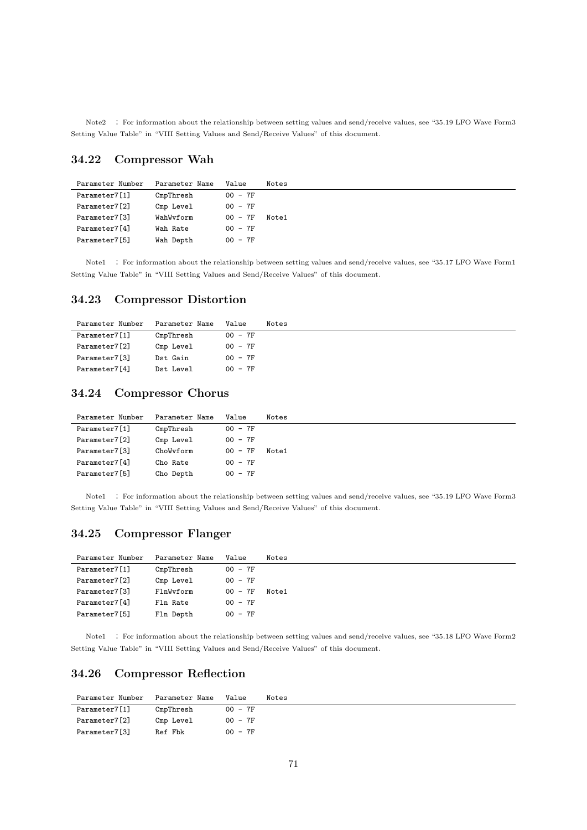Note2 : For information about the relationship between setting values and send/receive values, see "35.19 LFO Wave Form3 Setting Value Table" in "VIII Setting Values and Send/Receive Values" of this document.

## **34.22 Compressor Wah**

| Parameter Number | Parameter Name | Value     | Notes |
|------------------|----------------|-----------|-------|
| Parameter7[1]    | CmpThresh      | $00 - 7F$ |       |
| Parameter7[2]    | Cmp Level      | $00 - 7F$ |       |
| Parameter7[3]    | WahWvform      | $00 - 7F$ | Note1 |
| Parameter7[4]    | Wah Rate       | $00 - 7F$ |       |
| Parameter7[5]    | Wah Depth      | $00 - 7F$ |       |

Note1 : For information about the relationship between setting values and send/receive values, see "35.17 LFO Wave Form1 Setting Value Table" in "VIII Setting Values and Send/Receive Values" of this document.

## **34.23 Compressor Distortion**

| Parameter Number | Parameter Name | Value     | Notes |
|------------------|----------------|-----------|-------|
| Parameter7[1]    | CmpThresh      | $00 - 7F$ |       |
| Parameter7[2]    | Cmp Level      | $00 - 7F$ |       |
| Parameter7[3]    | Dst Gain       | $00 - 7F$ |       |
| Parameter7[4]    | Dst Level      | $00 - 7F$ |       |

## **34.24 Compressor Chorus**

| Parameter Number | Parameter Name | Value     | Notes |
|------------------|----------------|-----------|-------|
| Parameter7[1]    | CmpThresh      | $00 - 7F$ |       |
| Parameter7[2]    | Cmp Level      | $00 - 7F$ |       |
| Parameter7[3]    | ChoWyform      | $00 - 7F$ | Note1 |
| Parameter7[4]    | Cho Rate       | $00 - 7F$ |       |
| Parameter7[5]    | Cho Depth      | $00 - 7F$ |       |

Note1 : For information about the relationship between setting values and send/receive values, see "35.19 LFO Wave Form3 Setting Value Table" in "VIII Setting Values and Send/Receive Values" of this document.

## **34.25 Compressor Flanger**

| Parameter Number | Parameter Name | Value     | Notes |
|------------------|----------------|-----------|-------|
| Parameter7[1]    | CmpThresh      | $00 - 7F$ |       |
| Parameter7[2]    | Cmp Level      | $00 - 7F$ |       |
| Parameter7[3]    | FlnWyform      | $00 - 7F$ | Note1 |
| Parameter7[4]    | Fln Rate       | $00 - 7F$ |       |
| Parameter7[5]    | Fln Depth      | $00 - 7F$ |       |

Note1 : For information about the relationship between setting values and send/receive values, see "35.18 LFO Wave Form2 Setting Value Table" in "VIII Setting Values and Send/Receive Values" of this document.

## **34.26 Compressor Reflection**

| Parameter Number | Parameter Name | Value     | Notes |
|------------------|----------------|-----------|-------|
| Parameter7[1]    | CmpThresh      | $00 - 7F$ |       |
| Parameter7[2]    | Cmp Level      | $00 - 7F$ |       |
| Parameter7[3]    | Ref Fbk        | $00 - 7F$ |       |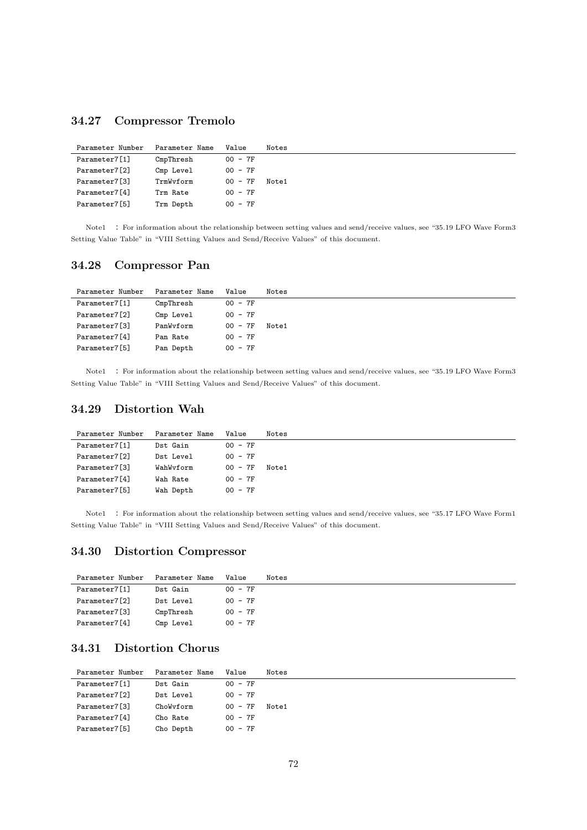## **34.27 Compressor Tremolo**

| Parameter Number | Parameter Name | Value     | Notes |
|------------------|----------------|-----------|-------|
| Parameter7[1]    | CmpThresh      | $00 - 7F$ |       |
| Parameter7[2]    | Cmp Level      | $00 - 7F$ |       |
| Parameter7[3]    | TrmWyform      | $00 - 7F$ | Note1 |
| Parameter7[4]    | Trm Rate       | $00 - 7F$ |       |
| Parameter7[5]    | Trm Depth      | $00 - 7F$ |       |

Note1 : For information about the relationship between setting values and send/receive values, see "35.19 LFO Wave Form3 Setting Value Table" in "VIII Setting Values and Send/Receive Values" of this document.

## **34.28 Compressor Pan**

| Parameter Number | Parameter Name | Value     | Notes |
|------------------|----------------|-----------|-------|
| Parameter7[1]    | CmpThresh      | $00 - 7F$ |       |
| Parameter7[2]    | Cmp Level      | $00 - 7F$ |       |
| Parameter7[3]    | PanWyform      | $00 - 7F$ | Note1 |
| Parameter7[4]    | Pan Rate       | $00 - 7F$ |       |
| Parameter7[5]    | Pan Depth      | $00 - 7F$ |       |

Note1 : For information about the relationship between setting values and send/receive values, see "35.19 LFO Wave Form3 Setting Value Table" in "VIII Setting Values and Send/Receive Values" of this document.

## **34.29 Distortion Wah**

| Parameter Number | Parameter Name | Value     | Notes |
|------------------|----------------|-----------|-------|
| Parameter7[1]    | Dst Gain       | $00 - 7F$ |       |
| Parameter7[2]    | Dst Level      | $00 - 7F$ |       |
| Parameter7[3]    | WahWvform      | $00 - 7F$ | Note1 |
| Parameter7[4]    | Wah Rate       | $00 - 7F$ |       |
| Parameter7[5]    | Wah Depth      | $00 - 7F$ |       |

Note1 : For information about the relationship between setting values and send/receive values, see "35.17 LFO Wave Form1 Setting Value Table" in "VIII Setting Values and Send/Receive Values" of this document.

## **34.30 Distortion Compressor**

| Parameter Number | Parameter Name | Value     | Notes |
|------------------|----------------|-----------|-------|
| Parameter7[1]    | Dst Gain       | $00 - 7F$ |       |
| Parameter7[2]    | Dst Level      | $00 - 7F$ |       |
| Parameter7[3]    | CmpThresh      | $00 - 7F$ |       |
| Parameter7[4]    | Cmp Level      | $00 - 7F$ |       |

## **34.31 Distortion Chorus**

| Parameter Number | Parameter Name | Value     | Notes |
|------------------|----------------|-----------|-------|
| Parameter7[1]    | Dst Gain       | $00 - 7F$ |       |
| Parameter7[2]    | Dst Level      | $00 - 7F$ |       |
| Parameter7[3]    | ChoWyform      | $00 - 7F$ | Note1 |
| Parameter7[4]    | Cho Rate       | $00 - 7F$ |       |
| Parameter7[5]    | Cho Depth      | $00 - 7F$ |       |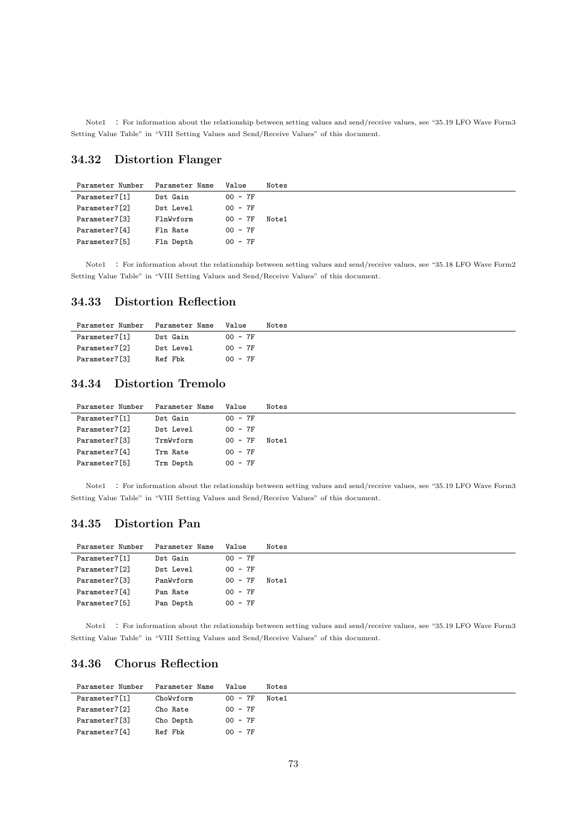Note1 : For information about the relationship between setting values and send/receive values, see "35.19 LFO Wave Form3 Setting Value Table" in "VIII Setting Values and Send/Receive Values" of this document.

### **34.32 Distortion Flanger**

| Parameter Number | Parameter Name | Value     | Notes |
|------------------|----------------|-----------|-------|
| Parameter7[1]    | Dst Gain       | $00 - 7F$ |       |
| Parameter7[2]    | Dst Level      | $00 - 7F$ |       |
| Parameter7[3]    | FlnWyform      | $00 - 7F$ | Note1 |
| Parameter7[4]    | Fln Rate       | $00 - 7F$ |       |
| Parameter7[5]    | Fln Depth      | $00 - 7F$ |       |

Note1 : For information about the relationship between setting values and send/receive values, see "35.18 LFO Wave Form2 Setting Value Table" in "VIII Setting Values and Send/Receive Values" of this document.

#### **34.33 Distortion Reflection**

| Parameter Number | Parameter Name | Value     | Notes |
|------------------|----------------|-----------|-------|
| Parameter7[1]    | Dst Gain       | $00 - 7F$ |       |
| Parameter7[2]    | Dst Level      | $00 - 7F$ |       |
| Parameter7[3]    | Ref Fbk        | $00 - 7F$ |       |

### **34.34 Distortion Tremolo**

| Parameter Number | Parameter Name | Value     | Notes |
|------------------|----------------|-----------|-------|
| Parameter7[1]    | Dst Gain       | $00 - 7F$ |       |
| Parameter7[2]    | Dst Level      | $00 - 7F$ |       |
| Parameter7[3]    | TrmWyform      | $00 - 7F$ | Note1 |
| Parameter7[4]    | Trm Rate       | $00 - 7F$ |       |
| Parameter7[5]    | Trm Depth      | $00 - 7F$ |       |

Note1 : For information about the relationship between setting values and send/receive values, see "35.19 LFO Wave Form3 Setting Value Table" in "VIII Setting Values and Send/Receive Values" of this document.

#### **34.35 Distortion Pan**

| Parameter Number | Parameter Name | Value     | Notes |
|------------------|----------------|-----------|-------|
| Parameter7[1]    | Dst Gain       | $00 - 7F$ |       |
| Parameter7[2]    | Dst Level      | $00 - 7F$ |       |
| Parameter7[3]    | PanWyform      | $00 - 7F$ | Note1 |
| Parameter7[4]    | Pan Rate       | $00 - 7F$ |       |
| Parameter7[5]    | Pan Depth      | $00 - 7F$ |       |

Note1 : For information about the relationship between setting values and send/receive values, see "35.19 LFO Wave Form3 Setting Value Table" in "VIII Setting Values and Send/Receive Values" of this document.

#### **34.36 Chorus Reflection**

| Parameter Number | Parameter Name | Value     | Notes |
|------------------|----------------|-----------|-------|
| Parameter7[1]    | ChoWyform      | $00 - 7F$ | Note1 |
| Parameter7[2]    | Cho Rate       | $00 - 7F$ |       |
| Parameter7[3]    | Cho Depth      | $00 - 7F$ |       |
| Parameter7[4]    | Ref Fbk        | $00 - 7F$ |       |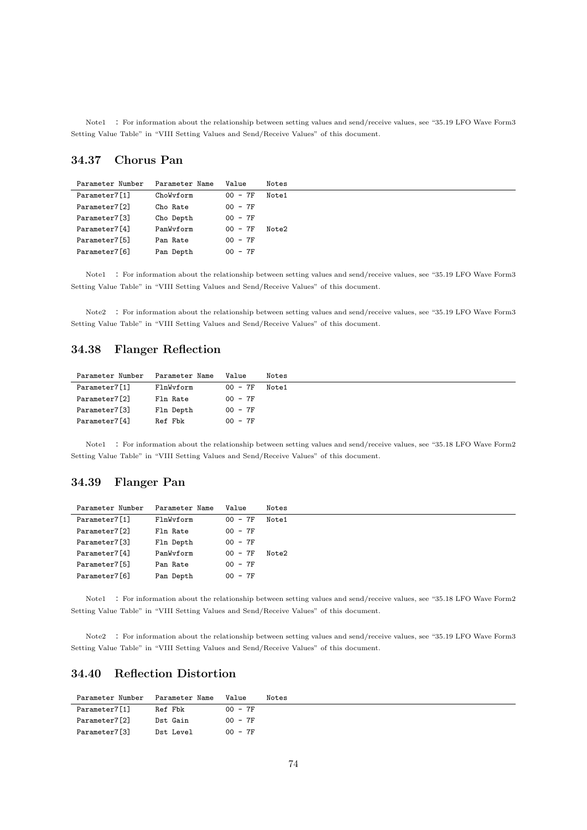Note1 : For information about the relationship between setting values and send/receive values, see "35.19 LFO Wave Form3 Setting Value Table" in "VIII Setting Values and Send/Receive Values" of this document.

### **34.37 Chorus Pan**

| Parameter Number | Parameter Name | Value     | Notes |
|------------------|----------------|-----------|-------|
| Parameter7[1]    | ChoWyform      | $00 - 7F$ | Note1 |
| Parameter7[2]    | Cho Rate       | $00 - 7F$ |       |
| Parameter7[3]    | Cho Depth      | $00 - 7F$ |       |
| Parameter7[4]    | PanWyform      | $00 - 7F$ | Note2 |
| Parameter7[5]    | Pan Rate       | $00 - 7F$ |       |
| Parameter7[6]    | Pan Depth      | $00 - 7F$ |       |

Note1 : For information about the relationship between setting values and send/receive values, see "35.19 LFO Wave Form3 Setting Value Table" in "VIII Setting Values and Send/Receive Values" of this document.

Note2 : For information about the relationship between setting values and send/receive values, see "35.19 LFO Wave Form3 Setting Value Table" in "VIII Setting Values and Send/Receive Values" of this document.

#### **34.38 Flanger Reflection**

| Parameter Number | Parameter Name | Value     | Notes |
|------------------|----------------|-----------|-------|
| Parameter7[1]    | FlnWyform      | $00 - 7F$ | Note1 |
| Parameter7[2]    | Fln Rate       | $00 - 7F$ |       |
| Parameter7[3]    | Fln Depth      | $00 - 7F$ |       |
| Parameter7[4]    | Ref Fbk        | $00 - 7F$ |       |

Note1 : For information about the relationship between setting values and send/receive values, see "35.18 LFO Wave Form2 Setting Value Table" in "VIII Setting Values and Send/Receive Values" of this document.

### **34.39 Flanger Pan**

| Parameter Number | Parameter Name | Value     | Notes |
|------------------|----------------|-----------|-------|
| Parameter7[1]    | FlnWyform      | $00 - 7F$ | Note1 |
| Parameter7[2]    | Fln Rate       | $00 - 7F$ |       |
| Parameter7[3]    | Fln Depth      | $00 - 7F$ |       |
| Parameter7[4]    | PanWyform      | $00 - 7F$ | Note2 |
| Parameter7[5]    | Pan Rate       | $00 - 7F$ |       |
| Parameter7[6]    | Pan Depth      | $00 - 7F$ |       |

Note1 : For information about the relationship between setting values and send/receive values, see "35.18 LFO Wave Form2 Setting Value Table" in "VIII Setting Values and Send/Receive Values" of this document.

Note2 : For information about the relationship between setting values and send/receive values, see "35.19 LFO Wave Form3 Setting Value Table" in "VIII Setting Values and Send/Receive Values" of this document.

### **34.40 Reflection Distortion**

| Parameter Number | Parameter Name | Value     | Notes |
|------------------|----------------|-----------|-------|
| Parameter7[1]    | Ref Fbk        | $00 - 7F$ |       |
| Parameter7[2]    | Dst Gain       | $00 - 7F$ |       |
| Parameter7[3]    | Dst Level      | $00 - 7F$ |       |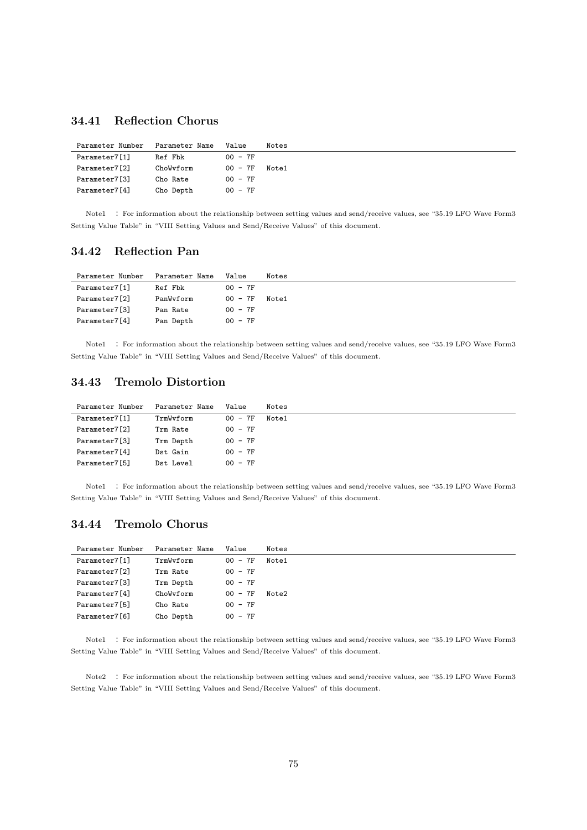### **34.41 Reflection Chorus**

| Parameter Number | Parameter Name | Value     | Notes |
|------------------|----------------|-----------|-------|
| Parameter7[1]    | Ref Fbk        | $00 - 7F$ |       |
| Parameter7[2]    | ChoWyform      | $00 - 7F$ | Note1 |
| Parameter7[3]    | Cho Rate       | $00 - 7F$ |       |
| Parameter7[4]    | Cho Depth      | $00 - 7F$ |       |

Note1 : For information about the relationship between setting values and send/receive values, see "35.19 LFO Wave Form3 Setting Value Table" in "VIII Setting Values and Send/Receive Values" of this document.

#### **34.42 Reflection Pan**

| Parameter Number | Parameter Name | Value     | Notes |
|------------------|----------------|-----------|-------|
| Parameter7[1]    | Ref Fbk        | $00 - 7F$ |       |
| Parameter7[2]    | PanWyform      | 00 - 7F   | Note1 |
| Parameter7[3]    | Pan Rate       | $00 - 7F$ |       |
| Parameter7[4]    | Pan Depth      | $00 - 7F$ |       |

Note1 : For information about the relationship between setting values and send/receive values, see "35.19 LFO Wave Form3 Setting Value Table" in "VIII Setting Values and Send/Receive Values" of this document.

### **34.43 Tremolo Distortion**

| Parameter Number | Parameter Name | Value     | Notes |
|------------------|----------------|-----------|-------|
| Parameter7[1]    | TrmWyform      | $00 - 7F$ | Note1 |
| Parameter7[2]    | Trm Rate       | $00 - 7F$ |       |
| Parameter7[3]    | Trm Depth      | $00 - 7F$ |       |
| Parameter7[4]    | Dst Gain       | $00 - 7F$ |       |
| Parameter7[5]    | Dst Level      | $00 - 7F$ |       |

Note1 : For information about the relationship between setting values and send/receive values, see "35.19 LFO Wave Form3 Setting Value Table" in "VIII Setting Values and Send/Receive Values" of this document.

### **34.44 Tremolo Chorus**

| Parameter7[1]<br>$00 - 7F$<br>TrmWyform<br>Note1<br>$00 - 7F$<br>Parameter7[2]<br>Trm Rate<br>Parameter7[3]<br>$00 - 7F$<br>Trm Depth<br>Parameter7[4]<br>$00 - 7F$<br>ChoWyform<br>Note2<br>$00 - 7F$<br>Parameter7[5]<br>Cho Rate<br>Parameter7[6]<br>$00 - 7F$<br>Cho Depth | Parameter Number | Parameter Name | Value | Notes |
|--------------------------------------------------------------------------------------------------------------------------------------------------------------------------------------------------------------------------------------------------------------------------------|------------------|----------------|-------|-------|
|                                                                                                                                                                                                                                                                                |                  |                |       |       |
|                                                                                                                                                                                                                                                                                |                  |                |       |       |
|                                                                                                                                                                                                                                                                                |                  |                |       |       |
|                                                                                                                                                                                                                                                                                |                  |                |       |       |
|                                                                                                                                                                                                                                                                                |                  |                |       |       |
|                                                                                                                                                                                                                                                                                |                  |                |       |       |

Note1 : For information about the relationship between setting values and send/receive values, see "35.19 LFO Wave Form3 Setting Value Table" in "VIII Setting Values and Send/Receive Values" of this document.

Note2 : For information about the relationship between setting values and send/receive values, see "35.19 LFO Wave Form3 Setting Value Table" in "VIII Setting Values and Send/Receive Values" of this document.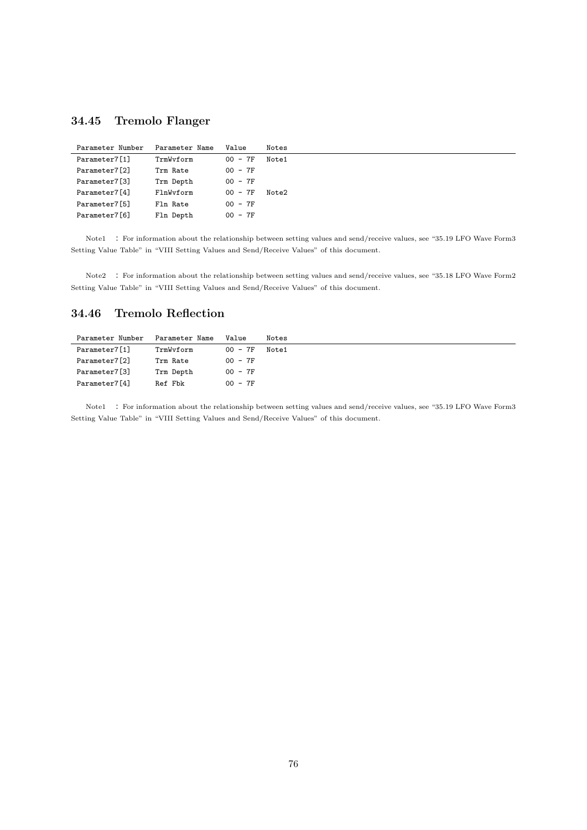### **34.45 Tremolo Flanger**

| Parameter Number | Parameter Name | Value      | Notes |
|------------------|----------------|------------|-------|
| Parameter7[1]    | TrmWvform      | $00 - 7F$  | Note1 |
| Parameter7[2]    | Trm Rate       | $00 - 7F$  |       |
| Parameter7[3]    | Trm Depth      | $00 - 7F$  |       |
| Parameter7[4]    | FlnWyform      | $00 - 7F$  | Note2 |
| Parameter7[5]    | Fln Rate       | $00 - 7F$  |       |
| Parameter7[6]    | Fln Depth      | - 7F<br>ററ |       |

Note1 : For information about the relationship between setting values and send/receive values, see "35.19 LFO Wave Form3 Setting Value Table" in "VIII Setting Values and Send/Receive Values" of this document.

Note2 : For information about the relationship between setting values and send/receive values, see "35.18 LFO Wave Form2 Setting Value Table" in "VIII Setting Values and Send/Receive Values" of this document.

### **34.46 Tremolo Reflection**

| Parameter Name | Value     | Notes |
|----------------|-----------|-------|
| TrmWyform      | $00 - 7F$ | Note1 |
| Trm Rate       | $00 - 7F$ |       |
| Trm Depth      | $00 - 7F$ |       |
| Ref Fbk        | $00 - 7F$ |       |
|                |           |       |

Note1 : For information about the relationship between setting values and send/receive values, see "35.19 LFO Wave Form3 Setting Value Table" in "VIII Setting Values and Send/Receive Values" of this document.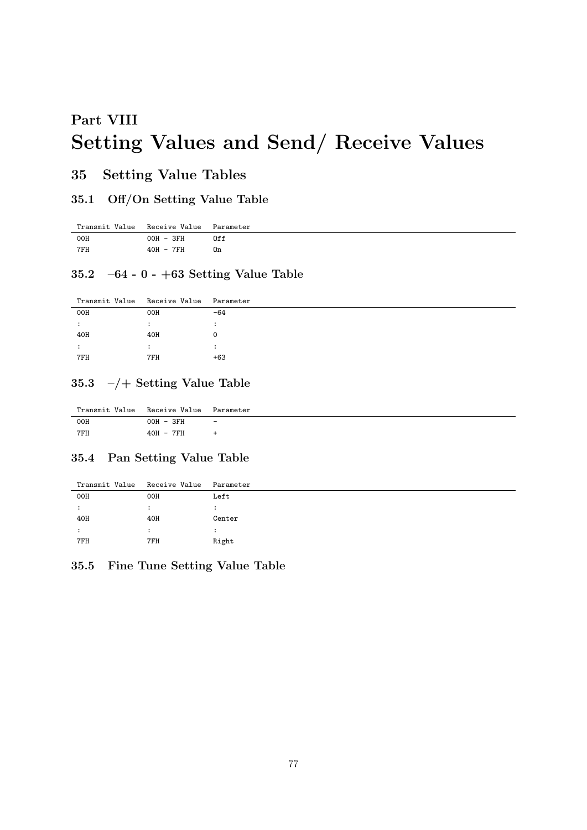# **Part VIII Setting Values and Send/ Receive Values**

### **35 Setting Value Tables**

### **35.1 Off/On Setting Value Table**

| Transmit Value Receive Value Parameter |           |     |
|----------------------------------------|-----------|-----|
| 00H                                    | 00H - 3FH | 0ff |
| 7FH                                    | 40H - 7FH | 0n  |

#### **35.2 –64 - 0 - +63 Setting Value Table**

| Transmit Value | Receive Value Parameter |                      |
|----------------|-------------------------|----------------------|
| 00H            | 00H                     | $-64$                |
| ٠              | ٠                       | $\ddot{\phantom{a}}$ |
| 40H            | 40H                     | 0                    |
| ٠              | $\cdot$                 | ٠<br>$\cdot$         |
| 7FH            | 7FH                     | $+63$                |
|                |                         |                      |

### **35.3 –/+ Setting Value Table**

| Transmit Value Receive Value Parameter |           |                          |
|----------------------------------------|-----------|--------------------------|
| 00H                                    | 00H - 3FH | $\overline{\phantom{a}}$ |
| 7FH                                    | 40H - 7FH |                          |

### **35.4 Pan Setting Value Table**

| Transmit Value | Receive Value | Parameter |
|----------------|---------------|-----------|
| 00H            | 00H           | Left      |
|                |               |           |
| 40H            | 40H           | Center    |
|                |               |           |
| 7FH            | 7FH           | Right     |
|                |               |           |

#### **35.5 Fine Tune Setting Value Table**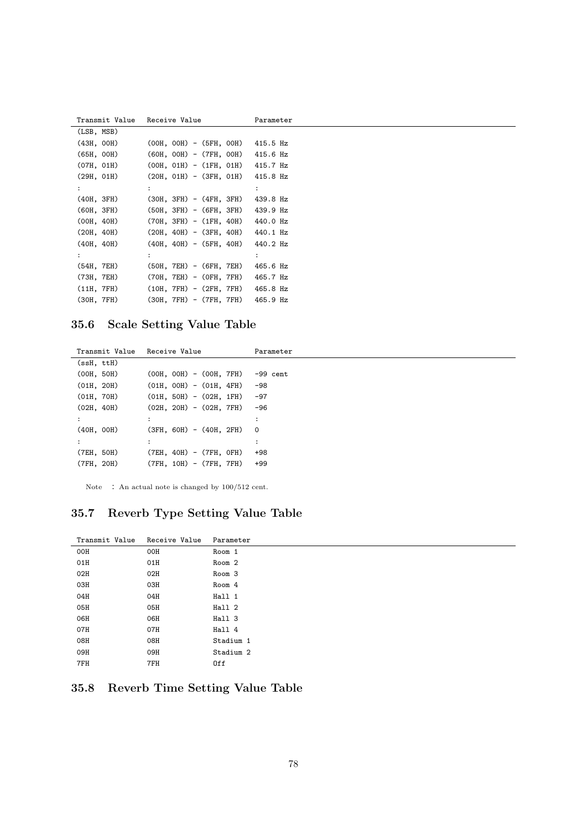| Transmit Value – Receive Value |                                    | Parameter      |
|--------------------------------|------------------------------------|----------------|
| (LSB, MSB)                     |                                    |                |
| (43H, OOH)                     | $(00H, 00H) - (5FH, 00H)$ 415.5 Hz |                |
| (65H, OOH)                     | $(60H, 00H) - (7FH, 00H)$ 415.6 Hz |                |
| (07H, 01H)                     | $(00H, 01H) - (1FH, 01H)$ 415.7 Hz |                |
| (29H, 01H)                     | $(20H, 01H) - (3FH, 01H)$ 415.8 Hz |                |
| $\ddot{\phantom{a}}$           |                                    | $\ddot{\cdot}$ |
| (40H, 3FH)                     | (30H, 3FH) - (4FH, 3FH)            | 439.8 Hz       |
| (60H, 3FH)                     | $(50H, 3FH) - (6FH, 3FH)$ 439.9 Hz |                |
| (OOH, 40H)                     | $(70H, 3FH) - (1FH, 40H)$ 440.0 Hz |                |
| (20H, 40H)                     | $(20H, 40H) - (3FH, 40H)$ 440.1 Hz |                |
| (40H, 40H)                     | $(40H, 40H) - (5FH, 40H)$ 440.2 Hz |                |
|                                |                                    |                |
| (54H, 7EH)                     | $(50H, 7EH) - (6FH, 7EH)$ 465.6 Hz |                |
| (73H, 7EH)                     | (70H, 7EH) - (OFH, 7FH) 465.7 Hz   |                |
| (11H, 7FH)                     | $(10H, 7FH) - (2FH, 7FH)$ 465.8 Hz |                |
| (30H, 7FH)                     | $(30H, 7FH) - (7FH, 7FH)$ 465.9 Hz |                |

# **35.6 Scale Setting Value Table**

| Transmit Value | Receive Value             | Parameter               |
|----------------|---------------------------|-------------------------|
| (ssH, ttH)     |                           |                         |
| (00H, 50H)     | $(00H, 00H) - (00H, 7FH)$ | $-99$ cent              |
| (01H, 20H)     | $(01H, 00H) - (01H, 4FH)$ | $-98$                   |
| (01H, 70H)     | $(01H, 50H) - (02H, 1FH)$ | $-97$                   |
| (02H, 40H)     | $(02H, 20H) - (02H, 7FH)$ | $-96$                   |
| :              | ۰<br>$\overline{a}$       | $\cdot$                 |
| (40H, 00H)     | $(3FH, 60H) - (40H, 2FH)$ | $\overline{\mathbf{0}}$ |
|                | ۰<br>$\cdot$              | ٠<br>$\bullet$          |
| (7EH, 50H)     | $(7EH, 40H) - (7FH, 0FH)$ | $+98$                   |
| (7FH, 20H)     | $(7FH, 10H) - (7FH, 7FH)$ | $+99$                   |
|                |                           |                         |

Note : An actual note is changed by  $100/512$  cent.

### **35.7 Reverb Type Setting Value Table**

| Transmit Value | Receive Value | Parameter         |
|----------------|---------------|-------------------|
| 00H            | 00H           | Room 1            |
| 01H            | 01H           | Room <sub>2</sub> |
| 02H            | 02H           | Room <sub>3</sub> |
| 03H            | 03H           | Room 4            |
| 04H            | 04H           | Hall 1            |
| 05H            | 05H           | Hall 2            |
| 06H            | 06H           | Hall 3            |
| 07H            | 07H           | Hall 4            |
| 08H            | 08H           | Stadium 1         |
| 09H            | 09H           | Stadium 2         |
| 7FH            | 7FH           | 0ff               |

### **35.8 Reverb Time Setting Value Table**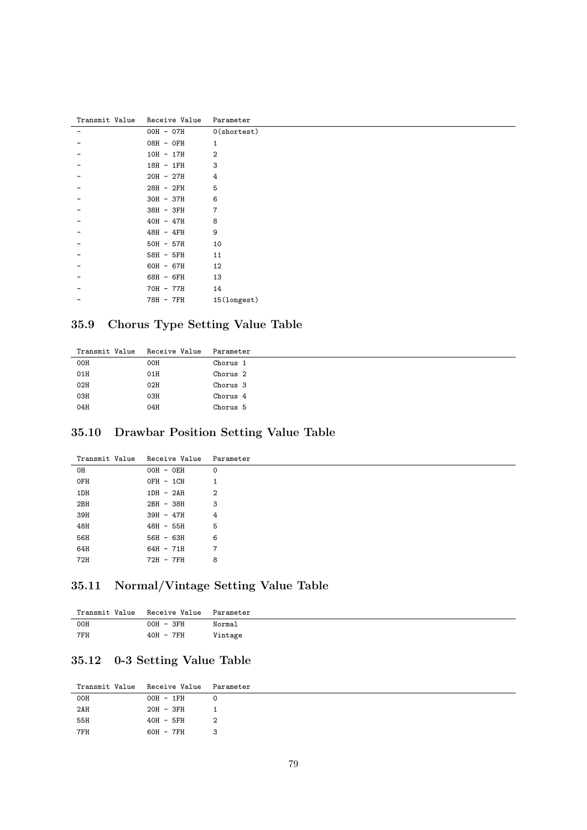| Transmit Value | Receive Value | Parameter      |
|----------------|---------------|----------------|
|                | OOH - 07H     | $0$ (shortest) |
|                | 08H - 0FH     | 1              |
|                | $10H - 17H$   | 2              |
|                | 18H - 1FH     | 3              |
|                | $20H - 27H$   | 4              |
|                | 28H - 2FH     | 5              |
|                | $30H - 37H$   | 6              |
|                | 38H - 3FH     | 7              |
|                | $40H - 47H$   | 8              |
|                | 48H - 4FH     | 9              |
|                | $50H - 57H$   | 10             |
|                | 58H - 5FH     | 11             |
|                | 60H - 67H     | 12             |
|                | 68H - 6FH     | 13             |
|                | 70H - 77H     | 14             |
|                | 78H - 7FH     | 15(longest)    |

# **35.9 Chorus Type Setting Value Table**

| Transmit Value | Receive Value | Parameter           |
|----------------|---------------|---------------------|
| 00H            | 00H           | Chorus 1            |
| 01H            | 01H           | Chorus <sub>2</sub> |
| 02H            | 02H           | Chorus 3            |
| 03H            | 03H           | Chorus 4            |
| 04H            | 04H           | Chorus 5            |
|                |               |                     |

### **35.10 Drawbar Position Setting Value Table**

| Transmit Value | Receive Value | Parameter |
|----------------|---------------|-----------|
| OH             | OOH - OEH     | 0         |
| 0FH            | OFH - 1CH     |           |
| 1DH            | $1DH - 2AH$   | 2         |
| 2BH            | 2BH - 38H     | 3         |
| 39H            | $39H - 47H$   | 4         |
| 48H            | 48H - 55H     | 5         |
| 56H            | $56H - 63H$   | 6         |
| 64H            | $64H - 71H$   | 7         |
| 72H            | 72H - 7FH     | 8         |

# **35.11 Normal/Vintage Setting Value Table**

| Transmit Value | Receive Value | Parameter |
|----------------|---------------|-----------|
| OOH            | 00H - 3FH     | Normal    |
| 7FH            | 40H - 7FH     | Vintage   |

### **35.12 0-3 Setting Value Table**

| Transmit Value Receive Value |             | Parameter |
|------------------------------|-------------|-----------|
| 00H                          | OOH - 1FH   | $\circ$   |
| 2AH                          | 20H - 3FH   |           |
| 55H                          | $40H - 5FH$ | 2         |
| 7FH                          | 60H - 7FH   | 3         |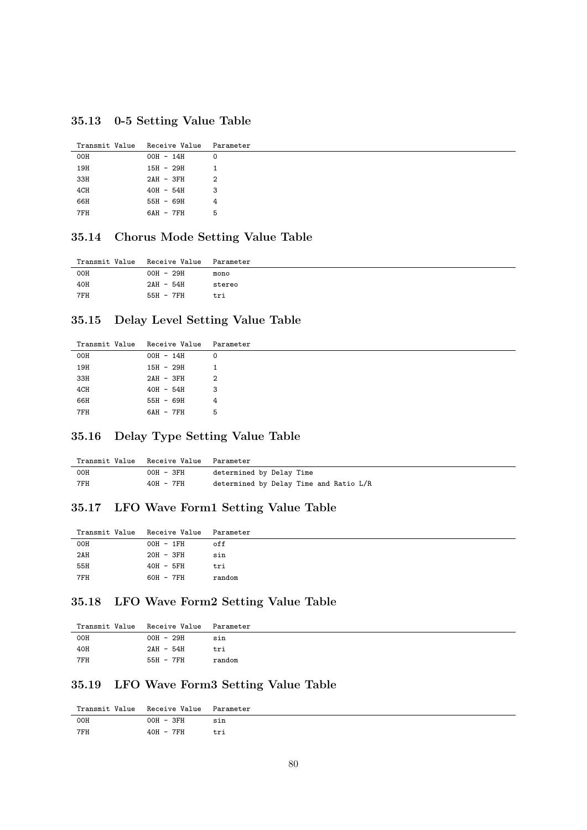**35.13 0-5 Setting Value Table**

|     | Transmit Value Receive Value Parameter |   |
|-----|----------------------------------------|---|
| 00H | $00H - 14H$                            | 0 |
| 19H | 15H - 29H                              | 1 |
| 33H | $2AH - 3FH$                            | 2 |
| 4CH | $40H - 54H$                            | 3 |
| 66H | 55H - 69H                              | 4 |
| 7FH | 6AH - 7FH                              | 5 |

#### **35.14 Chorus Mode Setting Value Table**

| Transmit Value Receive Value Parameter |           |        |
|----------------------------------------|-----------|--------|
| 00H                                    | OOH - 29H | mono   |
| 40H                                    | 2AH - 54H | stereo |
| 7FH                                    | 55H - 7FH | tri    |

#### **35.15 Delay Level Setting Value Table**

| Transmit Value Receive Value Parameter |             |   |
|----------------------------------------|-------------|---|
| 00H                                    | $00H - 14H$ | 0 |
| 19H                                    | $15H - 29H$ | 1 |
| 33H                                    | $2AH - 3FH$ | 2 |
| 4CH                                    | $40H - 54H$ | 3 |
| 66H                                    | 55H - 69H   | 4 |
| 7FH                                    | 6AH - 7FH   | 5 |
|                                        |             |   |

### **35.16 Delay Type Setting Value Table**

| Transmit Value Receive Value Parameter |             |                                        |
|----------------------------------------|-------------|----------------------------------------|
| 00H                                    | 00H - 3FH   | determined by Delay Time               |
| 7FH                                    | $40H - 7FH$ | determined by Delay Time and Ratio L/R |

### **35.17 LFO Wave Form1 Setting Value Table**

| Transmit Value Receive Value Parameter |           |        |
|----------------------------------------|-----------|--------|
| 00H                                    | OOH - 1FH | off    |
| 2AH                                    | 20H - 3FH | sin    |
| 55H                                    | 40H - 5FH | tri    |
| 7FH                                    | 60H - 7FH | random |
|                                        |           |        |

### **35.18 LFO Wave Form2 Setting Value Table**

| Transmit Value Receive Value Parameter |           |        |
|----------------------------------------|-----------|--------|
| 00H                                    | OOH - 29H | sin    |
| 40H                                    | 2AH - 54H | tri    |
| 7FH                                    | 55H - 7FH | random |

### **35.19 LFO Wave Form3 Setting Value Table**

| Transmit Value Receive Value Parameter |           |     |
|----------------------------------------|-----------|-----|
| 00H                                    | 00H - 3FH | sin |
| 7FH                                    | 40H - 7FH | tri |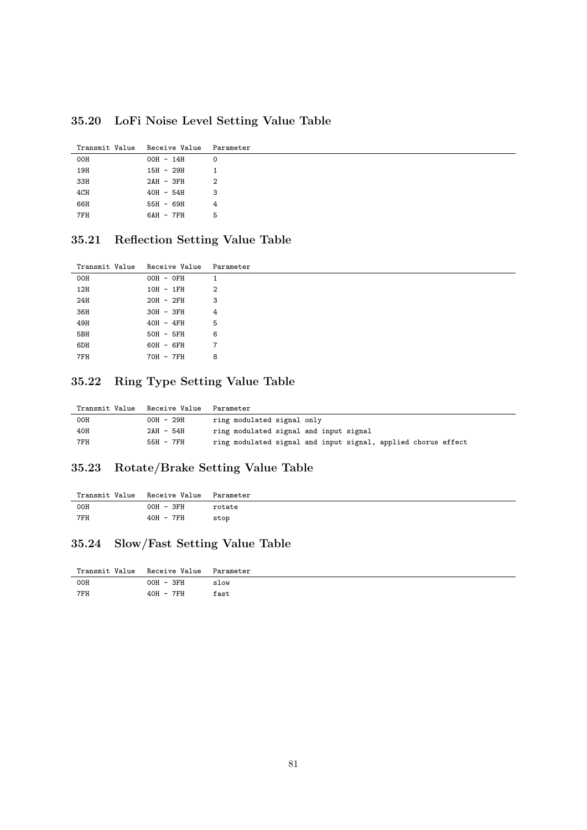**35.20 LoFi Noise Level Setting Value Table**

| Transmit Value | Receive Value Parameter |   |
|----------------|-------------------------|---|
| 00H            | 00H - 14H               | Ω |
| 19H            | 15H - 29H               | 1 |
| 33H            | $2AH - 3FH$             | 2 |
| 4CH            | $40H - 54H$             | 3 |
| 66H            | 55H - 69H               | 4 |
| 7FH            | 6AH - 7FH               | 5 |

# **35.21 Reflection Setting Value Table**

| Transmit Value | Receive Value Parameter |   |
|----------------|-------------------------|---|
| <b>OOH</b>     | 00H - 0FH               | 1 |
| 12H            | $10H - 1FH$             | 2 |
| 24H            | $20H - 2FH$             | 3 |
| 36H            | 30H - 3FH               | 4 |
| 49H            | $40H - 4FH$             | 5 |
| 5BH            | $50H - 5FH$             | 6 |
| 6DH            | 60H - 6FH               | 7 |
| 7FH            | 70H - 7FH               | 8 |

#### **35.22 Ring Type Setting Value Table**

| Transmit Value | Receive Value | Parameter                                                     |
|----------------|---------------|---------------------------------------------------------------|
| 00H            | OOH - 29H     | ring modulated signal only                                    |
| 40H            | 2AH - 54H     | ring modulated signal and input signal                        |
| 7FH            | 55H - 7FH     | ring modulated signal and input signal, applied chorus effect |

#### **35.23 Rotate/Brake Setting Value Table**

| Transmit Value Receive Value Parameter |           |        |
|----------------------------------------|-----------|--------|
| 00H                                    | 00H - 3FH | rotate |
| 7FH                                    | 40H - 7FH | stop   |

### **35.24 Slow/Fast Setting Value Table**

| Transmit Value Receive Value |             | Parameter |
|------------------------------|-------------|-----------|
| OOH                          | $OOH - 3FH$ | slow      |
| 7FH                          | 40H - 7FH   | fast      |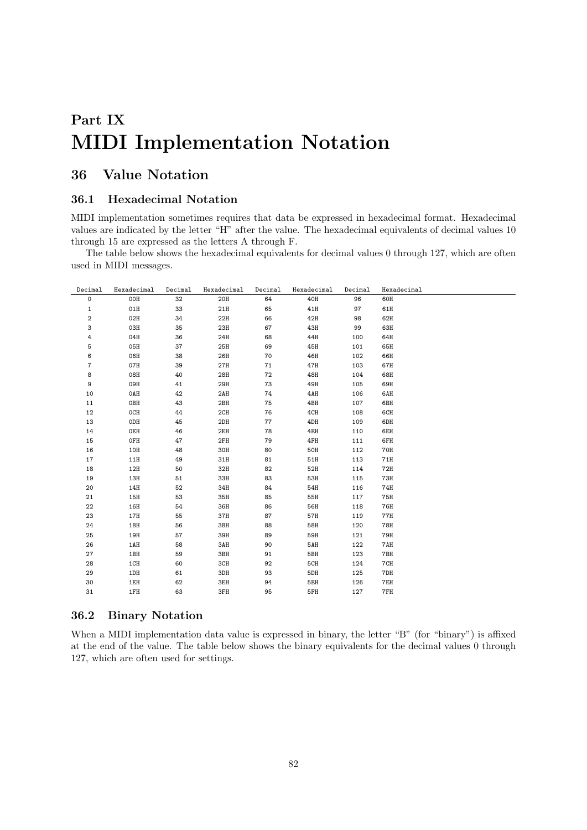# **Part IX MIDI Implementation Notation**

### **36 Value Notation**

#### **36.1 Hexadecimal Notation**

MIDI implementation sometimes requires that data be expressed in hexadecimal format. Hexadecimal values are indicated by the letter "H" after the value. The hexadecimal equivalents of decimal values 10 through 15 are expressed as the letters A through F.

The table below shows the hexadecimal equivalents for decimal values 0 through 127, which are often used in MIDI messages.

| Decimal        | Hexadecimal | Decimal | Hexadecimal | Decimal | Hexadecimal | Decimal | Hexadecimal |
|----------------|-------------|---------|-------------|---------|-------------|---------|-------------|
| 0              | 00H         | 32      | 20H         | 64      | 40H         | 96      | 60H         |
| $\mathbf{1}$   | 01H         | 33      | 21H         | 65      | 41H         | 97      | 61H         |
| $\overline{2}$ | 02H         | 34      | 22H         | 66      | 42H         | 98      | 62H         |
| 3              | 03H         | 35      | 23H         | 67      | 43H         | 99      | 63H         |
| 4              | 04H         | 36      | 24H         | 68      | 44H         | 100     | 64H         |
| 5              | 05H         | 37      | 25H         | 69      | 45H         | 101     | 65H         |
| 6              | 06H         | 38      | 26H         | 70      | 46H         | 102     | 66H         |
| 7              | 07H         | 39      | 27H         | 71      | 47H         | 103     | 67H         |
| 8              | 08H         | 40      | 28H         | 72      | 48H         | 104     | 68H         |
| 9              | 09H         | 41      | 29H         | 73      | 49H         | 105     | 69H         |
| 10             | OAH         | 42      | 2AH         | 74      | 4AH         | 106     | 6AH         |
| 11             | OBH         | 43      | 2BH         | 75      | 4BH         | 107     | 6BH         |
| 12             | OCH         | 44      | 2CH         | 76      | 4CH         | 108     | 6CH         |
| 13             | ODH         | 45      | 2DH         | 77      | 4DH         | 109     | 6DH         |
| 14             | OEH         | 46      | 2EH         | 78      | 4EH         | 110     | 6EH         |
| 15             | OFH         | 47      | 2FH         | 79      | 4FH         | 111     | 6FH         |
| 16             | 10H         | 48      | 30H         | 80      | <b>50H</b>  | 112     | 70H         |
| 17             | 11H         | 49      | 31H         | 81      | 51H         | 113     | 71H         |
| 18             | 12H         | 50      | 32H         | 82      | 52H         | 114     | 72H         |
| 19             | 13H         | 51      | 33H         | 83      | 53H         | 115     | <b>73H</b>  |
| 20             | 14H         | 52      | 34H         | 84      | 54H         | 116     | 74H         |
| 21             | 15H         | 53      | 35H         | 85      | 55H         | 117     | 75H         |
| 22             | 16H         | 54      | 36H         | 86      | <b>56H</b>  | 118     | 76H         |
| 23             | $17H$       | 55      | 37H         | 87      | 57H         | 119     | 77H         |
| 24             | 18H         | 56      | 38H         | 88      | <b>58H</b>  | 120     | <b>78H</b>  |
| 25             | 19H         | 57      | 39H         | 89      | 59H         | 121     | 79H         |
| 26             | 1AH         | 58      | 3AH         | 90      | 5AH         | 122     | 7AH         |
| 27             | 1BH         | 59      | 3BH         | 91      | 5BH         | 123     | 7BH         |
| 28             | 1CH         | 60      | 3CH         | 92      | 5CH         | 124     | 7CH         |
| 29             | 1DH         | 61      | 3DH         | 93      | 5DH         | 125     | 7DH         |
| 30             | 1EH         | 62      | 3EH         | 94      | 5EH         | 126     | 7EH         |
| 31             | 1FH         | 63      | 3FH         | 95      | 5FH         | 127     | 7FH         |
|                |             |         |             |         |             |         |             |

#### **36.2 Binary Notation**

When a MIDI implementation data value is expressed in binary, the letter "B" (for "binary") is affixed at the end of the value. The table below shows the binary equivalents for the decimal values 0 through 127, which are often used for settings.